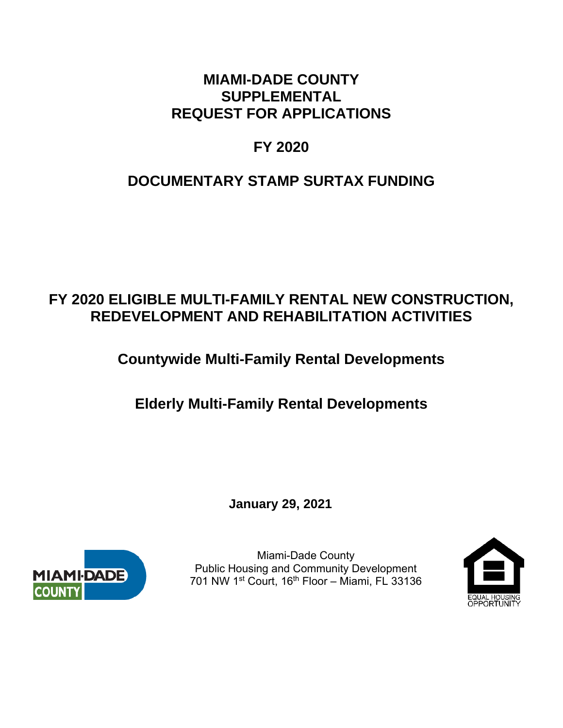# **MIAMI-DADE COUNTY SUPPLEMENTAL REQUEST FOR APPLICATIONS**

# **FY 2020**

# **DOCUMENTARY STAMP SURTAX FUNDING**

# **FY 2020 ELIGIBLE MULTI-FAMILY RENTAL NEW CONSTRUCTION, REDEVELOPMENT AND REHABILITATION ACTIVITIES**

# **Countywide Multi-Family Rental Developments**

# **Elderly Multi-Family Rental Developments**

**January 29, 2021**



Miami-Dade County Public Housing and Community Development 701 NW 1st Court, 16th Floor – Miami, FL 33136

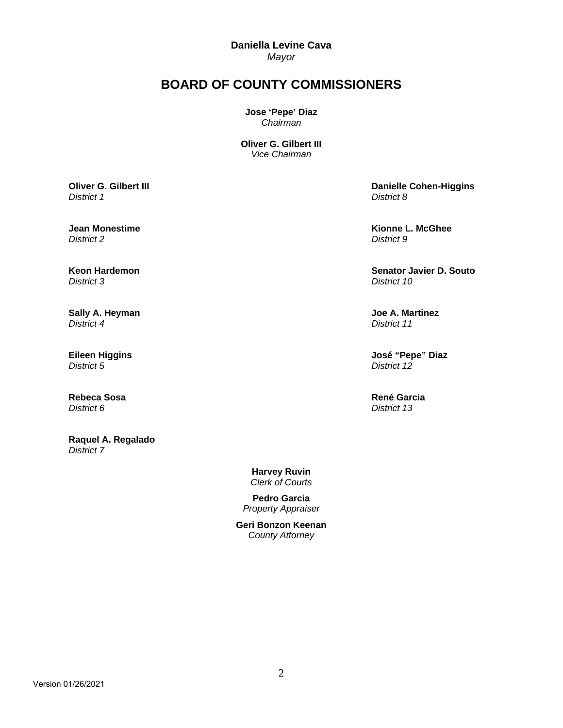**Daniella Levine Cava**  *Mayor* 

# **BOARD OF COUNTY COMMISSIONERS**

**Jose 'Pepe' Diaz** *Chairman* 

**Oliver G. Gilbert III** *Vice Chairman*

**Oliver G. Gilbert III**  *District 1*

**Jean Monestime**  *District 2*

**Keon Hardemon**  *District 3*

**Sally A. Heyman**  *District 4*

**Eileen Higgins**  *District 5*

**Rebeca Sosa**  *District 6*

**Raquel A. Regalado**  *District 7* 

> **Harvey Ruvin**  *Clerk of Courts*

**Pedro Garcia**  *Property Appraiser*

**Geri Bonzon Keenan**  *County Attorney*

 **Danielle Cohen-Higgins**  *District 8*

 **Kionne L. McGhee**  *District 9*

 **Senator Javier D. Souto**  *District 10*

 **Joe A. Martinez**  *District 11*

 **José "Pepe" Diaz**  *District 12*

 **René Garcia**  *District 13*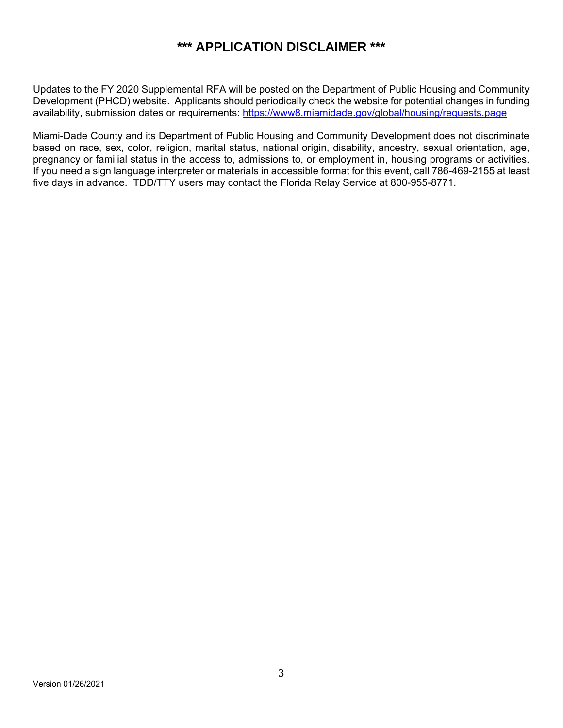# **\*\*\* APPLICATION DISCLAIMER \*\*\***

Updates to the FY 2020 Supplemental RFA will be posted on the Department of Public Housing and Community Development (PHCD) website. Applicants should periodically check the website for potential changes in funding availability, submission dates or requirements: https://www8.miamidade.gov/global/housing/requests.page

Miami-Dade County and its Department of Public Housing and Community Development does not discriminate based on race, sex, color, religion, marital status, national origin, disability, ancestry, sexual orientation, age, pregnancy or familial status in the access to, admissions to, or employment in, housing programs or activities. If you need a sign language interpreter or materials in accessible format for this event, call 786-469-2155 at least five days in advance. TDD/TTY users may contact the Florida Relay Service at 800-955-8771.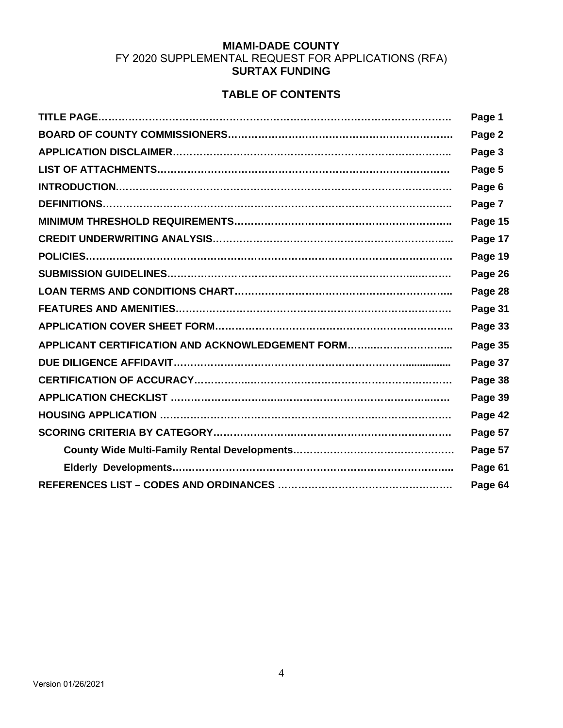# **MIAMI-DADE COUNTY**  FY 2020 SUPPLEMENTAL REQUEST FOR APPLICATIONS (RFA) **SURTAX FUNDING**

# **TABLE OF CONTENTS**

|                                                  | Page 1  |
|--------------------------------------------------|---------|
|                                                  | Page 2  |
|                                                  | Page 3  |
|                                                  | Page 5  |
|                                                  | Page 6  |
|                                                  | Page 7  |
|                                                  | Page 15 |
|                                                  | Page 17 |
|                                                  | Page 19 |
|                                                  | Page 26 |
|                                                  | Page 28 |
|                                                  | Page 31 |
|                                                  | Page 33 |
| APPLICANT CERTIFICATION AND ACKNOWLEDGEMENT FORM | Page 35 |
|                                                  | Page 37 |
|                                                  | Page 38 |
|                                                  | Page 39 |
|                                                  | Page 42 |
|                                                  | Page 57 |
|                                                  | Page 57 |
|                                                  | Page 61 |
|                                                  | Page 64 |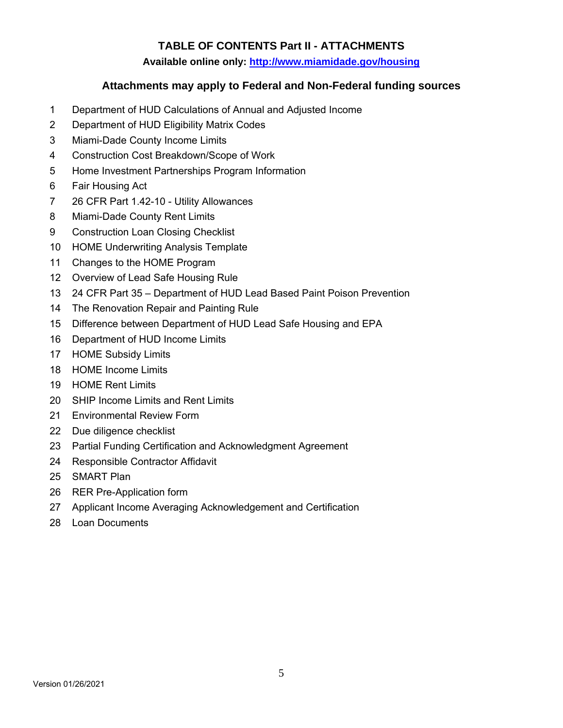# **TABLE OF CONTENTS Part II - ATTACHMENTS**

**Available online only: http://www.miamidade.gov/housing** 

# **Attachments may apply to Federal and Non-Federal funding sources**

- 1 Department of HUD Calculations of Annual and Adjusted Income
- 2 Department of HUD Eligibility Matrix Codes
- 3 Miami-Dade County Income Limits
- 4 Construction Cost Breakdown/Scope of Work
- 5 Home Investment Partnerships Program Information
- 6 Fair Housing Act
- 7 26 CFR Part 1.42-10 Utility Allowances
- 8 Miami-Dade County Rent Limits
- 9 Construction Loan Closing Checklist
- 10 HOME Underwriting Analysis Template
- 11 Changes to the HOME Program
- 12 Overview of Lead Safe Housing Rule
- 13 24 CFR Part 35 Department of HUD Lead Based Paint Poison Prevention
- 14 The Renovation Repair and Painting Rule
- 15 Difference between Department of HUD Lead Safe Housing and EPA
- 16 Department of HUD Income Limits
- 17 HOME Subsidy Limits
- 18 HOME Income Limits
- 19 HOME Rent Limits
- 20 SHIP Income Limits and Rent Limits
- 21 Environmental Review Form
- 22 Due diligence checklist
- 23 Partial Funding Certification and Acknowledgment Agreement
- 24 Responsible Contractor Affidavit
- 25 SMART Plan
- 26 RER Pre-Application form
- 27 Applicant Income Averaging Acknowledgement and Certification
- 28 Loan Documents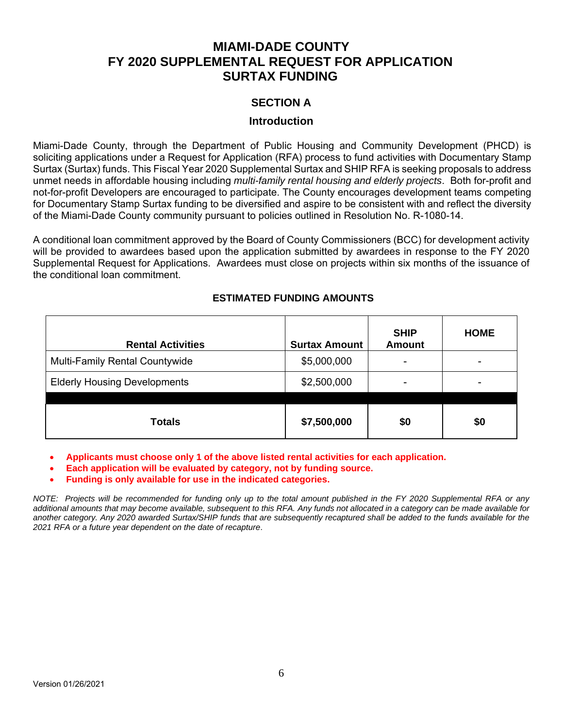# **MIAMI-DADE COUNTY FY 2020 SUPPLEMENTAL REQUEST FOR APPLICATION SURTAX FUNDING**

# **SECTION A**

### **Introduction**

Miami-Dade County, through the Department of Public Housing and Community Development (PHCD) is soliciting applications under a Request for Application (RFA) process to fund activities with Documentary Stamp Surtax (Surtax) funds. This Fiscal Year 2020 Supplemental Surtax and SHIP RFA is seeking proposals to address unmet needs in affordable housing including *multi-family rental housing and elderly projects*. Both for-profit and not-for-profit Developers are encouraged to participate. The County encourages development teams competing for Documentary Stamp Surtax funding to be diversified and aspire to be consistent with and reflect the diversity of the Miami-Dade County community pursuant to policies outlined in Resolution No. R-1080-14.

A conditional loan commitment approved by the Board of County Commissioners (BCC) for development activity will be provided to awardees based upon the application submitted by awardees in response to the FY 2020 Supplemental Request for Applications. Awardees must close on projects within six months of the issuance of the conditional loan commitment.

| <b>Rental Activities</b>            | <b>Surtax Amount</b> | <b>SHIP</b><br><b>Amount</b> | <b>HOME</b>              |
|-------------------------------------|----------------------|------------------------------|--------------------------|
| Multi-Family Rental Countywide      | \$5,000,000          | -                            |                          |
| <b>Elderly Housing Developments</b> | \$2,500,000          | ۰                            | $\overline{\phantom{a}}$ |
|                                     |                      |                              |                          |
| <b>Totals</b>                       | \$7,500,000          | \$0                          | \$0                      |

### **ESTIMATED FUNDING AMOUNTS**

- **Applicants must choose only 1 of the above listed rental activities for each application.**
- **Each application will be evaluated by category, not by funding source.**
- **Funding is only available for use in the indicated categories.**

*NOTE: Projects will be recommended for funding only up to the total amount published in the FY 2020 Supplemental RFA or any additional amounts that may become available, subsequent to this RFA. Any funds not allocated in a category can be made available for another category. Any 2020 awarded Surtax/SHIP funds that are subsequently recaptured shall be added to the funds available for the 2021 RFA or a future year dependent on the date of recapture*.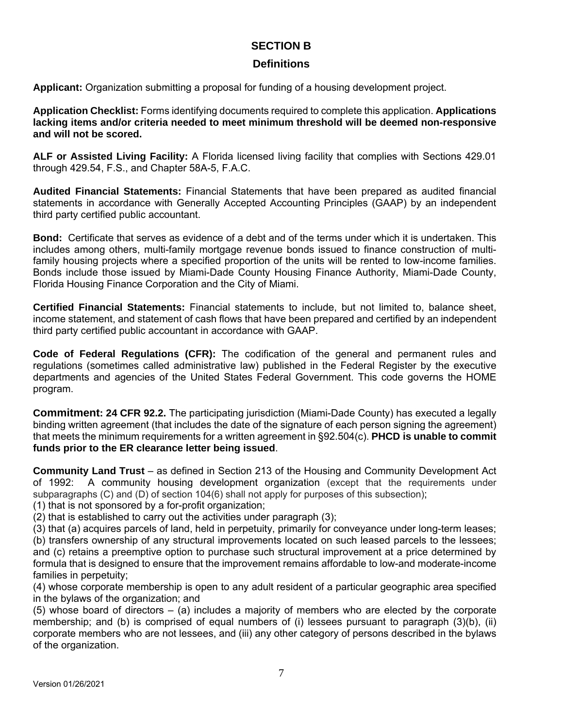# **SECTION B**

# **Definitions**

**Applicant:** Organization submitting a proposal for funding of a housing development project.

**Application Checklist:** Forms identifying documents required to complete this application. **Applications lacking items and/or criteria needed to meet minimum threshold will be deemed non-responsive and will not be scored.** 

**ALF or Assisted Living Facility:** A Florida licensed living facility that complies with Sections 429.01 through 429.54, F.S., and Chapter 58A-5, F.A.C.

**Audited Financial Statements:** Financial Statements that have been prepared as audited financial statements in accordance with Generally Accepted Accounting Principles (GAAP) by an independent third party certified public accountant.

**Bond:** Certificate that serves as evidence of a debt and of the terms under which it is undertaken. This includes among others, multi-family mortgage revenue bonds issued to finance construction of multifamily housing projects where a specified proportion of the units will be rented to low-income families. Bonds include those issued by Miami-Dade County Housing Finance Authority, Miami-Dade County, Florida Housing Finance Corporation and the City of Miami.

**Certified Financial Statements:** Financial statements to include, but not limited to, balance sheet, income statement, and statement of cash flows that have been prepared and certified by an independent third party certified public accountant in accordance with GAAP.

**Code of Federal Regulations (CFR):** The codification of the general and permanent rules and regulations (sometimes called administrative law) published in the Federal Register by the executive departments and agencies of the United States Federal Government. This code governs the HOME program.

**Commitment: 24 CFR 92.2.** The participating jurisdiction (Miami-Dade County) has executed a legally binding written agreement (that includes the date of the signature of each person signing the agreement) that meets the minimum requirements for a written agreement in §92.504(c). **PHCD is unable to commit funds prior to the ER clearance letter being issued**.

**Community Land Trust** – as defined in Section 213 of the Housing and Community Development Act of 1992: A community housing development organization (except that the requirements under subparagraphs (C) and (D) of section 104(6) shall not apply for purposes of this subsection);

(1) that is not sponsored by a for-profit organization;

(2) that is established to carry out the activities under paragraph (3);

(3) that (a) acquires parcels of land, held in perpetuity, primarily for conveyance under long-term leases; (b) transfers ownership of any structural improvements located on such leased parcels to the lessees; and (c) retains a preemptive option to purchase such structural improvement at a price determined by formula that is designed to ensure that the improvement remains affordable to low-and moderate-income families in perpetuity;

(4) whose corporate membership is open to any adult resident of a particular geographic area specified in the bylaws of the organization; and

(5) whose board of directors – (a) includes a majority of members who are elected by the corporate membership; and (b) is comprised of equal numbers of (i) lessees pursuant to paragraph (3)(b), (ii) corporate members who are not lessees, and (iii) any other category of persons described in the bylaws of the organization.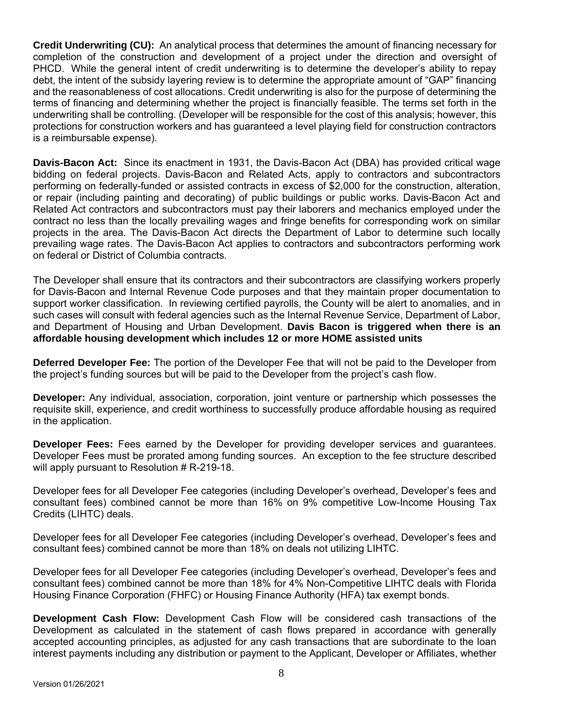**Credit Underwriting (CU):** An analytical process that determines the amount of financing necessary for completion of the construction and development of a project under the direction and oversight of PHCD. While the general intent of credit underwriting is to determine the developer's ability to repay debt, the intent of the subsidy layering review is to determine the appropriate amount of "GAP" financing and the reasonableness of cost allocations. Credit underwriting is also for the purpose of determining the terms of financing and determining whether the project is financially feasible. The terms set forth in the underwriting shall be controlling. (Developer will be responsible for the cost of this analysis; however, this protections for construction workers and has guaranteed a level playing field for construction contractors is a reimbursable expense).

**Davis-Bacon Act:** Since its enactment in 1931, the Davis-Bacon Act (DBA) has provided critical wage bidding on federal projects. Davis-Bacon and Related Acts, apply to contractors and subcontractors performing on federally-funded or assisted contracts in excess of \$2,000 for the construction, alteration, or repair (including painting and decorating) of public buildings or public works. Davis-Bacon Act and Related Act contractors and subcontractors must pay their laborers and mechanics employed under the contract no less than the locally prevailing wages and fringe benefits for corresponding work on similar projects in the area. The Davis-Bacon Act directs the Department of Labor to determine such locally prevailing wage rates. The Davis-Bacon Act applies to contractors and subcontractors performing work on federal or District of Columbia contracts.

The Developer shall ensure that its contractors and their subcontractors are classifying workers properly for Davis-Bacon and Internal Revenue Code purposes and that they maintain proper documentation to support worker classification. In reviewing certified payrolls, the County will be alert to anomalies, and in such cases will consult with federal agencies such as the Internal Revenue Service, Department of Labor, and Department of Housing and Urban Development. **Davis Bacon is triggered when there is an affordable housing development which includes 12 or more HOME assisted units**

**Deferred Developer Fee:** The portion of the Developer Fee that will not be paid to the Developer from the project's funding sources but will be paid to the Developer from the project's cash flow.

**Developer:** Any individual, association, corporation, joint venture or partnership which possesses the requisite skill, experience, and credit worthiness to successfully produce affordable housing as required in the application.

**Developer Fees:** Fees earned by the Developer for providing developer services and guarantees. Developer Fees must be prorated among funding sources. An exception to the fee structure described will apply pursuant to Resolution # R-219-18.

Developer fees for all Developer Fee categories (including Developer's overhead, Developer's fees and consultant fees) combined cannot be more than 16% on 9% competitive Low-Income Housing Tax Credits (LIHTC) deals.

Developer fees for all Developer Fee categories (including Developer's overhead, Developer's fees and consultant fees) combined cannot be more than 18% on deals not utilizing LIHTC.

Developer fees for all Developer Fee categories (including Developer's overhead, Developer's fees and consultant fees) combined cannot be more than 18% for 4% Non-Competitive LIHTC deals with Florida Housing Finance Corporation (FHFC) or Housing Finance Authority (HFA) tax exempt bonds.

**Development Cash Flow:** Development Cash Flow will be considered cash transactions of the Development as calculated in the statement of cash flows prepared in accordance with generally accepted accounting principles, as adjusted for any cash transactions that are subordinate to the loan interest payments including any distribution or payment to the Applicant, Developer or Affiliates, whether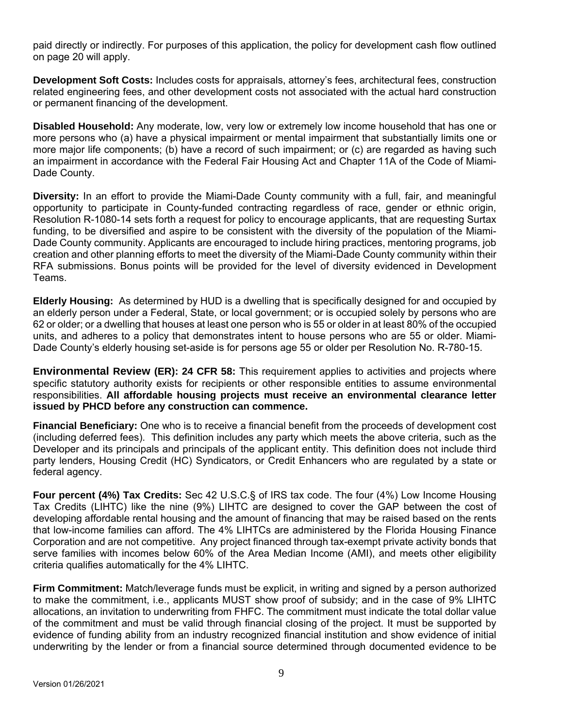paid directly or indirectly. For purposes of this application, the policy for development cash flow outlined on page 20 will apply.

**Development Soft Costs:** Includes costs for appraisals, attorney's fees, architectural fees, construction related engineering fees, and other development costs not associated with the actual hard construction or permanent financing of the development.

**Disabled Household:** Any moderate, low, very low or extremely low income household that has one or more persons who (a) have a physical impairment or mental impairment that substantially limits one or more major life components; (b) have a record of such impairment; or (c) are regarded as having such an impairment in accordance with the Federal Fair Housing Act and Chapter 11A of the Code of Miami-Dade County.

**Diversity:** In an effort to provide the Miami-Dade County community with a full, fair, and meaningful opportunity to participate in County-funded contracting regardless of race, gender or ethnic origin, Resolution R-1080-14 sets forth a request for policy to encourage applicants, that are requesting Surtax funding, to be diversified and aspire to be consistent with the diversity of the population of the Miami-Dade County community. Applicants are encouraged to include hiring practices, mentoring programs, job creation and other planning efforts to meet the diversity of the Miami-Dade County community within their RFA submissions. Bonus points will be provided for the level of diversity evidenced in Development Teams.

**Elderly Housing:** As determined by HUD is a dwelling that is specifically designed for and occupied by an elderly person under a Federal, State, or local government; or is occupied solely by persons who are 62 or older; or a dwelling that houses at least one person who is 55 or older in at least 80% of the occupied units, and adheres to a policy that demonstrates intent to house persons who are 55 or older. Miami-Dade County's elderly housing set-aside is for persons age 55 or older per Resolution No. R-780-15.

**Environmental Review (ER): 24 CFR 58:** This requirement applies to activities and projects where specific statutory authority exists for recipients or other responsible entities to assume environmental responsibilities. **All affordable housing projects must receive an environmental clearance letter issued by PHCD before any construction can commence.** 

**Financial Beneficiary:** One who is to receive a financial benefit from the proceeds of development cost (including deferred fees). This definition includes any party which meets the above criteria, such as the Developer and its principals and principals of the applicant entity. This definition does not include third party lenders, Housing Credit (HC) Syndicators, or Credit Enhancers who are regulated by a state or federal agency.

**Four percent (4%) Tax Credits:** Sec 42 U.S.C.§ of IRS tax code. The four (4%) Low Income Housing Tax Credits (LIHTC) like the nine (9%) LIHTC are designed to cover the GAP between the cost of developing affordable rental housing and the amount of financing that may be raised based on the rents that low-income families can afford. The 4% LIHTCs are administered by the Florida Housing Finance Corporation and are not competitive. Any project financed through tax-exempt private activity bonds that serve families with incomes below 60% of the Area Median Income (AMI), and meets other eligibility criteria qualifies automatically for the 4% LIHTC.

**Firm Commitment:** Match/leverage funds must be explicit, in writing and signed by a person authorized to make the commitment, i.e., applicants MUST show proof of subsidy; and in the case of 9% LIHTC allocations, an invitation to underwriting from FHFC. The commitment must indicate the total dollar value of the commitment and must be valid through financial closing of the project. It must be supported by evidence of funding ability from an industry recognized financial institution and show evidence of initial underwriting by the lender or from a financial source determined through documented evidence to be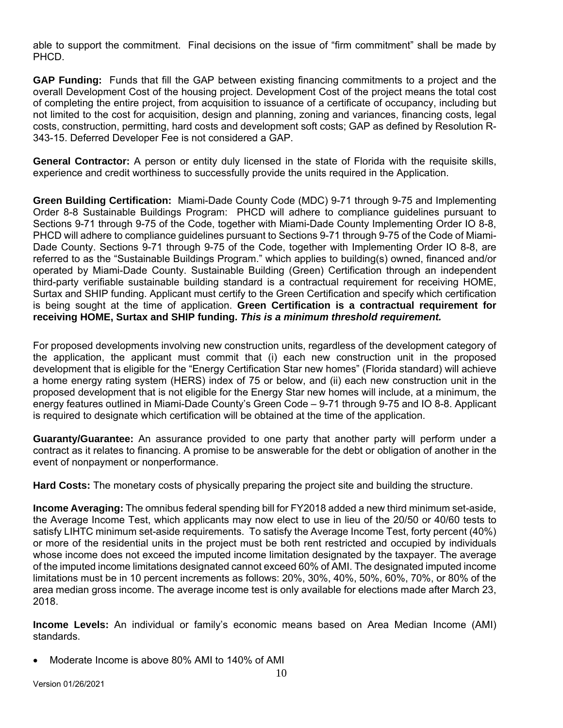able to support the commitment. Final decisions on the issue of "firm commitment" shall be made by PHCD.

**GAP Funding:** Funds that fill the GAP between existing financing commitments to a project and the overall Development Cost of the housing project. Development Cost of the project means the total cost of completing the entire project, from acquisition to issuance of a certificate of occupancy, including but not limited to the cost for acquisition, design and planning, zoning and variances, financing costs, legal costs, construction, permitting, hard costs and development soft costs; GAP as defined by Resolution R-343-15. Deferred Developer Fee is not considered a GAP.

**General Contractor:** A person or entity duly licensed in the state of Florida with the requisite skills, experience and credit worthiness to successfully provide the units required in the Application.

**Green Building Certification:** Miami-Dade County Code (MDC) 9-71 through 9-75 and Implementing Order 8-8 Sustainable Buildings Program: PHCD will adhere to compliance guidelines pursuant to Sections 9-71 through 9-75 of the Code, together with Miami-Dade County Implementing Order IO 8-8, PHCD will adhere to compliance guidelines pursuant to Sections 9-71 through 9-75 of the Code of Miami-Dade County. Sections 9-71 through 9-75 of the Code, together with Implementing Order IO 8-8, are referred to as the "Sustainable Buildings Program." which applies to building(s) owned, financed and/or operated by Miami-Dade County. Sustainable Building (Green) Certification through an independent third-party verifiable sustainable building standard is a contractual requirement for receiving HOME, Surtax and SHIP funding. Applicant must certify to the Green Certification and specify which certification is being sought at the time of application. **Green Certification is a contractual requirement for receiving HOME, Surtax and SHIP funding.** *This is a minimum threshold requirement.*

For proposed developments involving new construction units, regardless of the development category of the application, the applicant must commit that (i) each new construction unit in the proposed development that is eligible for the "Energy Certification Star new homes" (Florida standard) will achieve a home energy rating system (HERS) index of 75 or below, and (ii) each new construction unit in the proposed development that is not eligible for the Energy Star new homes will include, at a minimum, the energy features outlined in Miami-Dade County's Green Code – 9-71 through 9-75 and IO 8-8. Applicant is required to designate which certification will be obtained at the time of the application.

**Guaranty/Guarantee:** An assurance provided to one party that another party will perform under a contract as it relates to financing. A promise to be answerable for the debt or obligation of another in the event of nonpayment or nonperformance.

**Hard Costs:** The monetary costs of physically preparing the project site and building the structure.

**Income Averaging:** The omnibus federal spending bill for FY2018 added a new third minimum set-aside, the Average Income Test, which applicants may now elect to use in lieu of the 20/50 or 40/60 tests to satisfy LIHTC minimum set-aside requirements. To satisfy the Average Income Test, forty percent (40%) or more of the residential units in the project must be both rent restricted and occupied by individuals whose income does not exceed the imputed income limitation designated by the taxpayer. The average of the imputed income limitations designated cannot exceed 60% of AMI. The designated imputed income limitations must be in 10 percent increments as follows: 20%, 30%, 40%, 50%, 60%, 70%, or 80% of the area median gross income. The average income test is only available for elections made after March 23, 2018.

**Income Levels:** An individual or family's economic means based on Area Median Income (AMI) standards.

Moderate Income is above 80% AMI to 140% of AMI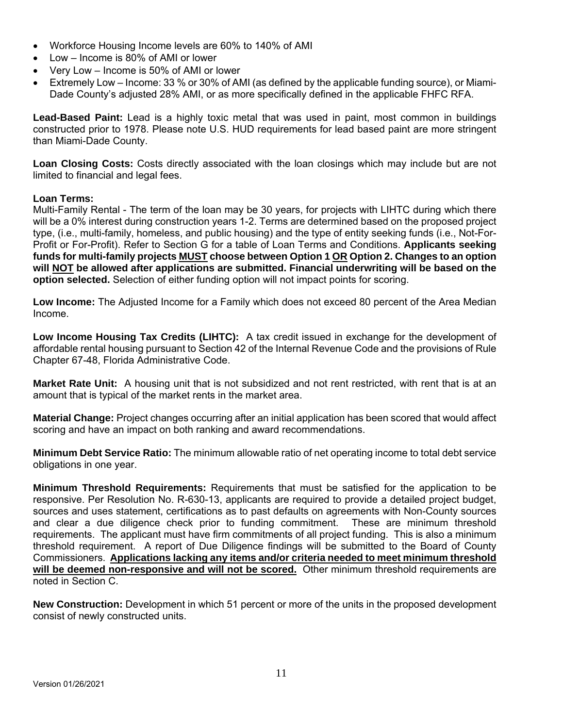- Workforce Housing Income levels are 60% to 140% of AMI
- Low Income is 80% of AMI or lower
- Very Low Income is 50% of AMI or lower
- Extremely Low Income: 33 % or 30% of AMI (as defined by the applicable funding source), or Miami-Dade County's adjusted 28% AMI, or as more specifically defined in the applicable FHFC RFA.

**Lead-Based Paint:** Lead is a highly toxic metal that was used in paint, most common in buildings constructed prior to 1978. Please note U.S. HUD requirements for lead based paint are more stringent than Miami-Dade County.

**Loan Closing Costs:** Costs directly associated with the loan closings which may include but are not limited to financial and legal fees.

#### **Loan Terms:**

Multi-Family Rental - The term of the loan may be 30 years, for projects with LIHTC during which there will be a 0% interest during construction years 1-2. Terms are determined based on the proposed project type, (i.e., multi-family, homeless, and public housing) and the type of entity seeking funds (i.e., Not-For-Profit or For-Profit). Refer to Section G for a table of Loan Terms and Conditions. **Applicants seeking funds for multi-family projects MUST choose between Option 1 OR Option 2. Changes to an option will NOT be allowed after applications are submitted. Financial underwriting will be based on the option selected.** Selection of either funding option will not impact points for scoring.

**Low Income:** The Adjusted Income for a Family which does not exceed 80 percent of the Area Median Income.

**Low Income Housing Tax Credits (LIHTC):** A tax credit issued in exchange for the development of affordable rental housing pursuant to Section 42 of the Internal Revenue Code and the provisions of Rule Chapter 67-48, Florida Administrative Code.

**Market Rate Unit:** A housing unit that is not subsidized and not rent restricted, with rent that is at an amount that is typical of the market rents in the market area.

**Material Change:** Project changes occurring after an initial application has been scored that would affect scoring and have an impact on both ranking and award recommendations.

**Minimum Debt Service Ratio:** The minimum allowable ratio of net operating income to total debt service obligations in one year.

**Minimum Threshold Requirements:** Requirements that must be satisfied for the application to be responsive. Per Resolution No. R-630-13, applicants are required to provide a detailed project budget, sources and uses statement, certifications as to past defaults on agreements with Non-County sources and clear a due diligence check prior to funding commitment. These are minimum threshold requirements. The applicant must have firm commitments of all project funding. This is also a minimum threshold requirement. A report of Due Diligence findings will be submitted to the Board of County Commissioners. **Applications lacking any items and/or criteria needed to meet minimum threshold will be deemed non-responsive and will not be scored.** Other minimum threshold requirements are noted in Section C.

**New Construction:** Development in which 51 percent or more of the units in the proposed development consist of newly constructed units.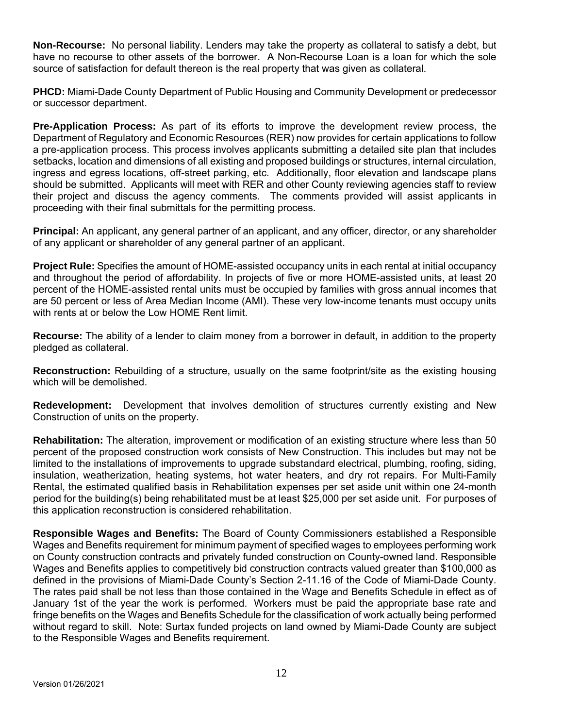**Non-Recourse:** No personal liability. Lenders may take the property as collateral to satisfy a debt, but have no recourse to other assets of the borrower. A Non-Recourse Loan is a loan for which the sole source of satisfaction for default thereon is the real property that was given as collateral.

**PHCD:** Miami-Dade County Department of Public Housing and Community Development or predecessor or successor department.

**Pre-Application Process:** As part of its efforts to improve the development review process, the Department of Regulatory and Economic Resources (RER) now provides for certain applications to follow a pre-application process. This process involves applicants submitting a detailed site plan that includes setbacks, location and dimensions of all existing and proposed buildings or structures, internal circulation, ingress and egress locations, off-street parking, etc. Additionally, floor elevation and landscape plans should be submitted. Applicants will meet with RER and other County reviewing agencies staff to review their project and discuss the agency comments. The comments provided will assist applicants in proceeding with their final submittals for the permitting process.

**Principal:** An applicant, any general partner of an applicant, and any officer, director, or any shareholder of any applicant or shareholder of any general partner of an applicant.

**Project Rule:** Specifies the amount of HOME-assisted occupancy units in each rental at initial occupancy and throughout the period of affordability. In projects of five or more HOME-assisted units, at least 20 percent of the HOME-assisted rental units must be occupied by families with gross annual incomes that are 50 percent or less of Area Median Income (AMI). These very low-income tenants must occupy units with rents at or below the Low HOME Rent limit.

**Recourse:** The ability of a lender to claim money from a borrower in default, in addition to the property pledged as collateral.

**Reconstruction:** Rebuilding of a structure, usually on the same footprint/site as the existing housing which will be demolished.

**Redevelopment:** Development that involves demolition of structures currently existing and New Construction of units on the property.

**Rehabilitation:** The alteration, improvement or modification of an existing structure where less than 50 percent of the proposed construction work consists of New Construction. This includes but may not be limited to the installations of improvements to upgrade substandard electrical, plumbing, roofing, siding, insulation, weatherization, heating systems, hot water heaters, and dry rot repairs. For Multi-Family Rental, the estimated qualified basis in Rehabilitation expenses per set aside unit within one 24-month period for the building(s) being rehabilitated must be at least \$25,000 per set aside unit. For purposes of this application reconstruction is considered rehabilitation.

**Responsible Wages and Benefits:** The Board of County Commissioners established a Responsible Wages and Benefits requirement for minimum payment of specified wages to employees performing work on County construction contracts and privately funded construction on County-owned land. Responsible Wages and Benefits applies to competitively bid construction contracts valued greater than \$100,000 as defined in the provisions of Miami-Dade County's Section 2-11.16 of the Code of Miami-Dade County. The rates paid shall be not less than those contained in the Wage and Benefits Schedule in effect as of January 1st of the year the work is performed. Workers must be paid the appropriate base rate and fringe benefits on the Wages and Benefits Schedule for the classification of work actually being performed without regard to skill. Note: Surtax funded projects on land owned by Miami-Dade County are subject to the Responsible Wages and Benefits requirement.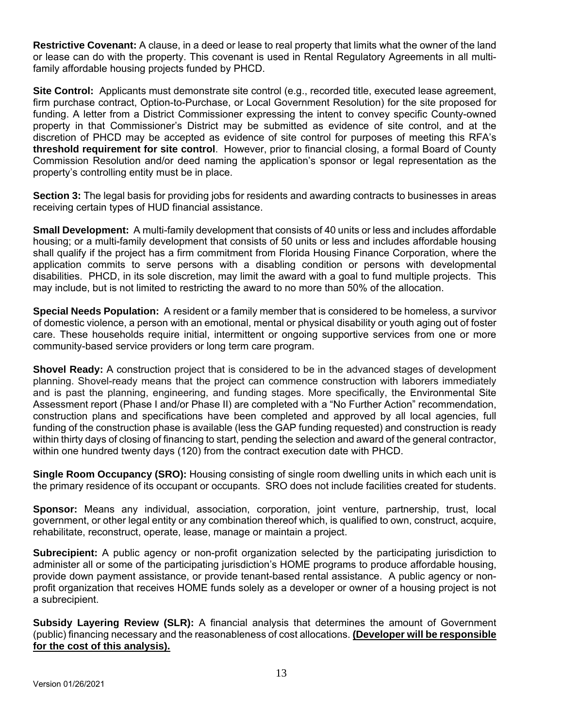**Restrictive Covenant:** A clause, in a deed or lease to real property that limits what the owner of the land or lease can do with the property. This covenant is used in Rental Regulatory Agreements in all multifamily affordable housing projects funded by PHCD.

Site Control: Applicants must demonstrate site control (e.g., recorded title, executed lease agreement, firm purchase contract, Option-to-Purchase, or Local Government Resolution) for the site proposed for funding. A letter from a District Commissioner expressing the intent to convey specific County-owned property in that Commissioner's District may be submitted as evidence of site control, and at the discretion of PHCD may be accepted as evidence of site control for purposes of meeting this RFA's **threshold requirement for site control**. However, prior to financial closing, a formal Board of County Commission Resolution and/or deed naming the application's sponsor or legal representation as the property's controlling entity must be in place.

**Section 3:** The legal basis for providing jobs for residents and awarding contracts to businesses in areas receiving certain types of HUD financial assistance.

**Small Development:** A multi-family development that consists of 40 units or less and includes affordable housing; or a multi-family development that consists of 50 units or less and includes affordable housing shall qualify if the project has a firm commitment from Florida Housing Finance Corporation, where the application commits to serve persons with a disabling condition or persons with developmental disabilities. PHCD, in its sole discretion, may limit the award with a goal to fund multiple projects. This may include, but is not limited to restricting the award to no more than 50% of the allocation.

**Special Needs Population:** A resident or a family member that is considered to be homeless, a survivor of domestic violence, a person with an emotional, mental or physical disability or youth aging out of foster care. These households require initial, intermittent or ongoing supportive services from one or more community-based service providers or long term care program.

**Shovel Ready:** A construction project that is considered to be in the advanced stages of development planning. Shovel-ready means that the project can commence construction with laborers immediately and is past the planning, engineering, and funding stages. More specifically, the Environmental Site Assessment report (Phase I and/or Phase II) are completed with a "No Further Action" recommendation, construction plans and specifications have been completed and approved by all local agencies, full funding of the construction phase is available (less the GAP funding requested) and construction is ready within thirty days of closing of financing to start, pending the selection and award of the general contractor, within one hundred twenty days (120) from the contract execution date with PHCD.

**Single Room Occupancy (SRO):** Housing consisting of single room dwelling units in which each unit is the primary residence of its occupant or occupants. SRO does not include facilities created for students.

**Sponsor:** Means any individual, association, corporation, joint venture, partnership, trust, local government, or other legal entity or any combination thereof which, is qualified to own, construct, acquire, rehabilitate, reconstruct, operate, lease, manage or maintain a project.

**Subrecipient:** A public agency or non-profit organization selected by the participating jurisdiction to administer all or some of the participating jurisdiction's HOME programs to produce affordable housing, provide down payment assistance, or provide tenant-based rental assistance. A public agency or nonprofit organization that receives HOME funds solely as a developer or owner of a housing project is not a subrecipient.

**Subsidy Layering Review (SLR):** A financial analysis that determines the amount of Government (public) financing necessary and the reasonableness of cost allocations. **(Developer will be responsible for the cost of this analysis).**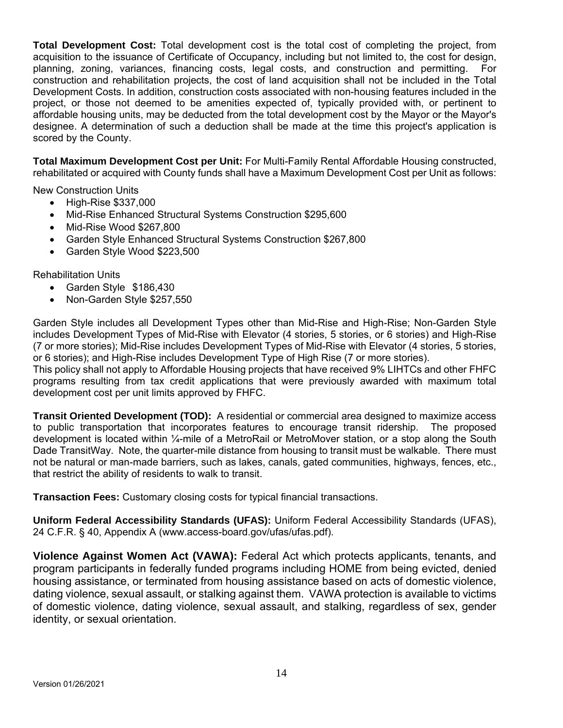**Total Development Cost:** Total development cost is the total cost of completing the project, from acquisition to the issuance of Certificate of Occupancy, including but not limited to, the cost for design, planning, zoning, variances, financing costs, legal costs, and construction and permitting. For construction and rehabilitation projects, the cost of land acquisition shall not be included in the Total Development Costs. In addition, construction costs associated with non-housing features included in the project, or those not deemed to be amenities expected of, typically provided with, or pertinent to affordable housing units, may be deducted from the total development cost by the Mayor or the Mayor's designee. A determination of such a deduction shall be made at the time this project's application is scored by the County.

**Total Maximum Development Cost per Unit:** For Multi-Family Rental Affordable Housing constructed, rehabilitated or acquired with County funds shall have a Maximum Development Cost per Unit as follows:

New Construction Units

- High-Rise \$337,000
- Mid-Rise Enhanced Structural Systems Construction \$295,600
- Mid-Rise Wood \$267,800
- Garden Style Enhanced Structural Systems Construction \$267,800
- Garden Style Wood \$223,500

Rehabilitation Units

- Garden Style \$186,430
- Non-Garden Style \$257,550

Garden Style includes all Development Types other than Mid-Rise and High-Rise; Non-Garden Style includes Development Types of Mid-Rise with Elevator (4 stories, 5 stories, or 6 stories) and High-Rise (7 or more stories); Mid-Rise includes Development Types of Mid-Rise with Elevator (4 stories, 5 stories, or 6 stories); and High-Rise includes Development Type of High Rise (7 or more stories).

This policy shall not apply to Affordable Housing projects that have received 9% LIHTCs and other FHFC programs resulting from tax credit applications that were previously awarded with maximum total development cost per unit limits approved by FHFC.

**Transit Oriented Development (TOD):** A residential or commercial area designed to maximize access to public transportation that incorporates features to encourage transit ridership. The proposed development is located within ¼-mile of a MetroRail or MetroMover station, or a stop along the South Dade TransitWay. Note, the quarter-mile distance from housing to transit must be walkable. There must not be natural or man-made barriers, such as lakes, canals, gated communities, highways, fences, etc., that restrict the ability of residents to walk to transit.

**Transaction Fees:** Customary closing costs for typical financial transactions.

**Uniform Federal Accessibility Standards (UFAS):** Uniform Federal Accessibility Standards (UFAS), 24 C.F.R. § 40, Appendix A (www.access-board.gov/ufas/ufas.pdf).

**Violence Against Women Act (VAWA):** Federal Act which protects applicants, tenants, and program participants in federally funded programs including HOME from being evicted, denied housing assistance, or terminated from housing assistance based on acts of domestic violence, dating violence, sexual assault, or stalking against them. VAWA protection is available to victims of domestic violence, dating violence, sexual assault, and stalking, regardless of sex, gender identity, or sexual orientation.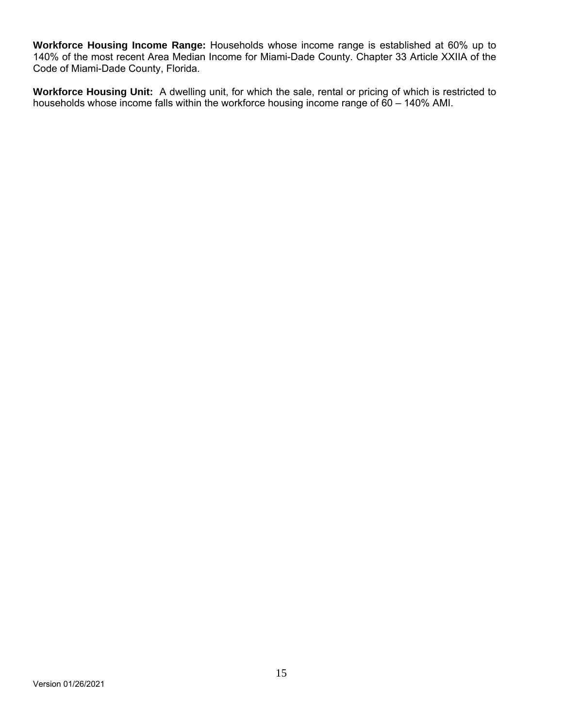**Workforce Housing Income Range:** Households whose income range is established at 60% up to 140% of the most recent Area Median Income for Miami-Dade County. Chapter 33 Article XXIIA of the Code of Miami-Dade County, Florida.

**Workforce Housing Unit:** A dwelling unit, for which the sale, rental or pricing of which is restricted to households whose income falls within the workforce housing income range of 60 – 140% AMI.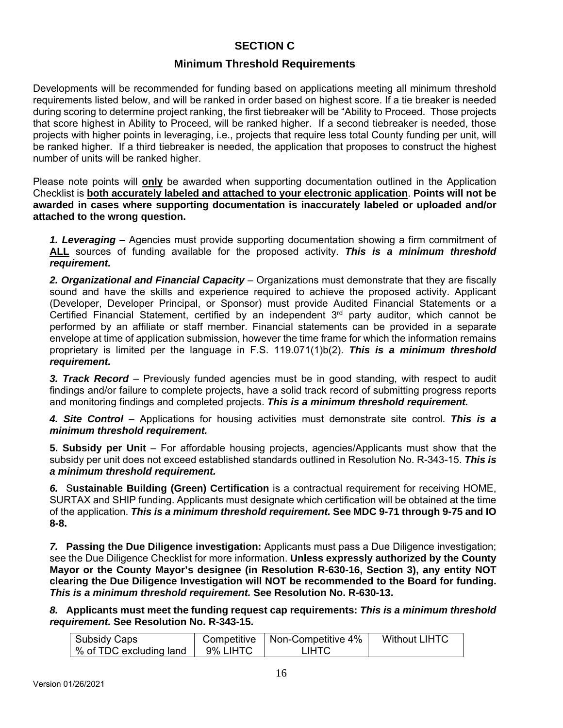# **SECTION C**

# **Minimum Threshold Requirements**

Developments will be recommended for funding based on applications meeting all minimum threshold requirements listed below, and will be ranked in order based on highest score. If a tie breaker is needed during scoring to determine project ranking, the first tiebreaker will be "Ability to Proceed. Those projects that score highest in Ability to Proceed, will be ranked higher. If a second tiebreaker is needed, those projects with higher points in leveraging, i.e., projects that require less total County funding per unit, will be ranked higher. If a third tiebreaker is needed, the application that proposes to construct the highest number of units will be ranked higher.

Please note points will **only** be awarded when supporting documentation outlined in the Application Checklist is **both accurately labeled and attached to your electronic application**. **Points will not be awarded in cases where supporting documentation is inaccurately labeled or uploaded and/or attached to the wrong question.** 

*1. Leveraging* – Agencies must provide supporting documentation showing a firm commitment of **ALL** sources of funding available for the proposed activity. *This is a minimum threshold requirement.* 

*2. Organizational and Financial Capacity* – Organizations must demonstrate that they are fiscally sound and have the skills and experience required to achieve the proposed activity. Applicant (Developer, Developer Principal, or Sponsor) must provide Audited Financial Statements or a Certified Financial Statement, certified by an independent  $3<sup>rd</sup>$  party auditor, which cannot be performed by an affiliate or staff member. Financial statements can be provided in a separate envelope at time of application submission, however the time frame for which the information remains proprietary is limited per the language in F.S. 119.071(1)b(2). *This is a minimum threshold requirement.*

*3. Track Record* – Previously funded agencies must be in good standing, with respect to audit findings and/or failure to complete projects, have a solid track record of submitting progress reports and monitoring findings and completed projects. *This is a minimum threshold requirement.* 

*4. Site Control* – Applications for housing activities must demonstrate site control. *This is a minimum threshold requirement.* 

**5. Subsidy per Unit** – For affordable housing projects, agencies/Applicants must show that the subsidy per unit does not exceed established standards outlined in Resolution No. R-343-15. *This is a minimum threshold requirement.* 

*6.* S**ustainable Building (Green) Certification** is a contractual requirement for receiving HOME, SURTAX and SHIP funding. Applicants must designate which certification will be obtained at the time of the application. *This is a minimum threshold requirement.* **See MDC 9-71 through 9-75 and IO 8-8.**

*7.* **Passing the Due Diligence investigation:** Applicants must pass a Due Diligence investigation; see the Due Diligence Checklist for more information. **Unless expressly authorized by the County Mayor or the County Mayor's designee (in Resolution R-630-16, Section 3), any entity NOT clearing the Due Diligence Investigation will NOT be recommended to the Board for funding.**  *This is a minimum threshold requirement.* **See Resolution No. R-630-13.**

*8.* **Applicants must meet the funding request cap requirements:** *This is a minimum threshold requirement.* **See Resolution No. R-343-15.**

| Subsidy Caps            |          | Competitive   Non-Competitive 4% | <b>Without LIHTC</b> |
|-------------------------|----------|----------------------------------|----------------------|
| % of TDC excluding land | 9% LIHTC | <b>LIHTC</b>                     |                      |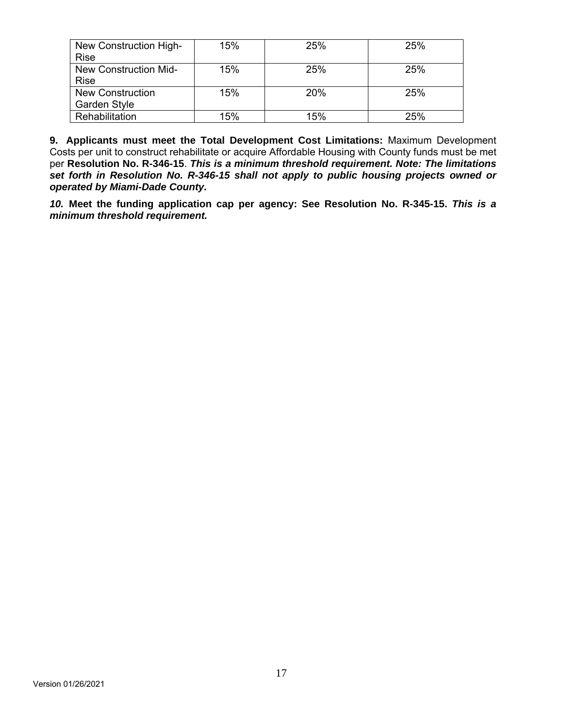| New Construction High-  | 15% | 25% | 25% |
|-------------------------|-----|-----|-----|
| Rise                    |     |     |     |
| New Construction Mid-   | 15% | 25% | 25% |
| <b>Rise</b>             |     |     |     |
| <b>New Construction</b> | 15% | 20% | 25% |
| Garden Style            |     |     |     |
| Rehabilitation          | 15% | 15% | 25% |

**9. Applicants must meet the Total Development Cost Limitations:** Maximum Development Costs per unit to construct rehabilitate or acquire Affordable Housing with County funds must be met per **Resolution No. R-346-15**. *This is a minimum threshold requirement. Note: The limitations set forth in Resolution No. R-346-15 shall not apply to public housing projects owned or operated by Miami-Dade County.* 

*10.* **Meet the funding application cap per agency: See Resolution No. R-345-15.** *This is a minimum threshold requirement.*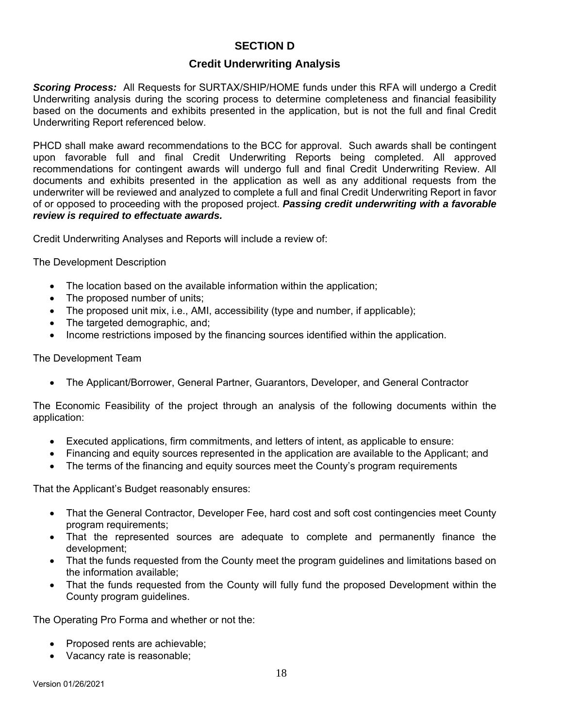# **SECTION D**

# **Credit Underwriting Analysis**

*Scoring Process:* All Requests for SURTAX/SHIP/HOME funds under this RFA will undergo a Credit Underwriting analysis during the scoring process to determine completeness and financial feasibility based on the documents and exhibits presented in the application, but is not the full and final Credit Underwriting Report referenced below.

PHCD shall make award recommendations to the BCC for approval. Such awards shall be contingent upon favorable full and final Credit Underwriting Reports being completed. All approved recommendations for contingent awards will undergo full and final Credit Underwriting Review. All documents and exhibits presented in the application as well as any additional requests from the underwriter will be reviewed and analyzed to complete a full and final Credit Underwriting Report in favor of or opposed to proceeding with the proposed project. *Passing credit underwriting with a favorable review is required to effectuate awards.*

Credit Underwriting Analyses and Reports will include a review of:

The Development Description

- The location based on the available information within the application;
- The proposed number of units;
- The proposed unit mix, i.e., AMI, accessibility (type and number, if applicable);
- The targeted demographic, and;
- Income restrictions imposed by the financing sources identified within the application.

#### The Development Team

The Applicant/Borrower, General Partner, Guarantors, Developer, and General Contractor

The Economic Feasibility of the project through an analysis of the following documents within the application:

- Executed applications, firm commitments, and letters of intent, as applicable to ensure:
- Financing and equity sources represented in the application are available to the Applicant; and
- The terms of the financing and equity sources meet the County's program requirements

That the Applicant's Budget reasonably ensures:

- That the General Contractor, Developer Fee, hard cost and soft cost contingencies meet County program requirements;
- That the represented sources are adequate to complete and permanently finance the development;
- That the funds requested from the County meet the program guidelines and limitations based on the information available;
- That the funds requested from the County will fully fund the proposed Development within the County program guidelines.

The Operating Pro Forma and whether or not the:

- Proposed rents are achievable;
- Vacancy rate is reasonable;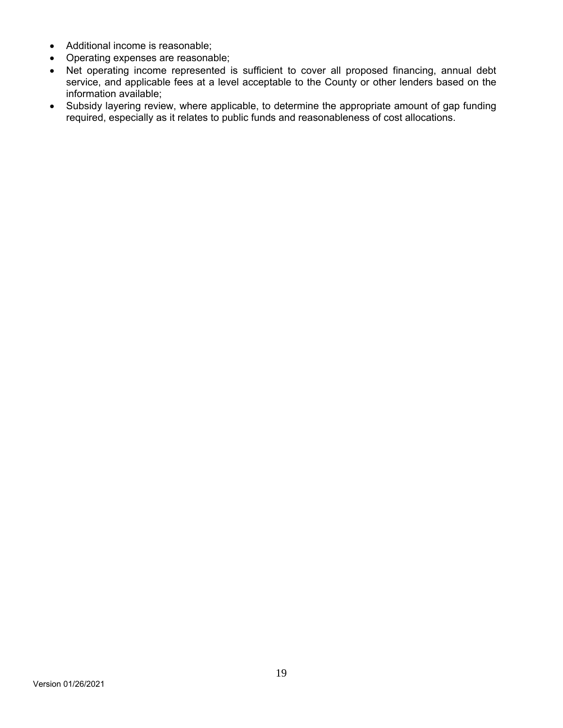- Additional income is reasonable;
- Operating expenses are reasonable;
- Net operating income represented is sufficient to cover all proposed financing, annual debt service, and applicable fees at a level acceptable to the County or other lenders based on the information available;
- Subsidy layering review, where applicable, to determine the appropriate amount of gap funding required, especially as it relates to public funds and reasonableness of cost allocations.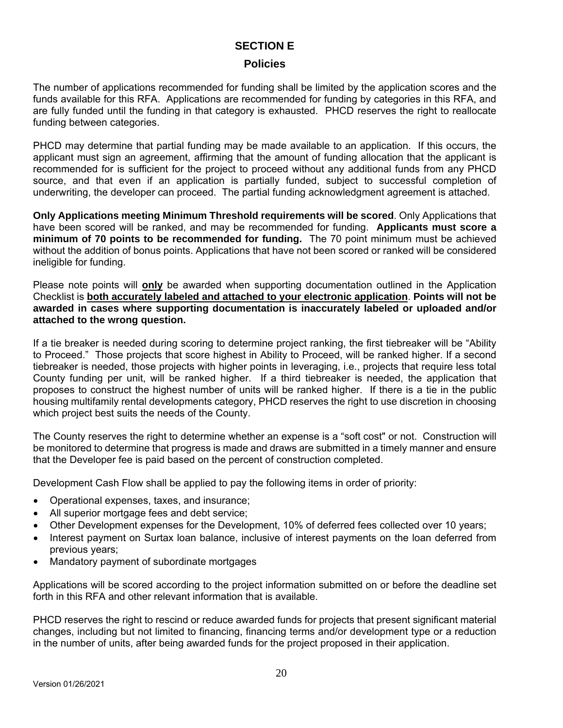# **SECTION E**

#### **Policies**

The number of applications recommended for funding shall be limited by the application scores and the funds available for this RFA. Applications are recommended for funding by categories in this RFA, and are fully funded until the funding in that category is exhausted. PHCD reserves the right to reallocate funding between categories.

PHCD may determine that partial funding may be made available to an application. If this occurs, the applicant must sign an agreement, affirming that the amount of funding allocation that the applicant is recommended for is sufficient for the project to proceed without any additional funds from any PHCD source, and that even if an application is partially funded, subject to successful completion of underwriting, the developer can proceed. The partial funding acknowledgment agreement is attached.

**Only Applications meeting Minimum Threshold requirements will be scored**. Only Applications that have been scored will be ranked, and may be recommended for funding. **Applicants must score a minimum of 70 points to be recommended for funding.** The 70 point minimum must be achieved without the addition of bonus points. Applications that have not been scored or ranked will be considered ineligible for funding.

Please note points will **only** be awarded when supporting documentation outlined in the Application Checklist is **both accurately labeled and attached to your electronic application**. **Points will not be awarded in cases where supporting documentation is inaccurately labeled or uploaded and/or attached to the wrong question.** 

If a tie breaker is needed during scoring to determine project ranking, the first tiebreaker will be "Ability to Proceed." Those projects that score highest in Ability to Proceed, will be ranked higher. If a second tiebreaker is needed, those projects with higher points in leveraging, i.e., projects that require less total County funding per unit, will be ranked higher. If a third tiebreaker is needed, the application that proposes to construct the highest number of units will be ranked higher. If there is a tie in the public housing multifamily rental developments category, PHCD reserves the right to use discretion in choosing which project best suits the needs of the County.

The County reserves the right to determine whether an expense is a "soft cost" or not. Construction will be monitored to determine that progress is made and draws are submitted in a timely manner and ensure that the Developer fee is paid based on the percent of construction completed.

Development Cash Flow shall be applied to pay the following items in order of priority:

- Operational expenses, taxes, and insurance;
- All superior mortgage fees and debt service;
- Other Development expenses for the Development, 10% of deferred fees collected over 10 years;
- Interest payment on Surtax loan balance, inclusive of interest payments on the loan deferred from previous years;
- Mandatory payment of subordinate mortgages

Applications will be scored according to the project information submitted on or before the deadline set forth in this RFA and other relevant information that is available.

PHCD reserves the right to rescind or reduce awarded funds for projects that present significant material changes, including but not limited to financing, financing terms and/or development type or a reduction in the number of units, after being awarded funds for the project proposed in their application.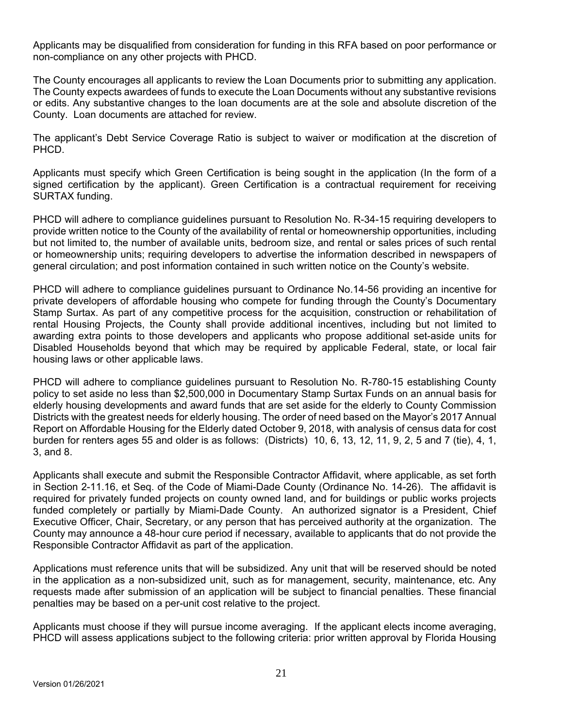Applicants may be disqualified from consideration for funding in this RFA based on poor performance or non-compliance on any other projects with PHCD.

The County encourages all applicants to review the Loan Documents prior to submitting any application. The County expects awardees of funds to execute the Loan Documents without any substantive revisions or edits. Any substantive changes to the loan documents are at the sole and absolute discretion of the County. Loan documents are attached for review.

The applicant's Debt Service Coverage Ratio is subject to waiver or modification at the discretion of PHCD.

Applicants must specify which Green Certification is being sought in the application (In the form of a signed certification by the applicant). Green Certification is a contractual requirement for receiving SURTAX funding.

PHCD will adhere to compliance guidelines pursuant to Resolution No. R-34-15 requiring developers to provide written notice to the County of the availability of rental or homeownership opportunities, including but not limited to, the number of available units, bedroom size, and rental or sales prices of such rental or homeownership units; requiring developers to advertise the information described in newspapers of general circulation; and post information contained in such written notice on the County's website.

PHCD will adhere to compliance guidelines pursuant to Ordinance No.14-56 providing an incentive for private developers of affordable housing who compete for funding through the County's Documentary Stamp Surtax. As part of any competitive process for the acquisition, construction or rehabilitation of rental Housing Projects, the County shall provide additional incentives, including but not limited to awarding extra points to those developers and applicants who propose additional set-aside units for Disabled Households beyond that which may be required by applicable Federal, state, or local fair housing laws or other applicable laws.

PHCD will adhere to compliance guidelines pursuant to Resolution No. R-780-15 establishing County policy to set aside no less than \$2,500,000 in Documentary Stamp Surtax Funds on an annual basis for elderly housing developments and award funds that are set aside for the elderly to County Commission Districts with the greatest needs for elderly housing. The order of need based on the Mayor's 2017 Annual Report on Affordable Housing for the Elderly dated October 9, 2018, with analysis of census data for cost burden for renters ages 55 and older is as follows: (Districts) 10, 6, 13, 12, 11, 9, 2, 5 and 7 (tie), 4, 1, 3, and 8.

Applicants shall execute and submit the Responsible Contractor Affidavit, where applicable, as set forth in Section 2-11.16, et Seq. of the Code of Miami-Dade County (Ordinance No. 14-26). The affidavit is required for privately funded projects on county owned land, and for buildings or public works projects funded completely or partially by Miami-Dade County. An authorized signator is a President, Chief Executive Officer, Chair, Secretary, or any person that has perceived authority at the organization. The County may announce a 48-hour cure period if necessary, available to applicants that do not provide the Responsible Contractor Affidavit as part of the application.

Applications must reference units that will be subsidized. Any unit that will be reserved should be noted in the application as a non-subsidized unit, such as for management, security, maintenance, etc. Any requests made after submission of an application will be subject to financial penalties. These financial penalties may be based on a per-unit cost relative to the project.

Applicants must choose if they will pursue income averaging. If the applicant elects income averaging, PHCD will assess applications subject to the following criteria: prior written approval by Florida Housing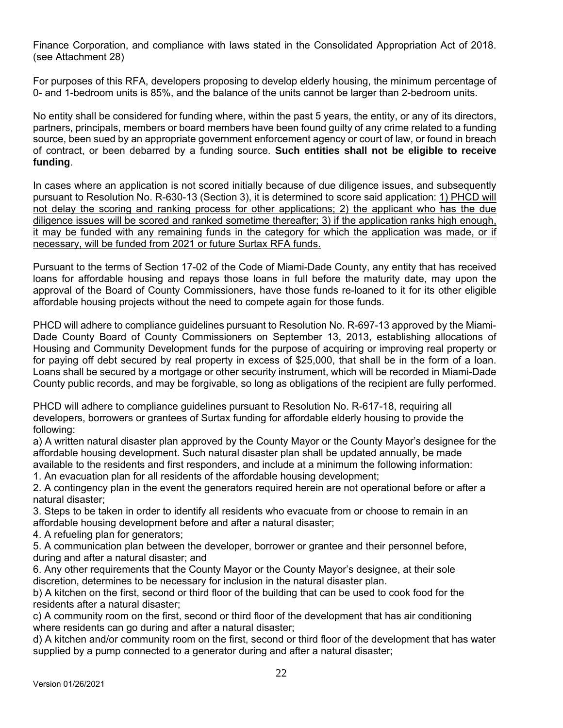Finance Corporation, and compliance with laws stated in the Consolidated Appropriation Act of 2018. (see Attachment 28)

For purposes of this RFA, developers proposing to develop elderly housing, the minimum percentage of 0- and 1-bedroom units is 85%, and the balance of the units cannot be larger than 2-bedroom units.

No entity shall be considered for funding where, within the past 5 years, the entity, or any of its directors, partners, principals, members or board members have been found guilty of any crime related to a funding source, been sued by an appropriate government enforcement agency or court of law, or found in breach of contract, or been debarred by a funding source. **Such entities shall not be eligible to receive funding**.

In cases where an application is not scored initially because of due diligence issues, and subsequently pursuant to Resolution No. R-630-13 (Section 3), it is determined to score said application: 1) PHCD will not delay the scoring and ranking process for other applications; 2) the applicant who has the due diligence issues will be scored and ranked sometime thereafter; 3) if the application ranks high enough, it may be funded with any remaining funds in the category for which the application was made, or if necessary, will be funded from 2021 or future Surtax RFA funds.

Pursuant to the terms of Section 17-02 of the Code of Miami-Dade County, any entity that has received loans for affordable housing and repays those loans in full before the maturity date, may upon the approval of the Board of County Commissioners, have those funds re-loaned to it for its other eligible affordable housing projects without the need to compete again for those funds.

PHCD will adhere to compliance guidelines pursuant to Resolution No. R-697-13 approved by the Miami-Dade County Board of County Commissioners on September 13, 2013, establishing allocations of Housing and Community Development funds for the purpose of acquiring or improving real property or for paying off debt secured by real property in excess of \$25,000, that shall be in the form of a loan. Loans shall be secured by a mortgage or other security instrument, which will be recorded in Miami-Dade County public records, and may be forgivable, so long as obligations of the recipient are fully performed.

PHCD will adhere to compliance guidelines pursuant to Resolution No. R-617-18, requiring all developers, borrowers or grantees of Surtax funding for affordable elderly housing to provide the following:

a) A written natural disaster plan approved by the County Mayor or the County Mayor's designee for the affordable housing development. Such natural disaster plan shall be updated annually, be made available to the residents and first responders, and include at a minimum the following information:

1. An evacuation plan for all residents of the affordable housing development;

2. A contingency plan in the event the generators required herein are not operational before or after a natural disaster;

3. Steps to be taken in order to identify all residents who evacuate from or choose to remain in an affordable housing development before and after a natural disaster;

4. A refueling plan for generators;

5. A communication plan between the developer, borrower or grantee and their personnel before, during and after a natural disaster; and

6. Any other requirements that the County Mayor or the County Mayor's designee, at their sole discretion, determines to be necessary for inclusion in the natural disaster plan.

b) A kitchen on the first, second or third floor of the building that can be used to cook food for the residents after a natural disaster;

c) A community room on the first, second or third floor of the development that has air conditioning where residents can go during and after a natural disaster;

d) A kitchen and/or community room on the first, second or third floor of the development that has water supplied by a pump connected to a generator during and after a natural disaster;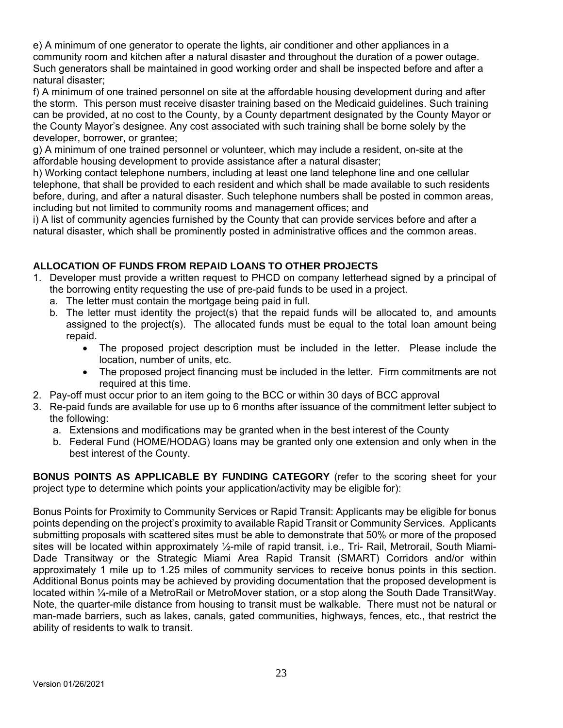e) A minimum of one generator to operate the lights, air conditioner and other appliances in a community room and kitchen after a natural disaster and throughout the duration of a power outage. Such generators shall be maintained in good working order and shall be inspected before and after a natural disaster;

f) A minimum of one trained personnel on site at the affordable housing development during and after the storm. This person must receive disaster training based on the Medicaid guidelines. Such training can be provided, at no cost to the County, by a County department designated by the County Mayor or the County Mayor's designee. Any cost associated with such training shall be borne solely by the developer, borrower, or grantee;

g) A minimum of one trained personnel or volunteer, which may include a resident, on-site at the affordable housing development to provide assistance after a natural disaster;

h) Working contact telephone numbers, including at least one land telephone line and one cellular telephone, that shall be provided to each resident and which shall be made available to such residents before, during, and after a natural disaster. Such telephone numbers shall be posted in common areas, including but not limited to community rooms and management offices; and

i) A list of community agencies furnished by the County that can provide services before and after a natural disaster, which shall be prominently posted in administrative offices and the common areas.

# **ALLOCATION OF FUNDS FROM REPAID LOANS TO OTHER PROJECTS**

- 1. Developer must provide a written request to PHCD on company letterhead signed by a principal of the borrowing entity requesting the use of pre-paid funds to be used in a project.
	- a. The letter must contain the mortgage being paid in full.
	- b. The letter must identity the project(s) that the repaid funds will be allocated to, and amounts assigned to the project(s). The allocated funds must be equal to the total loan amount being repaid.
		- The proposed project description must be included in the letter. Please include the location, number of units, etc.
		- The proposed project financing must be included in the letter. Firm commitments are not required at this time.
- 2. Pay-off must occur prior to an item going to the BCC or within 30 days of BCC approval
- 3. Re-paid funds are available for use up to 6 months after issuance of the commitment letter subject to the following:
	- a. Extensions and modifications may be granted when in the best interest of the County
	- b. Federal Fund (HOME/HODAG) loans may be granted only one extension and only when in the best interest of the County.

**BONUS POINTS AS APPLICABLE BY FUNDING CATEGORY** (refer to the scoring sheet for your project type to determine which points your application/activity may be eligible for):

Bonus Points for Proximity to Community Services or Rapid Transit: Applicants may be eligible for bonus points depending on the project's proximity to available Rapid Transit or Community Services. Applicants submitting proposals with scattered sites must be able to demonstrate that 50% or more of the proposed sites will be located within approximately ½-mile of rapid transit, i.e., Tri- Rail, Metrorail, South Miami-Dade Transitway or the Strategic Miami Area Rapid Transit (SMART) Corridors and/or within approximately 1 mile up to 1.25 miles of community services to receive bonus points in this section. Additional Bonus points may be achieved by providing documentation that the proposed development is located within ¼-mile of a MetroRail or MetroMover station, or a stop along the South Dade TransitWay. Note, the quarter-mile distance from housing to transit must be walkable. There must not be natural or man-made barriers, such as lakes, canals, gated communities, highways, fences, etc., that restrict the ability of residents to walk to transit.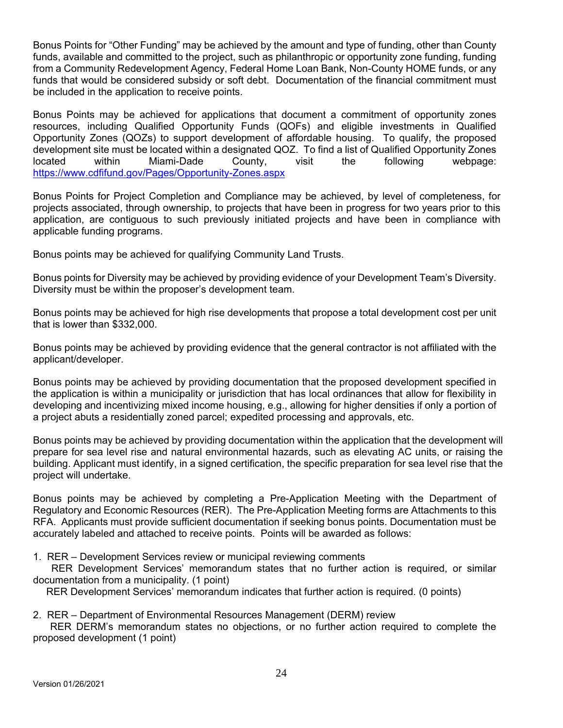Bonus Points for "Other Funding" may be achieved by the amount and type of funding, other than County funds, available and committed to the project, such as philanthropic or opportunity zone funding, funding from a Community Redevelopment Agency, Federal Home Loan Bank, Non-County HOME funds, or any funds that would be considered subsidy or soft debt. Documentation of the financial commitment must be included in the application to receive points.

Bonus Points may be achieved for applications that document a commitment of opportunity zones resources, including Qualified Opportunity Funds (QOFs) and eligible investments in Qualified Opportunity Zones (QOZs) to support development of affordable housing. To qualify, the proposed development site must be located within a designated QOZ. To find a list of Qualified Opportunity Zones located within Miami-Dade County, visit the following webpage: https://www.cdfifund.gov/Pages/Opportunity-Zones.aspx

Bonus Points for Project Completion and Compliance may be achieved, by level of completeness, for projects associated, through ownership, to projects that have been in progress for two years prior to this application, are contiguous to such previously initiated projects and have been in compliance with applicable funding programs.

Bonus points may be achieved for qualifying Community Land Trusts.

Bonus points for Diversity may be achieved by providing evidence of your Development Team's Diversity. Diversity must be within the proposer's development team.

Bonus points may be achieved for high rise developments that propose a total development cost per unit that is lower than \$332,000.

Bonus points may be achieved by providing evidence that the general contractor is not affiliated with the applicant/developer.

Bonus points may be achieved by providing documentation that the proposed development specified in the application is within a municipality or jurisdiction that has local ordinances that allow for flexibility in developing and incentivizing mixed income housing, e.g., allowing for higher densities if only a portion of a project abuts a residentially zoned parcel; expedited processing and approvals, etc.

Bonus points may be achieved by providing documentation within the application that the development will prepare for sea level rise and natural environmental hazards, such as elevating AC units, or raising the building. Applicant must identify, in a signed certification, the specific preparation for sea level rise that the project will undertake.

Bonus points may be achieved by completing a Pre-Application Meeting with the Department of Regulatory and Economic Resources (RER). The Pre-Application Meeting forms are Attachments to this RFA. Applicants must provide sufficient documentation if seeking bonus points. Documentation must be accurately labeled and attached to receive points. Points will be awarded as follows:

1. RER – Development Services review or municipal reviewing comments

 RER Development Services' memorandum states that no further action is required, or similar documentation from a municipality. (1 point)

RER Development Services' memorandum indicates that further action is required. (0 points)

2. RER – Department of Environmental Resources Management (DERM) review

 RER DERM's memorandum states no objections, or no further action required to complete the proposed development (1 point)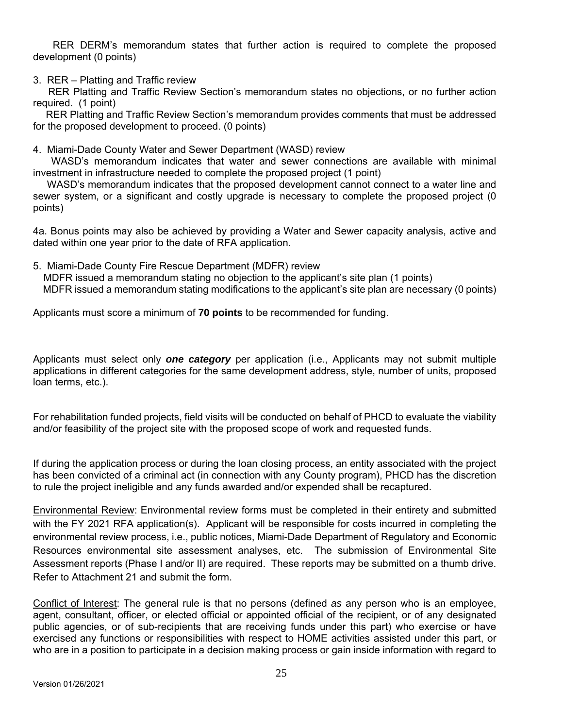RER DERM's memorandum states that further action is required to complete the proposed development (0 points)

3. RER – Platting and Traffic review

 RER Platting and Traffic Review Section's memorandum states no objections, or no further action required. (1 point)

 RER Platting and Traffic Review Section's memorandum provides comments that must be addressed for the proposed development to proceed. (0 points)

4. Miami-Dade County Water and Sewer Department (WASD) review

 WASD's memorandum indicates that water and sewer connections are available with minimal investment in infrastructure needed to complete the proposed project (1 point)

 WASD's memorandum indicates that the proposed development cannot connect to a water line and sewer system, or a significant and costly upgrade is necessary to complete the proposed project (0 points)

4a. Bonus points may also be achieved by providing a Water and Sewer capacity analysis, active and dated within one year prior to the date of RFA application.

5. Miami-Dade County Fire Rescue Department (MDFR) review MDFR issued a memorandum stating no objection to the applicant's site plan (1 points) MDFR issued a memorandum stating modifications to the applicant's site plan are necessary (0 points)

Applicants must score a minimum of **70 points** to be recommended for funding.

Applicants must select only *one category* per application (i.e., Applicants may not submit multiple applications in different categories for the same development address, style, number of units, proposed loan terms, etc.).

For rehabilitation funded projects, field visits will be conducted on behalf of PHCD to evaluate the viability and/or feasibility of the project site with the proposed scope of work and requested funds.

If during the application process or during the loan closing process, an entity associated with the project has been convicted of a criminal act (in connection with any County program), PHCD has the discretion to rule the project ineligible and any funds awarded and/or expended shall be recaptured.

Environmental Review: Environmental review forms must be completed in their entirety and submitted with the FY 2021 RFA application(s). Applicant will be responsible for costs incurred in completing the environmental review process, i.e., public notices, Miami-Dade Department of Regulatory and Economic Resources environmental site assessment analyses, etc. The submission of Environmental Site Assessment reports (Phase I and/or II) are required. These reports may be submitted on a thumb drive. Refer to Attachment 21 and submit the form.

Conflict of Interest: The general rule is that no persons (defined *as* any person who is an employee, agent, consultant, officer, or elected official or appointed official of the recipient, or of any designated public agencies, or of sub-recipients that are receiving funds under this part) who exercise or have exercised any functions or responsibilities with respect to HOME activities assisted under this part, or who are in a position to participate in a decision making process or gain inside information with regard to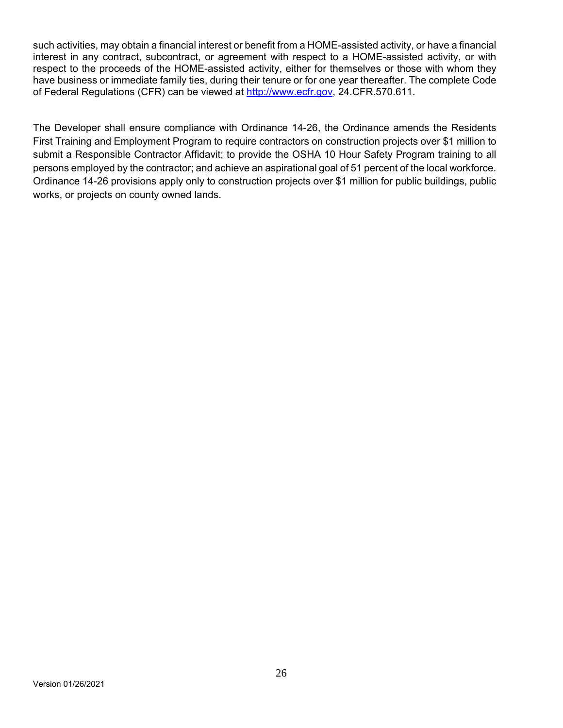such activities, may obtain a financial interest or benefit from a HOME-assisted activity, or have a financial interest in any contract, subcontract, or agreement with respect to a HOME-assisted activity, or with respect to the proceeds of the HOME-assisted activity, either for themselves or those with whom they have business or immediate family ties, during their tenure or for one year thereafter. The complete Code of Federal Regulations (CFR) can be viewed at http://www.ecfr.gov, 24.CFR.570.611.

The Developer shall ensure compliance with Ordinance 14-26, the Ordinance amends the Residents First Training and Employment Program to require contractors on construction projects over \$1 million to submit a Responsible Contractor Affidavit; to provide the OSHA 10 Hour Safety Program training to all persons employed by the contractor; and achieve an aspirational goal of 51 percent of the local workforce. Ordinance 14-26 provisions apply only to construction projects over \$1 million for public buildings, public works, or projects on county owned lands.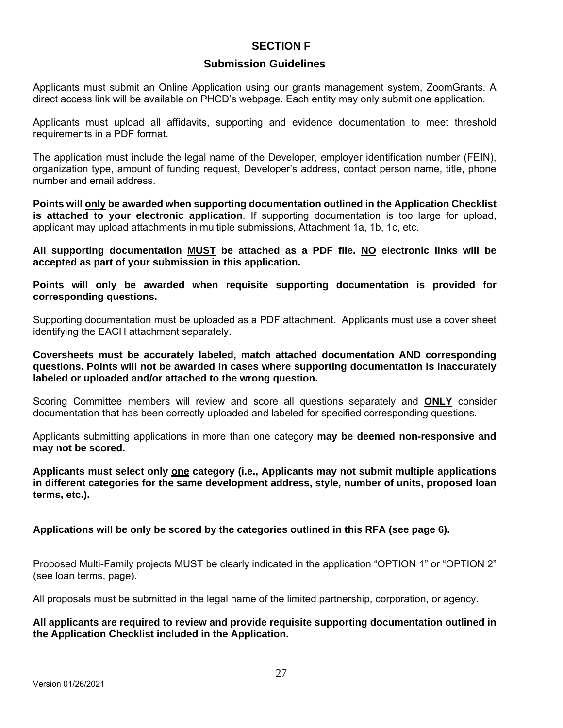## **SECTION F**

### **Submission Guidelines**

Applicants must submit an Online Application using our grants management system, ZoomGrants. A direct access link will be available on PHCD's webpage. Each entity may only submit one application.

Applicants must upload all affidavits, supporting and evidence documentation to meet threshold requirements in a PDF format.

The application must include the legal name of the Developer, employer identification number (FEIN), organization type, amount of funding request, Developer's address, contact person name, title, phone number and email address.

**Points will only be awarded when supporting documentation outlined in the Application Checklist is attached to your electronic application**. If supporting documentation is too large for upload, applicant may upload attachments in multiple submissions, Attachment 1a, 1b, 1c, etc.

**All supporting documentation MUST be attached as a PDF file. NO electronic links will be accepted as part of your submission in this application.** 

**Points will only be awarded when requisite supporting documentation is provided for corresponding questions.** 

Supporting documentation must be uploaded as a PDF attachment. Applicants must use a cover sheet identifying the EACH attachment separately.

**Coversheets must be accurately labeled, match attached documentation AND corresponding questions. Points will not be awarded in cases where supporting documentation is inaccurately labeled or uploaded and/or attached to the wrong question.**

Scoring Committee members will review and score all questions separately and **ONLY** consider documentation that has been correctly uploaded and labeled for specified corresponding questions.

Applicants submitting applications in more than one category **may be deemed non-responsive and may not be scored.** 

**Applicants must select only one category (i.e., Applicants may not submit multiple applications in different categories for the same development address, style, number of units, proposed loan terms, etc.).** 

**Applications will be only be scored by the categories outlined in this RFA (see page 6).** 

Proposed Multi-Family projects MUST be clearly indicated in the application "OPTION 1" or "OPTION 2" (see loan terms, page).

All proposals must be submitted in the legal name of the limited partnership, corporation, or agency**.** 

#### **All applicants are required to review and provide requisite supporting documentation outlined in the Application Checklist included in the Application.**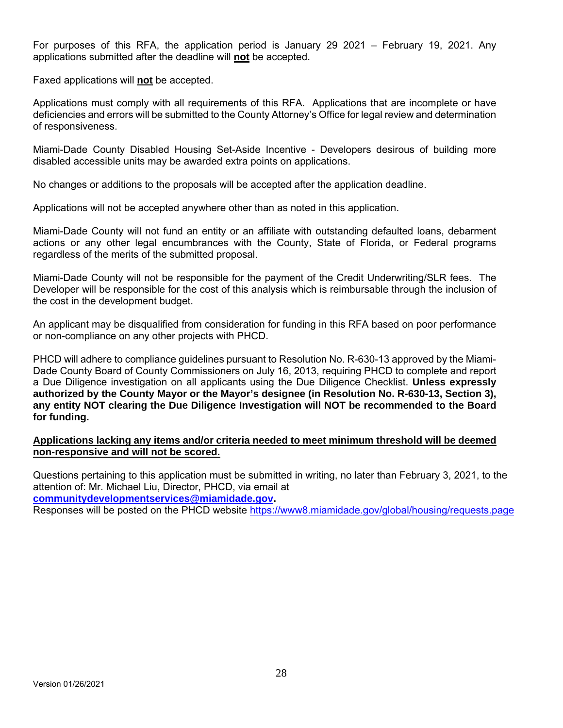For purposes of this RFA, the application period is January 29 2021 – February 19, 2021. Any applications submitted after the deadline will **not** be accepted.

Faxed applications will **not** be accepted.

Applications must comply with all requirements of this RFA. Applications that are incomplete or have deficiencies and errors will be submitted to the County Attorney's Office for legal review and determination of responsiveness.

Miami-Dade County Disabled Housing Set-Aside Incentive - Developers desirous of building more disabled accessible units may be awarded extra points on applications.

No changes or additions to the proposals will be accepted after the application deadline.

Applications will not be accepted anywhere other than as noted in this application.

Miami-Dade County will not fund an entity or an affiliate with outstanding defaulted loans, debarment actions or any other legal encumbrances with the County, State of Florida, or Federal programs regardless of the merits of the submitted proposal.

Miami-Dade County will not be responsible for the payment of the Credit Underwriting/SLR fees. The Developer will be responsible for the cost of this analysis which is reimbursable through the inclusion of the cost in the development budget.

An applicant may be disqualified from consideration for funding in this RFA based on poor performance or non-compliance on any other projects with PHCD.

PHCD will adhere to compliance guidelines pursuant to Resolution No. R-630-13 approved by the Miami-Dade County Board of County Commissioners on July 16, 2013, requiring PHCD to complete and report a Due Diligence investigation on all applicants using the Due Diligence Checklist. **Unless expressly authorized by the County Mayor or the Mayor's designee (in Resolution No. R-630-13, Section 3), any entity NOT clearing the Due Diligence Investigation will NOT be recommended to the Board for funding.** 

#### **Applications lacking any items and/or criteria needed to meet minimum threshold will be deemed non-responsive and will not be scored.**

Questions pertaining to this application must be submitted in writing, no later than February 3, 2021, to the attention of: Mr. Michael Liu, Director, PHCD, via email at **communitydevelopmentservices@miamidade.gov.** 

Responses will be posted on the PHCD website https://www8.miamidade.gov/global/housing/requests.page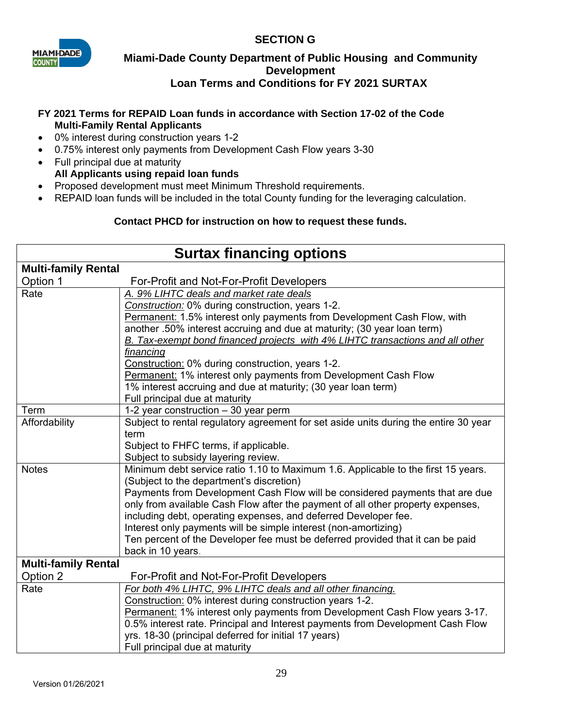# **SECTION G**



# **Miami-Dade County Department of Public Housing and Community Development Loan Terms and Conditions for FY 2021 SURTAX**

## **FY 2021 Terms for REPAID Loan funds in accordance with Section 17-02 of the Code Multi-Family Rental Applicants**

- 0% interest during construction years 1-2
- 0.75% interest only payments from Development Cash Flow years 3-30
- Full principal due at maturity **All Applicants using repaid loan funds**
- Proposed development must meet Minimum Threshold requirements.
- REPAID loan funds will be included in the total County funding for the leveraging calculation.

# **Contact PHCD for instruction on how to request these funds.**

| <b>Surtax financing options</b> |                                                                                      |  |  |
|---------------------------------|--------------------------------------------------------------------------------------|--|--|
| <b>Multi-family Rental</b>      |                                                                                      |  |  |
| Option 1                        | For-Profit and Not-For-Profit Developers                                             |  |  |
| Rate                            | A. 9% LIHTC deals and market rate deals                                              |  |  |
|                                 | Construction: 0% during construction, years 1-2.                                     |  |  |
|                                 | Permanent: 1.5% interest only payments from Development Cash Flow, with              |  |  |
|                                 | another .50% interest accruing and due at maturity; (30 year loan term)              |  |  |
|                                 | B. Tax-exempt bond financed projects with 4% LIHTC transactions and all other        |  |  |
|                                 | financing                                                                            |  |  |
|                                 | Construction: 0% during construction, years 1-2.                                     |  |  |
|                                 | <b>Permanent: 1% interest only payments from Development Cash Flow</b>               |  |  |
|                                 | 1% interest accruing and due at maturity; (30 year loan term)                        |  |  |
|                                 | Full principal due at maturity                                                       |  |  |
| Term                            | 1-2 year construction - 30 year perm                                                 |  |  |
| Affordability                   | Subject to rental regulatory agreement for set aside units during the entire 30 year |  |  |
|                                 | term                                                                                 |  |  |
|                                 | Subject to FHFC terms, if applicable.                                                |  |  |
|                                 | Subject to subsidy layering review.                                                  |  |  |
| <b>Notes</b>                    | Minimum debt service ratio 1.10 to Maximum 1.6. Applicable to the first 15 years.    |  |  |
|                                 | (Subject to the department's discretion)                                             |  |  |
|                                 | Payments from Development Cash Flow will be considered payments that are due         |  |  |
|                                 | only from available Cash Flow after the payment of all other property expenses,      |  |  |
|                                 | including debt, operating expenses, and deferred Developer fee.                      |  |  |
|                                 | Interest only payments will be simple interest (non-amortizing)                      |  |  |
|                                 | Ten percent of the Developer fee must be deferred provided that it can be paid       |  |  |
|                                 | back in 10 years.                                                                    |  |  |
| <b>Multi-family Rental</b>      |                                                                                      |  |  |
| Option 2                        | For-Profit and Not-For-Profit Developers                                             |  |  |
| Rate                            | For both 4% LIHTC, 9% LIHTC deals and all other financing.                           |  |  |
|                                 | Construction: 0% interest during construction years 1-2.                             |  |  |
|                                 | Permanent: 1% interest only payments from Development Cash Flow years 3-17.          |  |  |
|                                 | 0.5% interest rate. Principal and Interest payments from Development Cash Flow       |  |  |
|                                 | yrs. 18-30 (principal deferred for initial 17 years)                                 |  |  |
|                                 | Full principal due at maturity                                                       |  |  |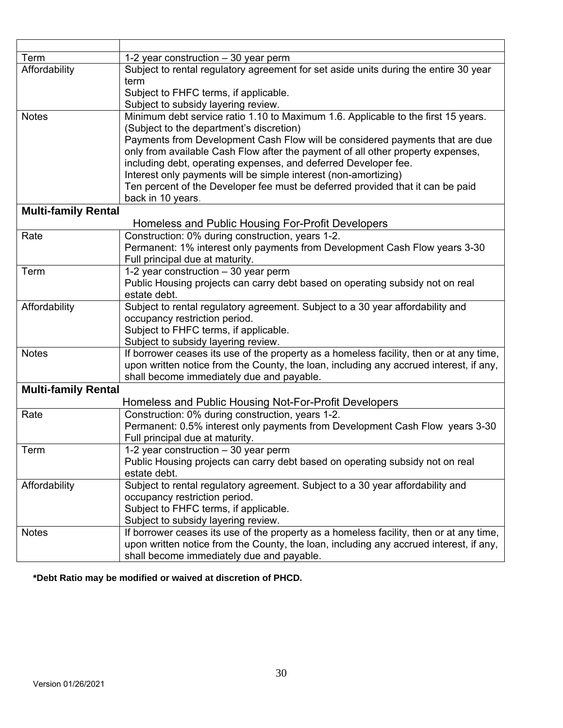| Term                       | 1-2 year construction – 30 year perm                                                    |
|----------------------------|-----------------------------------------------------------------------------------------|
| Affordability              | Subject to rental regulatory agreement for set aside units during the entire 30 year    |
|                            | term                                                                                    |
|                            | Subject to FHFC terms, if applicable.                                                   |
|                            | Subject to subsidy layering review.                                                     |
| <b>Notes</b>               | Minimum debt service ratio 1.10 to Maximum 1.6. Applicable to the first 15 years.       |
|                            | (Subject to the department's discretion)                                                |
|                            | Payments from Development Cash Flow will be considered payments that are due            |
|                            | only from available Cash Flow after the payment of all other property expenses,         |
|                            | including debt, operating expenses, and deferred Developer fee.                         |
|                            | Interest only payments will be simple interest (non-amortizing)                         |
|                            | Ten percent of the Developer fee must be deferred provided that it can be paid          |
|                            | back in 10 years.                                                                       |
| <b>Multi-family Rental</b> |                                                                                         |
|                            | Homeless and Public Housing For-Profit Developers                                       |
| Rate                       | Construction: 0% during construction, years 1-2.                                        |
|                            | Permanent: 1% interest only payments from Development Cash Flow years 3-30              |
|                            | Full principal due at maturity.                                                         |
| Term                       | 1-2 year construction - 30 year perm                                                    |
|                            | Public Housing projects can carry debt based on operating subsidy not on real           |
|                            | estate debt.                                                                            |
| Affordability              | Subject to rental regulatory agreement. Subject to a 30 year affordability and          |
|                            | occupancy restriction period.                                                           |
|                            | Subject to FHFC terms, if applicable.                                                   |
|                            | Subject to subsidy layering review.                                                     |
| <b>Notes</b>               | If borrower ceases its use of the property as a homeless facility, then or at any time, |
|                            | upon written notice from the County, the loan, including any accrued interest, if any,  |
|                            | shall become immediately due and payable.                                               |
| <b>Multi-family Rental</b> |                                                                                         |
|                            | Homeless and Public Housing Not-For-Profit Developers                                   |
| Rate                       | Construction: 0% during construction, years 1-2.                                        |
|                            | Permanent: 0.5% interest only payments from Development Cash Flow years 3-30            |
|                            | Full principal due at maturity.                                                         |
| Term                       | 1-2 year construction - 30 year perm                                                    |
|                            | Public Housing projects can carry debt based on operating subsidy not on real           |
|                            | estate debt.                                                                            |
| Affordability              | Subject to rental regulatory agreement. Subject to a 30 year affordability and          |
|                            | occupancy restriction period.                                                           |
|                            | Subject to FHFC terms, if applicable.                                                   |
|                            | Subject to subsidy layering review.                                                     |
| <b>Notes</b>               | If borrower ceases its use of the property as a homeless facility, then or at any time, |
|                            | upon written notice from the County, the loan, including any accrued interest, if any,  |
|                            | shall become immediately due and payable.                                               |

**\*Debt Ratio may be modified or waived at discretion of PHCD.**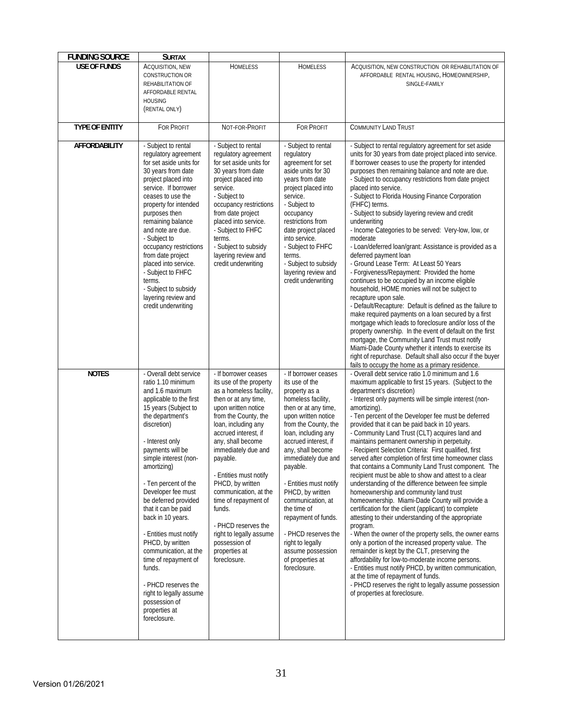| <b>FUNDING SOURCE</b> | <b>SURTAX</b>                                                                                                                                                                                                                                                                                                                                                                                                                                                                                                                                                       |                                                                                                                                                                                                                                                                                                                                                                                                                                                                       |                                                                                                                                                                                                                                                                                                                                                                                                                                                                          |                                                                                                                                                                                                                                                                                                                                                                                                                                                                                                                                                                                                                                                                                                                                                                                                                                                                                                                                                                                                                                                                                                                                                                                                                                                                                                                                                              |
|-----------------------|---------------------------------------------------------------------------------------------------------------------------------------------------------------------------------------------------------------------------------------------------------------------------------------------------------------------------------------------------------------------------------------------------------------------------------------------------------------------------------------------------------------------------------------------------------------------|-----------------------------------------------------------------------------------------------------------------------------------------------------------------------------------------------------------------------------------------------------------------------------------------------------------------------------------------------------------------------------------------------------------------------------------------------------------------------|--------------------------------------------------------------------------------------------------------------------------------------------------------------------------------------------------------------------------------------------------------------------------------------------------------------------------------------------------------------------------------------------------------------------------------------------------------------------------|--------------------------------------------------------------------------------------------------------------------------------------------------------------------------------------------------------------------------------------------------------------------------------------------------------------------------------------------------------------------------------------------------------------------------------------------------------------------------------------------------------------------------------------------------------------------------------------------------------------------------------------------------------------------------------------------------------------------------------------------------------------------------------------------------------------------------------------------------------------------------------------------------------------------------------------------------------------------------------------------------------------------------------------------------------------------------------------------------------------------------------------------------------------------------------------------------------------------------------------------------------------------------------------------------------------------------------------------------------------|
| <b>USE OF FUNDS</b>   | ACQUISITION, NEW<br>CONSTRUCTION OR<br>REHABILITATION OF<br>AFFORDABLE RENTAL<br><b>HOUSING</b><br>(RENTAL ONLY)                                                                                                                                                                                                                                                                                                                                                                                                                                                    | <b>HOMELESS</b>                                                                                                                                                                                                                                                                                                                                                                                                                                                       | <b>HOMELESS</b>                                                                                                                                                                                                                                                                                                                                                                                                                                                          | ACQUISITION, NEW CONSTRUCTION OR REHABILITATION OF<br>AFFORDABLE RENTAL HOUSING, HOMEOWNERSHIP,<br>SINGLE-FAMILY                                                                                                                                                                                                                                                                                                                                                                                                                                                                                                                                                                                                                                                                                                                                                                                                                                                                                                                                                                                                                                                                                                                                                                                                                                             |
| <b>TYPE OF ENTITY</b> | <b>FOR PROFIT</b>                                                                                                                                                                                                                                                                                                                                                                                                                                                                                                                                                   | NOT-FOR-PROFIT                                                                                                                                                                                                                                                                                                                                                                                                                                                        | <b>FOR PROFIT</b>                                                                                                                                                                                                                                                                                                                                                                                                                                                        | <b>COMMUNITY LAND TRUST</b>                                                                                                                                                                                                                                                                                                                                                                                                                                                                                                                                                                                                                                                                                                                                                                                                                                                                                                                                                                                                                                                                                                                                                                                                                                                                                                                                  |
| <b>AFFORDABILITY</b>  | - Subject to rental<br>regulatory agreement<br>for set aside units for<br>30 years from date<br>project placed into<br>service. If borrower<br>ceases to use the<br>property for intended<br>purposes then<br>remaining balance<br>and note are due.<br>- Subject to<br>occupancy restrictions<br>from date project<br>placed into service.<br>- Subject to FHFC<br>terms.<br>- Subject to subsidy<br>layering review and<br>credit underwriting                                                                                                                    | - Subject to rental<br>regulatory agreement<br>for set aside units for<br>30 years from date<br>project placed into<br>service.<br>- Subject to<br>occupancy restrictions<br>from date project<br>placed into service.<br>- Subject to FHFC<br>terms.<br>- Subject to subsidy<br>layering review and<br>credit underwriting                                                                                                                                           | - Subject to rental<br>regulatory<br>agreement for set<br>aside units for 30<br>years from date<br>project placed into<br>service.<br>- Subject to<br>occupancy<br>restrictions from<br>date project placed<br>into service.<br>- Subject to FHFC<br>terms.<br>- Subject to subsidy<br>layering review and<br>credit underwriting                                                                                                                                        | - Subject to rental regulatory agreement for set aside<br>units for 30 years from date project placed into service.<br>If borrower ceases to use the property for intended<br>purposes then remaining balance and note are due.<br>- Subject to occupancy restrictions from date project<br>placed into service.<br>- Subject to Florida Housing Finance Corporation<br>(FHFC) terms.<br>- Subject to subsidy layering review and credit<br>underwriting<br>- Income Categories to be served: Very-low, low, or<br>moderate<br>- Loan/deferred loan/grant: Assistance is provided as a<br>deferred payment loan<br>- Ground Lease Term: At Least 50 Years<br>- Forgiveness/Repayment: Provided the home<br>continues to be occupied by an income eligible<br>household, HOME monies will not be subject to<br>recapture upon sale.<br>- Default/Recapture: Default is defined as the failure to<br>make required payments on a loan secured by a first<br>mortgage which leads to foreclosure and/or loss of the<br>property ownership. In the event of default on the first<br>mortgage, the Community Land Trust must notify<br>Miami-Dade County whether it intends to exercise its<br>right of repurchase. Default shall also occur if the buyer<br>fails to occupy the home as a primary residence.                                                     |
| <b>NOTES</b>          | - Overall debt service<br>ratio 1.10 minimum<br>and 1.6 maximum<br>applicable to the first<br>15 years (Subject to<br>the department's<br>discretion)<br>- Interest only<br>payments will be<br>simple interest (non-<br>amortizing)<br>- Ten percent of the<br>Developer fee must<br>be deferred provided<br>that it can be paid<br>back in 10 years.<br>- Entities must notify<br>PHCD, by written<br>communication, at the<br>time of repayment of<br>funds.<br>- PHCD reserves the<br>right to legally assume<br>possession of<br>properties at<br>foreclosure. | - If borrower ceases<br>its use of the property<br>as a homeless facility,<br>then or at any time,<br>upon written notice<br>from the County, the<br>loan, including any<br>accrued interest. if<br>any, shall become<br>immediately due and<br>payable.<br>- Entities must notify<br>PHCD, by written<br>communication, at the<br>time of repayment of<br>funds.<br>- PHCD reserves the<br>right to legally assume<br>possession of<br>properties at<br>foreclosure. | - If borrower ceases<br>its use of the<br>property as a<br>homeless facility,<br>then or at any time,<br>upon written notice<br>from the County, the<br>loan, including any<br>accrued interest, if<br>any, shall become<br>immediately due and<br>payable.<br>- Entities must notify<br>PHCD, by written<br>communication, at<br>the time of<br>repayment of funds.<br>- PHCD reserves the<br>right to legally<br>assume possession<br>of properties at<br>foreclosure. | - Overall debt service ratio 1.0 minimum and 1.6<br>maximum applicable to first 15 years. (Subject to the<br>department's discretion)<br>- Interest only payments will be simple interest (non-<br>amortizing).<br>- Ten percent of the Developer fee must be deferred<br>provided that it can be paid back in 10 years.<br>- Community Land Trust (CLT) acquires land and<br>maintains permanent ownership in perpetuity.<br>- Recipient Selection Criteria: First qualified, first<br>served after completion of first time homeowner class<br>that contains a Community Land Trust component. The<br>recipient must be able to show and attest to a clear<br>understanding of the difference between fee simple<br>homeownership and community land trust<br>homeownership. Miami-Dade County will provide a<br>certification for the client (applicant) to complete<br>attesting to their understanding of the appropriate<br>program.<br>- When the owner of the property sells, the owner earns<br>only a portion of the increased property value. The<br>remainder is kept by the CLT, preserving the<br>affordability for low-to-moderate income persons.<br>- Entities must notify PHCD, by written communication,<br>at the time of repayment of funds.<br>- PHCD reserves the right to legally assume possession<br>of properties at foreclosure. |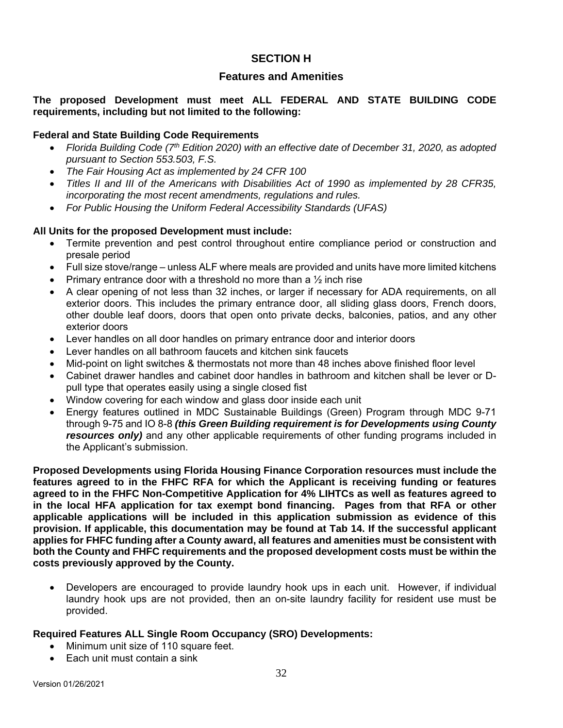### **SECTION H**

### **Features and Amenities**

#### **The proposed Development must meet ALL FEDERAL AND STATE BUILDING CODE requirements, including but not limited to the following:**

#### **Federal and State Building Code Requirements**

- *Florida Building Code (7th Edition 2020) with an effective date of December 31, 2020, as adopted pursuant to Section 553.503, F.S.*
- *The Fair Housing Act as implemented by 24 CFR 100*
- *Titles II and III of the Americans with Disabilities Act of 1990 as implemented by 28 CFR35, incorporating the most recent amendments, regulations and rules.*
- *For Public Housing the Uniform Federal Accessibility Standards (UFAS)*

#### **All Units for the proposed Development must include:**

- Termite prevention and pest control throughout entire compliance period or construction and presale period
- Full size stove/range unless ALF where meals are provided and units have more limited kitchens
- Primary entrance door with a threshold no more than a  $\frac{1}{2}$  inch rise
- A clear opening of not less than 32 inches, or larger if necessary for ADA requirements, on all exterior doors. This includes the primary entrance door, all sliding glass doors, French doors, other double leaf doors, doors that open onto private decks, balconies, patios, and any other exterior doors
- Lever handles on all door handles on primary entrance door and interior doors
- Lever handles on all bathroom faucets and kitchen sink faucets
- Mid-point on light switches & thermostats not more than 48 inches above finished floor level
- Cabinet drawer handles and cabinet door handles in bathroom and kitchen shall be lever or Dpull type that operates easily using a single closed fist
- Window covering for each window and glass door inside each unit
- Energy features outlined in MDC Sustainable Buildings (Green) Program through MDC 9-71 through 9-75 and IO 8-8 *(this Green Building requirement is for Developments using County resources only)* and any other applicable requirements of other funding programs included in the Applicant's submission.

**Proposed Developments using Florida Housing Finance Corporation resources must include the features agreed to in the FHFC RFA for which the Applicant is receiving funding or features agreed to in the FHFC Non-Competitive Application for 4% LIHTCs as well as features agreed to in the local HFA application for tax exempt bond financing. Pages from that RFA or other applicable applications will be included in this application submission as evidence of this provision. If applicable, this documentation may be found at Tab 14. If the successful applicant applies for FHFC funding after a County award, all features and amenities must be consistent with both the County and FHFC requirements and the proposed development costs must be within the costs previously approved by the County.**

 Developers are encouraged to provide laundry hook ups in each unit. However, if individual laundry hook ups are not provided, then an on-site laundry facility for resident use must be provided.

#### **Required Features ALL Single Room Occupancy (SRO) Developments:**

- Minimum unit size of 110 square feet.
- Each unit must contain a sink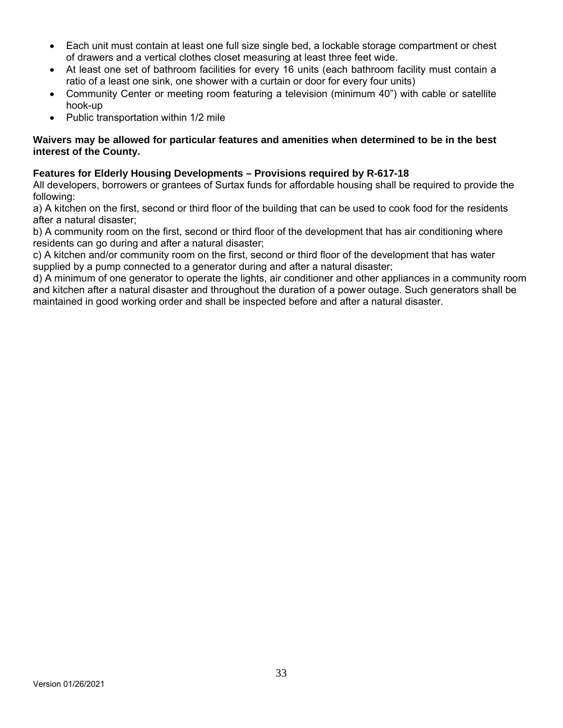- Each unit must contain at least one full size single bed, a lockable storage compartment or chest of drawers and a vertical clothes closet measuring at least three feet wide.
- At least one set of bathroom facilities for every 16 units (each bathroom facility must contain a ratio of a least one sink, one shower with a curtain or door for every four units)
- Community Center or meeting room featuring a television (minimum 40") with cable or satellite hook-up
- Public transportation within 1/2 mile

#### **Waivers may be allowed for particular features and amenities when determined to be in the best interest of the County.**

### **Features for Elderly Housing Developments – Provisions required by R-617-18**

All developers, borrowers or grantees of Surtax funds for affordable housing shall be required to provide the following:

a) A kitchen on the first, second or third floor of the building that can be used to cook food for the residents after a natural disaster;

b) A community room on the first, second or third floor of the development that has air conditioning where residents can go during and after a natural disaster;

c) A kitchen and/or community room on the first, second or third floor of the development that has water supplied by a pump connected to a generator during and after a natural disaster;

d) A minimum of one generator to operate the lights, air conditioner and other appliances in a community room and kitchen after a natural disaster and throughout the duration of a power outage. Such generators shall be maintained in good working order and shall be inspected before and after a natural disaster.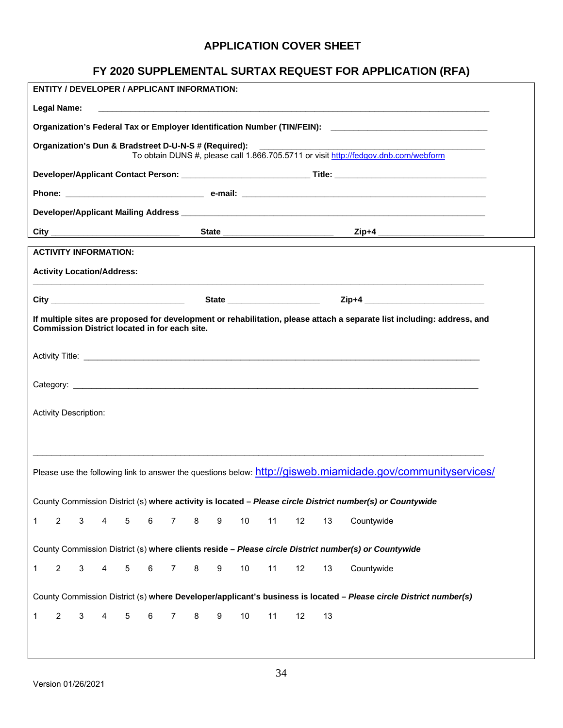# **APPLICATION COVER SHEET**

# **FY 2020 SUPPLEMENTAL SURTAX REQUEST FOR APPLICATION (RFA)**

| <b>ENTITY / DEVELOPER / APPLICANT INFORMATION:</b>                                                                                                                              |  |  |  |
|---------------------------------------------------------------------------------------------------------------------------------------------------------------------------------|--|--|--|
| Legal Name:<br><u> 1990 - Jan James James James James James James James James James James James James James James James James J</u>                                             |  |  |  |
| Organization's Federal Tax or Employer Identification Number (TIN/FEIN): ___________________________                                                                            |  |  |  |
| Organization's Dun & Bradstreet D-U-N-S # (Required):<br>To obtain DUNS #, please call 1.866.705.5711 or visit http://fedgov.dnb.com/webform                                    |  |  |  |
|                                                                                                                                                                                 |  |  |  |
|                                                                                                                                                                                 |  |  |  |
|                                                                                                                                                                                 |  |  |  |
|                                                                                                                                                                                 |  |  |  |
| <b>ACTIVITY INFORMATION:</b>                                                                                                                                                    |  |  |  |
| <b>Activity Location/Address:</b>                                                                                                                                               |  |  |  |
|                                                                                                                                                                                 |  |  |  |
| If multiple sites are proposed for development or rehabilitation, please attach a separate list including: address, and<br><b>Commission District located in for each site.</b> |  |  |  |
|                                                                                                                                                                                 |  |  |  |
|                                                                                                                                                                                 |  |  |  |
|                                                                                                                                                                                 |  |  |  |
|                                                                                                                                                                                 |  |  |  |
| <b>Activity Description:</b>                                                                                                                                                    |  |  |  |
|                                                                                                                                                                                 |  |  |  |
|                                                                                                                                                                                 |  |  |  |
| Please use the following link to answer the questions below: http://gisweb.miamidade.gov/communityservices/                                                                     |  |  |  |
| County Commission District (s) where activity is located - Please circle District number(s) or Countywide                                                                       |  |  |  |
| $\overline{2}$<br>3<br>$10$<br>12<br>4<br>5<br>6<br>$\overline{7}$<br>8<br>9<br>11<br>13<br>Countywide                                                                          |  |  |  |
| County Commission District (s) where clients reside - Please circle District number(s) or Countywide                                                                            |  |  |  |
| $\overline{2}$<br>$10$<br>11<br>12<br>13<br>3<br>5<br>6<br>$\overline{7}$<br>8<br>9<br>Countywide<br>4                                                                          |  |  |  |
| County Commission District (s) where Developer/applicant's business is located - Please circle District number(s)                                                               |  |  |  |
| 2<br>3<br>6<br>$\overline{7}$<br>8<br>$10$<br>11<br>5<br>9<br>12<br>13<br>4                                                                                                     |  |  |  |
|                                                                                                                                                                                 |  |  |  |
|                                                                                                                                                                                 |  |  |  |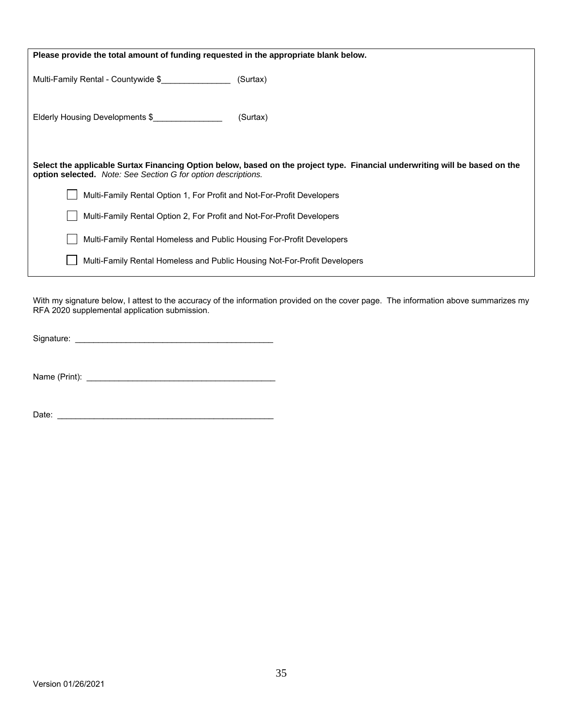| Please provide the total amount of funding requested in the appropriate blank below. |                                                                                                                             |  |  |
|--------------------------------------------------------------------------------------|-----------------------------------------------------------------------------------------------------------------------------|--|--|
|                                                                                      |                                                                                                                             |  |  |
| Multi-Family Rental - Countywide \$                                                  | (Surtax)                                                                                                                    |  |  |
|                                                                                      |                                                                                                                             |  |  |
| Elderly Housing Developments \$                                                      | (Surtax)                                                                                                                    |  |  |
|                                                                                      |                                                                                                                             |  |  |
|                                                                                      |                                                                                                                             |  |  |
|                                                                                      | Select the applicable Surtax Financing Option below, based on the project type. Financial underwriting will be based on the |  |  |
| option selected. Note: See Section G for option descriptions.                        |                                                                                                                             |  |  |
| Multi-Family Rental Option 1, For Profit and Not-For-Profit Developers               |                                                                                                                             |  |  |
| Multi-Family Rental Option 2, For Profit and Not-For-Profit Developers               |                                                                                                                             |  |  |
| Multi-Family Rental Homeless and Public Housing For-Profit Developers                |                                                                                                                             |  |  |
|                                                                                      |                                                                                                                             |  |  |
| Multi-Family Rental Homeless and Public Housing Not-For-Profit Developers            |                                                                                                                             |  |  |
|                                                                                      |                                                                                                                             |  |  |

With my signature below, I attest to the accuracy of the information provided on the cover page. The information above summarizes my RFA 2020 supplemental application submission.

| Signature: |
|------------|
|------------|

Name (Print): \_\_\_\_\_\_\_\_\_\_\_\_\_\_\_\_\_\_\_\_\_\_\_\_\_\_\_\_\_\_\_\_\_\_\_\_\_\_\_\_\_

Date: \_\_\_\_\_\_\_\_\_\_\_\_\_\_\_\_\_\_\_\_\_\_\_\_\_\_\_\_\_\_\_\_\_\_\_\_\_\_\_\_\_\_\_\_\_\_\_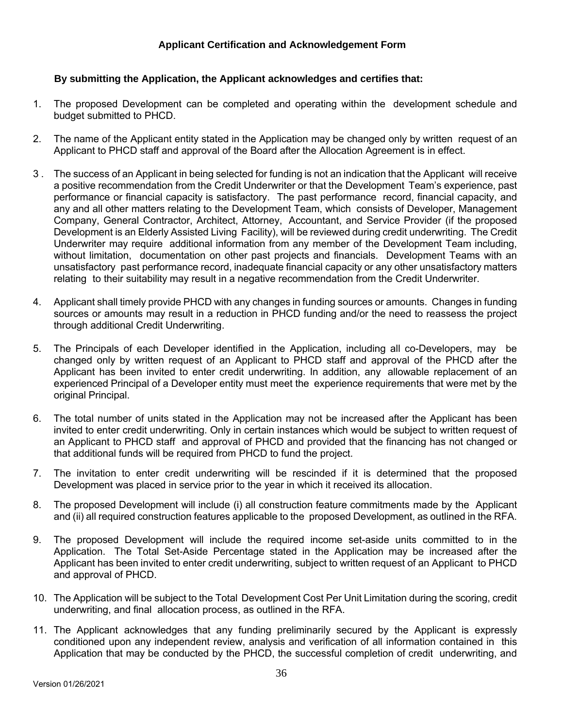### **By submitting the Application, the Applicant acknowledges and certifies that:**

- 1. The proposed Development can be completed and operating within the development schedule and budget submitted to PHCD.
- 2. The name of the Applicant entity stated in the Application may be changed only by written request of an Applicant to PHCD staff and approval of the Board after the Allocation Agreement is in effect.
- 3 . The success of an Applicant in being selected for funding is not an indication that the Applicant will receive a positive recommendation from the Credit Underwriter or that the Development Team's experience, past performance or financial capacity is satisfactory. The past performance record, financial capacity, and any and all other matters relating to the Development Team, which consists of Developer, Management Company, General Contractor, Architect, Attorney, Accountant, and Service Provider (if the proposed Development is an Elderly Assisted Living Facility), will be reviewed during credit underwriting. The Credit Underwriter may require additional information from any member of the Development Team including, without limitation, documentation on other past projects and financials. Development Teams with an unsatisfactory past performance record, inadequate financial capacity or any other unsatisfactory matters relating to their suitability may result in a negative recommendation from the Credit Underwriter.
- 4. Applicant shall timely provide PHCD with any changes in funding sources or amounts. Changes in funding sources or amounts may result in a reduction in PHCD funding and/or the need to reassess the project through additional Credit Underwriting.
- 5. The Principals of each Developer identified in the Application, including all co-Developers, may be changed only by written request of an Applicant to PHCD staff and approval of the PHCD after the Applicant has been invited to enter credit underwriting. In addition, any allowable replacement of an experienced Principal of a Developer entity must meet the experience requirements that were met by the original Principal.
- 6. The total number of units stated in the Application may not be increased after the Applicant has been invited to enter credit underwriting. Only in certain instances which would be subject to written request of an Applicant to PHCD staff and approval of PHCD and provided that the financing has not changed or that additional funds will be required from PHCD to fund the project.
- 7. The invitation to enter credit underwriting will be rescinded if it is determined that the proposed Development was placed in service prior to the year in which it received its allocation.
- 8. The proposed Development will include (i) all construction feature commitments made by the Applicant and (ii) all required construction features applicable to the proposed Development, as outlined in the RFA.
- 9. The proposed Development will include the required income set-aside units committed to in the Application. The Total Set-Aside Percentage stated in the Application may be increased after the Applicant has been invited to enter credit underwriting, subject to written request of an Applicant to PHCD and approval of PHCD.
- 10. The Application will be subject to the Total Development Cost Per Unit Limitation during the scoring, credit underwriting, and final allocation process, as outlined in the RFA.
- 11. The Applicant acknowledges that any funding preliminarily secured by the Applicant is expressly conditioned upon any independent review, analysis and verification of all information contained in this Application that may be conducted by the PHCD, the successful completion of credit underwriting, and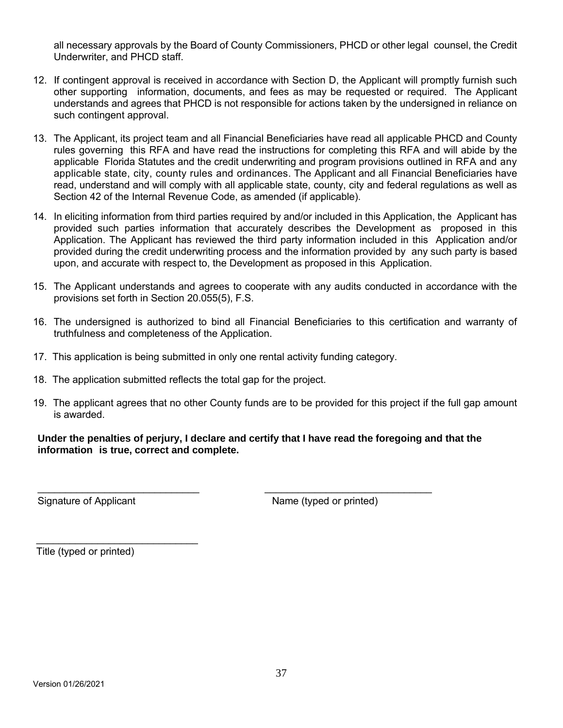all necessary approvals by the Board of County Commissioners, PHCD or other legal counsel, the Credit Underwriter, and PHCD staff.

- 12. If contingent approval is received in accordance with Section D, the Applicant will promptly furnish such other supporting information, documents, and fees as may be requested or required. The Applicant understands and agrees that PHCD is not responsible for actions taken by the undersigned in reliance on such contingent approval.
- 13. The Applicant, its project team and all Financial Beneficiaries have read all applicable PHCD and County rules governing this RFA and have read the instructions for completing this RFA and will abide by the applicable Florida Statutes and the credit underwriting and program provisions outlined in RFA and any applicable state, city, county rules and ordinances. The Applicant and all Financial Beneficiaries have read, understand and will comply with all applicable state, county, city and federal regulations as well as Section 42 of the Internal Revenue Code, as amended (if applicable).
- 14. In eliciting information from third parties required by and/or included in this Application, the Applicant has provided such parties information that accurately describes the Development as proposed in this Application. The Applicant has reviewed the third party information included in this Application and/or provided during the credit underwriting process and the information provided by any such party is based upon, and accurate with respect to, the Development as proposed in this Application.
- 15. The Applicant understands and agrees to cooperate with any audits conducted in accordance with the provisions set forth in Section 20.055(5), F.S.
- 16. The undersigned is authorized to bind all Financial Beneficiaries to this certification and warranty of truthfulness and completeness of the Application.
- 17. This application is being submitted in only one rental activity funding category.
- 18. The application submitted reflects the total gap for the project.
- 19. The applicant agrees that no other County funds are to be provided for this project if the full gap amount is awarded.

 **Under the penalties of perjury, I declare and certify that I have read the foregoing and that the information is true, correct and complete.** 

 $\overline{\phantom{a}}$  , and the contribution of the contribution of the contribution of the contribution of the contribution of the contribution of the contribution of the contribution of the contribution of the contribution of the

Signature of Applicant Name (typed or printed)

Title (typed or printed)

\_\_\_\_\_\_\_\_\_\_\_\_\_\_\_\_\_\_\_\_\_\_\_\_\_\_\_\_\_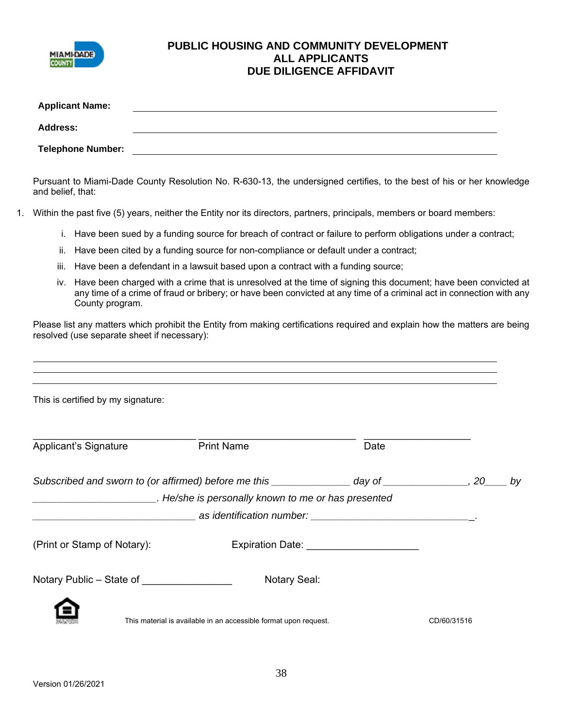

# **PUBLIC HOUSING AND COMMUNITY DEVELOPMENT ALL APPLICANTS DUE DILIGENCE AFFIDAVIT**

| <b>Applicant Name:</b>   |  |
|--------------------------|--|
| <b>Address:</b>          |  |
| <b>Telephone Number:</b> |  |

Pursuant to Miami-Dade County Resolution No. R-630-13, the undersigned certifies, to the best of his or her knowledge and belief, that:

- 1. Within the past five (5) years, neither the Entity nor its directors, partners, principals, members or board members:
	- i. Have been sued by a funding source for breach of contract or failure to perform obligations under a contract;
	- ii. Have been cited by a funding source for non-compliance or default under a contract;
	- iii. Have been a defendant in a lawsuit based upon a contract with a funding source;
	- iv. Have been charged with a crime that is unresolved at the time of signing this document; have been convicted at any time of a crime of fraud or bribery; or have been convicted at any time of a criminal act in connection with any County program.

Please list any matters which prohibit the Entity from making certifications required and explain how the matters are being resolved (use separate sheet if necessary):

| This is certified by my signature:                                                                       |                                                                  |      |             |  |
|----------------------------------------------------------------------------------------------------------|------------------------------------------------------------------|------|-------------|--|
| Applicant's Signature                                                                                    | <b>Print Name</b>                                                | Date |             |  |
| Subscribed and sworn to (or affirmed) before me this ________________ day of _______________, 20_____ by |                                                                  |      |             |  |
|                                                                                                          |                                                                  |      |             |  |
|                                                                                                          |                                                                  |      |             |  |
| (Print or Stamp of Notary):                                                                              |                                                                  |      |             |  |
| Notary Public – State of _________________                                                               | Notary Seal:                                                     |      |             |  |
|                                                                                                          | This material is available in an accessible format upon request. |      | CD/60/31516 |  |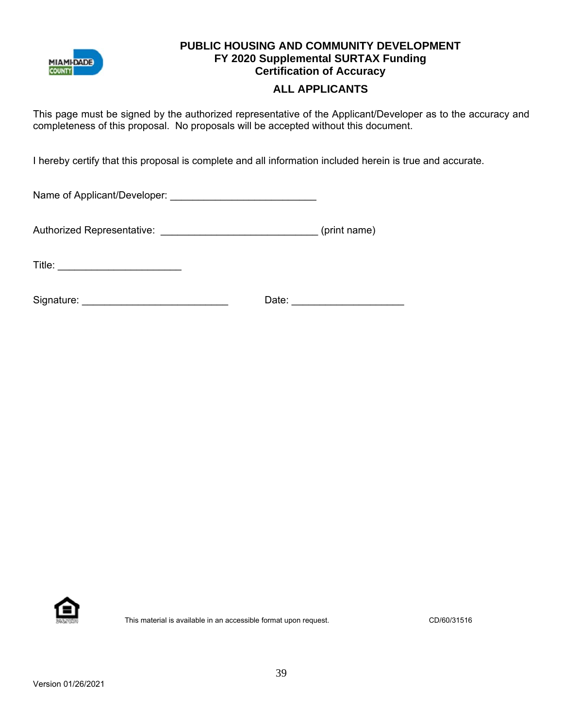

# **PUBLIC HOUSING AND COMMUNITY DEVELOPMENT FY 2020 Supplemental SURTAX Funding Certification of Accuracy**

# **ALL APPLICANTS**

This page must be signed by the authorized representative of the Applicant/Developer as to the accuracy and completeness of this proposal. No proposals will be accepted without this document.

I hereby certify that this proposal is complete and all information included herein is true and accurate.

Name of Applicant/Developer: \_\_\_\_\_\_\_\_\_\_\_\_\_\_\_\_\_\_\_\_\_\_\_\_\_\_

Authorized Representative: \_\_\_\_\_\_\_\_\_\_\_\_\_\_\_\_\_\_\_\_\_\_\_\_\_\_\_\_\_\_\_\_\_\_(print name)

Title: \_\_\_\_\_\_\_\_\_\_\_\_\_\_\_\_\_\_\_\_\_\_

| Signature: | Date: |  |
|------------|-------|--|



This material is available in an accessible format upon request. CD/600/31516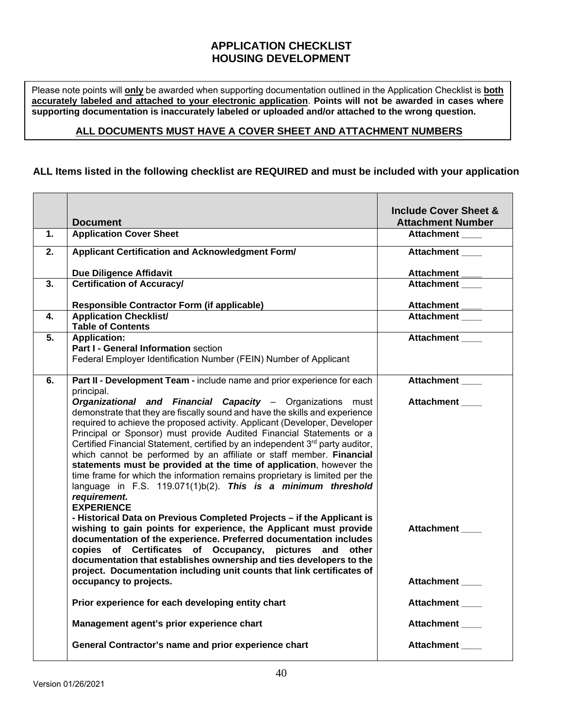# **APPLICATION CHECKLIST HOUSING DEVELOPMENT**

Please note points will **only** be awarded when supporting documentation outlined in the Application Checklist is **both accurately labeled and attached to your electronic application**. **Points will not be awarded in cases where supporting documentation is inaccurately labeled or uploaded and/or attached to the wrong question.** 

### **ALL DOCUMENTS MUST HAVE A COVER SHEET AND ATTACHMENT NUMBERS**

#### **ALL Items listed in the following checklist are REQUIRED and must be included with your application**

|    |                                                                                                                                             | <b>Include Cover Sheet &amp;</b> |
|----|---------------------------------------------------------------------------------------------------------------------------------------------|----------------------------------|
|    | <b>Document</b>                                                                                                                             | <b>Attachment Number</b>         |
| 1. | <b>Application Cover Sheet</b>                                                                                                              | <b>Attachment</b>                |
| 2. | Applicant Certification and Acknowledgment Form/                                                                                            | <b>Attachment</b>                |
|    | <b>Due Diligence Affidavit</b>                                                                                                              | Attachment                       |
| 3. | <b>Certification of Accuracy/</b>                                                                                                           | <b>Attachment</b>                |
|    | <b>Responsible Contractor Form (if applicable)</b>                                                                                          | Attachment                       |
| 4. | <b>Application Checklist/</b>                                                                                                               | <b>Attachment</b>                |
|    | <b>Table of Contents</b>                                                                                                                    |                                  |
| 5. | Application:                                                                                                                                | <b>Attachment</b>                |
|    | Part I - General Information section                                                                                                        |                                  |
|    | Federal Employer Identification Number (FEIN) Number of Applicant                                                                           |                                  |
| 6. | Part II - Development Team - include name and prior experience for each                                                                     | <b>Attachment</b>                |
|    | principal.                                                                                                                                  |                                  |
|    | Organizational and Financial Capacity - Organizations must                                                                                  | <b>Attachment</b>                |
|    | demonstrate that they are fiscally sound and have the skills and experience                                                                 |                                  |
|    | required to achieve the proposed activity. Applicant (Developer, Developer                                                                  |                                  |
|    | Principal or Sponsor) must provide Audited Financial Statements or a                                                                        |                                  |
|    | Certified Financial Statement, certified by an independent 3rd party auditor,                                                               |                                  |
|    | which cannot be performed by an affiliate or staff member. Financial                                                                        |                                  |
|    | statements must be provided at the time of application, however the                                                                         |                                  |
|    | time frame for which the information remains proprietary is limited per the                                                                 |                                  |
|    | language in F.S. $119.071(1)b(2)$ . This is a minimum threshold                                                                             |                                  |
|    | requirement.<br><b>EXPERIENCE</b>                                                                                                           |                                  |
|    |                                                                                                                                             |                                  |
|    | - Historical Data on Previous Completed Projects - if the Applicant is<br>wishing to gain points for experience, the Applicant must provide | <b>Attachment</b>                |
|    | documentation of the experience. Preferred documentation includes                                                                           |                                  |
|    | copies of Certificates of Occupancy, pictures and other                                                                                     |                                  |
|    | documentation that establishes ownership and ties developers to the                                                                         |                                  |
|    | project. Documentation including unit counts that link certificates of                                                                      |                                  |
|    | occupancy to projects.                                                                                                                      | <b>Attachment</b>                |
|    |                                                                                                                                             |                                  |
|    | Prior experience for each developing entity chart                                                                                           | Attachment                       |
|    | Management agent's prior experience chart                                                                                                   | <b>Attachment</b>                |
|    |                                                                                                                                             |                                  |
|    | General Contractor's name and prior experience chart                                                                                        | <b>Attachment</b>                |
|    |                                                                                                                                             |                                  |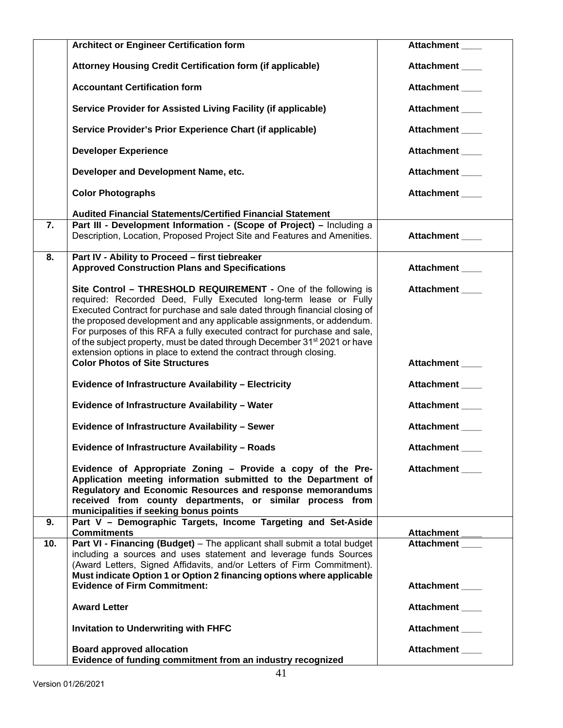|     | <b>Architect or Engineer Certification form</b>                                                                                                                                                                                                                                                                                                                                                                                                                 | Attachment ____   |
|-----|-----------------------------------------------------------------------------------------------------------------------------------------------------------------------------------------------------------------------------------------------------------------------------------------------------------------------------------------------------------------------------------------------------------------------------------------------------------------|-------------------|
|     | Attorney Housing Credit Certification form (if applicable)                                                                                                                                                                                                                                                                                                                                                                                                      | Attachment ____   |
|     | <b>Accountant Certification form</b>                                                                                                                                                                                                                                                                                                                                                                                                                            | Attachment        |
|     | Service Provider for Assisted Living Facility (if applicable)                                                                                                                                                                                                                                                                                                                                                                                                   | Attachment        |
|     | Service Provider's Prior Experience Chart (if applicable)                                                                                                                                                                                                                                                                                                                                                                                                       | <b>Attachment</b> |
|     | <b>Developer Experience</b>                                                                                                                                                                                                                                                                                                                                                                                                                                     | Attachment ____   |
|     | Developer and Development Name, etc.                                                                                                                                                                                                                                                                                                                                                                                                                            | Attachment ____   |
|     | <b>Color Photographs</b>                                                                                                                                                                                                                                                                                                                                                                                                                                        | Attachment        |
|     | <b>Audited Financial Statements/Certified Financial Statement</b>                                                                                                                                                                                                                                                                                                                                                                                               |                   |
| 7.  | Part III - Development Information - (Scope of Project) - Including a<br>Description, Location, Proposed Project Site and Features and Amenities.                                                                                                                                                                                                                                                                                                               | <b>Attachment</b> |
| 8.  | Part IV - Ability to Proceed - first tiebreaker<br><b>Approved Construction Plans and Specifications</b>                                                                                                                                                                                                                                                                                                                                                        | Attachment        |
|     | Site Control - THRESHOLD REQUIREMENT - One of the following is<br>required: Recorded Deed, Fully Executed long-term lease or Fully<br>Executed Contract for purchase and sale dated through financial closing of<br>the proposed development and any applicable assignments, or addendum.<br>For purposes of this RFA a fully executed contract for purchase and sale,<br>of the subject property, must be dated through December 31 <sup>st</sup> 2021 or have | Attachment        |
|     | extension options in place to extend the contract through closing.<br><b>Color Photos of Site Structures</b>                                                                                                                                                                                                                                                                                                                                                    | <b>Attachment</b> |
|     | Evidence of Infrastructure Availability - Electricity                                                                                                                                                                                                                                                                                                                                                                                                           | Attachment        |
|     | Evidence of Infrastructure Availability - Water                                                                                                                                                                                                                                                                                                                                                                                                                 | <b>Attachment</b> |
|     | Evidence of Infrastructure Availability - Sewer                                                                                                                                                                                                                                                                                                                                                                                                                 | Attachment ____   |
|     | Evidence of Infrastructure Availability - Roads                                                                                                                                                                                                                                                                                                                                                                                                                 | <b>Attachment</b> |
|     | Evidence of Appropriate Zoning - Provide a copy of the Pre-<br>Application meeting information submitted to the Department of<br>Regulatory and Economic Resources and response memorandums<br>received from county departments, or similar process from<br>municipalities if seeking bonus points                                                                                                                                                              | Attachment ____   |
| 9.  | Part V - Demographic Targets, Income Targeting and Set-Aside<br><b>Commitments</b>                                                                                                                                                                                                                                                                                                                                                                              | Attachment_       |
| 10. | Part VI - Financing (Budget) - The applicant shall submit a total budget<br>including a sources and uses statement and leverage funds Sources<br>(Award Letters, Signed Affidavits, and/or Letters of Firm Commitment).<br>Must indicate Option 1 or Option 2 financing options where applicable                                                                                                                                                                | <b>Attachment</b> |
|     | <b>Evidence of Firm Commitment:</b>                                                                                                                                                                                                                                                                                                                                                                                                                             | Attachment ____   |
|     | <b>Award Letter</b>                                                                                                                                                                                                                                                                                                                                                                                                                                             | Attachment ____   |
|     | <b>Invitation to Underwriting with FHFC</b>                                                                                                                                                                                                                                                                                                                                                                                                                     | Attachment        |
|     | <b>Board approved allocation</b><br>Evidence of funding commitment from an industry recognized                                                                                                                                                                                                                                                                                                                                                                  | Attachment        |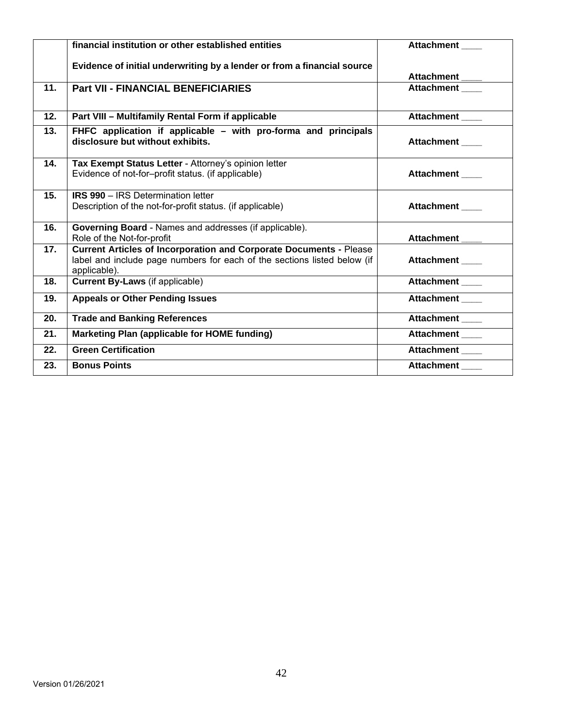|     | financial institution or other established entities                                                                                                                   | <b>Attachment</b> |
|-----|-----------------------------------------------------------------------------------------------------------------------------------------------------------------------|-------------------|
|     | Evidence of initial underwriting by a lender or from a financial source                                                                                               | <b>Attachment</b> |
| 11. | <b>Part VII - FINANCIAL BENEFICIARIES</b>                                                                                                                             | Attachment        |
| 12. | Part VIII - Multifamily Rental Form if applicable                                                                                                                     | <b>Attachment</b> |
| 13. | FHFC application if applicable – with pro-forma and principals<br>disclosure but without exhibits.                                                                    | Attachment ____   |
| 14. | Tax Exempt Status Letter - Attorney's opinion letter<br>Evidence of not-for-profit status. (if applicable)                                                            | <b>Attachment</b> |
| 15. | <b>IRS 990 - IRS Determination letter</b><br>Description of the not-for-profit status. (if applicable)                                                                | Attachment        |
| 16. | Governing Board - Names and addresses (if applicable).<br>Role of the Not-for-profit                                                                                  | <b>Attachment</b> |
| 17. | <b>Current Articles of Incorporation and Corporate Documents - Please</b><br>label and include page numbers for each of the sections listed below (if<br>applicable). | Attachment        |
| 18. | <b>Current By-Laws</b> (if applicable)                                                                                                                                | Attachment        |
| 19. | <b>Appeals or Other Pending Issues</b>                                                                                                                                | <b>Attachment</b> |
| 20. | <b>Trade and Banking References</b>                                                                                                                                   | Attachment        |
| 21. | <b>Marketing Plan (applicable for HOME funding)</b>                                                                                                                   | Attachment        |
| 22. | <b>Green Certification</b>                                                                                                                                            | Attachment        |
| 23. | <b>Bonus Points</b>                                                                                                                                                   | <b>Attachment</b> |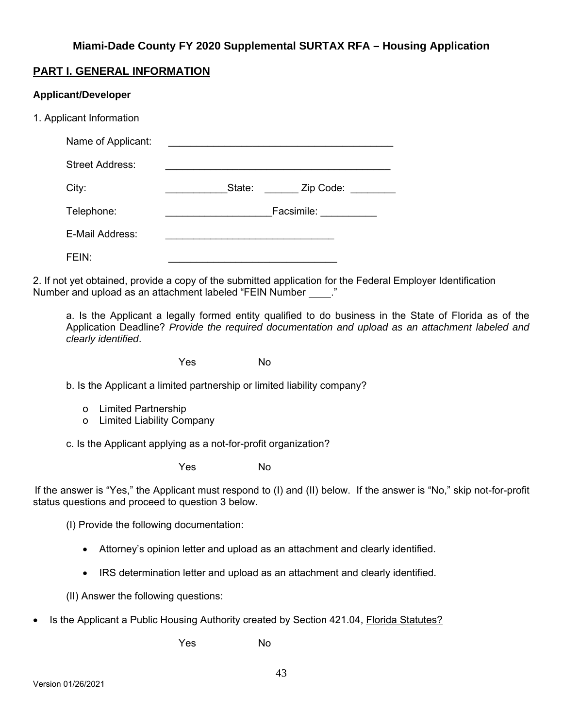# **Miami-Dade County FY 2020 Supplemental SURTAX RFA – Housing Application**

# **PART I. GENERAL INFORMATION**

#### **Applicant/Developer**

| 1. Applicant Information |
|--------------------------|
|--------------------------|

| Name of Applicant: |                             |
|--------------------|-----------------------------|
| Street Address:    |                             |
| City:              | State:<br>Zip Code:         |
| Telephone:         | Facsimile: <b>Facsimile</b> |
| E-Mail Address:    |                             |
| $FEN+$             |                             |

2. If not yet obtained, provide a copy of the submitted application for the Federal Employer Identification Number and upload as an attachment labeled "FEIN Number \_\_\_\_\_."

a. Is the Applicant a legally formed entity qualified to do business in the State of Florida as of the Application Deadline? *Provide the required documentation and upload as an attachment labeled and clearly identified*.

Yes No

b. Is the Applicant a limited partnership or limited liability company?

- o Limited Partnership
- o Limited Liability Company

c. Is the Applicant applying as a not-for-profit organization?

Yes No

If the answer is "Yes," the Applicant must respond to (I) and (II) below. If the answer is "No," skip not-for-profit status questions and proceed to question 3 below.

(I) Provide the following documentation:

- Attorney's opinion letter and upload as an attachment and clearly identified.
- IRS determination letter and upload as an attachment and clearly identified.

(II) Answer the following questions:

Is the Applicant a Public Housing Authority created by Section 421.04, Florida Statutes?

Yes No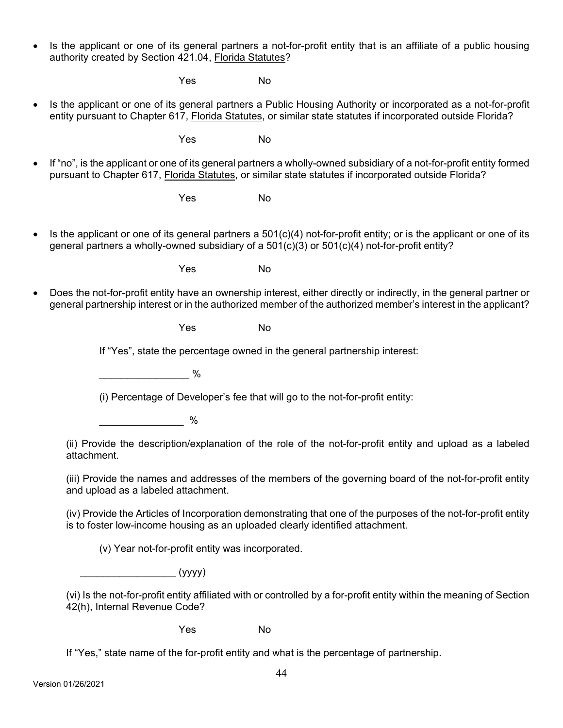Is the applicant or one of its general partners a not-for-profit entity that is an affiliate of a public housing authority created by Section 421.04, Florida Statutes?

Yes No

• Is the applicant or one of its general partners a Public Housing Authority or incorporated as a not-for-profit entity pursuant to Chapter 617, Florida Statutes, or similar state statutes if incorporated outside Florida?

Yes No

 If "no", is the applicant or one of its general partners a wholly-owned subsidiary of a not-for-profit entity formed pursuant to Chapter 617, Florida Statutes, or similar state statutes if incorporated outside Florida?

Yes No

Is the applicant or one of its general partners a  $501(c)(4)$  not-for-profit entity; or is the applicant or one of its general partners a wholly-owned subsidiary of a 501(c)(3) or 501(c)(4) not-for-profit entity?

Yes No

 Does the not-for-profit entity have an ownership interest, either directly or indirectly, in the general partner or general partnership interest or in the authorized member of the authorized member's interest in the applicant?

Yes No

If "Yes", state the percentage owned in the general partnership interest:

\_\_\_\_\_\_\_\_\_\_\_\_\_\_\_\_ %

(i) Percentage of Developer's fee that will go to the not-for-profit entity:

 $\%$ 

(ii) Provide the description/explanation of the role of the not-for-profit entity and upload as a labeled attachment.

(iii) Provide the names and addresses of the members of the governing board of the not-for-profit entity and upload as a labeled attachment.

(iv) Provide the Articles of Incorporation demonstrating that one of the purposes of the not-for-profit entity is to foster low-income housing as an uploaded clearly identified attachment.

(v) Year not-for-profit entity was incorporated.

 $_{-}$  (yyyy)

(vi) Is the not-for-profit entity affiliated with or controlled by a for-profit entity within the meaning of Section 42(h), Internal Revenue Code?

Yes No

If "Yes," state name of the for-profit entity and what is the percentage of partnership.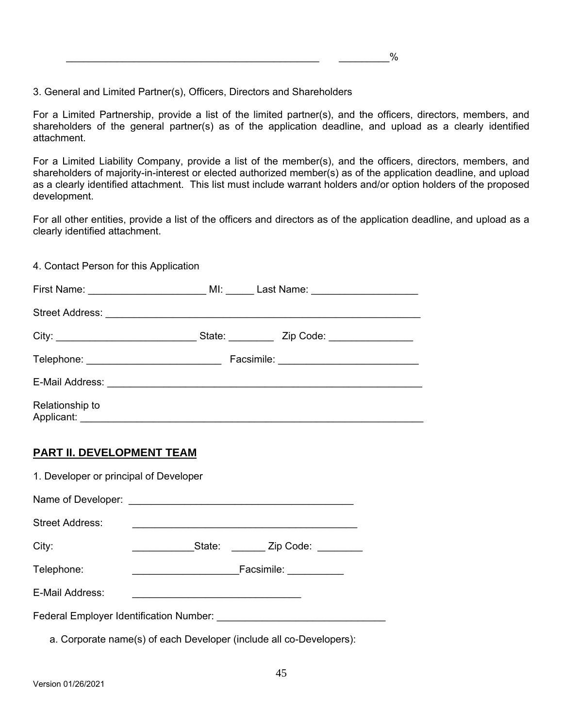3. General and Limited Partner(s), Officers, Directors and Shareholders

For a Limited Partnership, provide a list of the limited partner(s), and the officers, directors, members, and shareholders of the general partner(s) as of the application deadline, and upload as a clearly identified attachment.

For a Limited Liability Company, provide a list of the member(s), and the officers, directors, members, and shareholders of majority-in-interest or elected authorized member(s) as of the application deadline, and upload as a clearly identified attachment. This list must include warrant holders and/or option holders of the proposed development.

For all other entities, provide a list of the officers and directors as of the application deadline, and upload as a clearly identified attachment.

4. Contact Person for this Application First Name: \_\_\_\_\_\_\_\_\_\_\_\_\_\_\_\_\_\_\_\_\_\_\_\_\_\_\_\_\_ MI: \_\_\_\_\_\_\_ Last Name: \_\_\_\_\_\_\_\_\_\_\_\_\_\_\_ Street Address: \_\_\_\_\_\_\_\_\_\_\_\_\_\_\_\_\_\_\_\_\_\_\_\_\_\_\_\_\_\_\_\_\_\_\_\_\_\_\_\_\_\_\_\_\_\_\_\_\_\_\_\_\_\_\_\_ City: \_\_\_\_\_\_\_\_\_\_\_\_\_\_\_\_\_\_\_\_\_\_\_\_\_ State: \_\_\_\_\_\_\_\_ Zip Code: \_\_\_\_\_\_\_\_\_\_\_\_\_\_\_ Telephone: \_\_\_\_\_\_\_\_\_\_\_\_\_\_\_\_\_\_\_\_\_\_\_\_ Facsimile: \_\_\_\_\_\_\_\_\_\_\_\_\_\_\_\_\_\_\_\_\_\_\_\_\_ E-Mail Address: \_\_\_\_\_\_\_\_\_\_\_\_\_\_\_\_\_\_\_\_\_\_\_\_\_\_\_\_\_\_\_\_\_\_\_\_\_\_\_\_\_\_\_\_\_\_\_\_\_\_\_\_\_\_\_\_ Relationship to Applicant:  $\blacksquare$ 

# **PART II. DEVELOPMENT TEAM**

| 1. Developer or principal of Developer  |                        |  |  |  |  |
|-----------------------------------------|------------------------|--|--|--|--|
|                                         |                        |  |  |  |  |
| <b>Street Address:</b>                  |                        |  |  |  |  |
| City:                                   | State: Zip Code:       |  |  |  |  |
| Telephone:                              | Facsimile: ___________ |  |  |  |  |
| E-Mail Address:                         |                        |  |  |  |  |
| Federal Employer Identification Number: |                        |  |  |  |  |

a. Corporate name(s) of each Developer (include all co-Developers):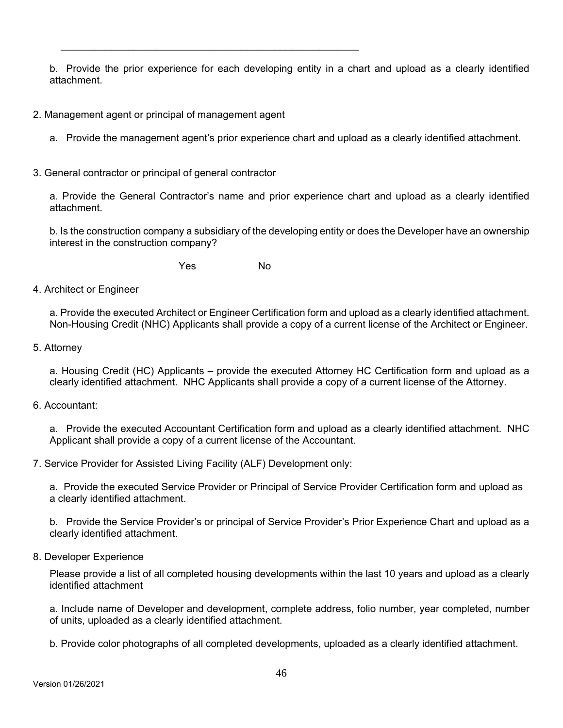b. Provide the prior experience for each developing entity in a chart and upload as a clearly identified attachment.

- 2. Management agent or principal of management agent
	- a. Provide the management agent's prior experience chart and upload as a clearly identified attachment.
- 3. General contractor or principal of general contractor

 a. Provide the General Contractor's name and prior experience chart and upload as a clearly identified attachment.

 b. Is the construction company a subsidiary of the developing entity or does the Developer have an ownership interest in the construction company?

Yes No

 $\overline{\phantom{a}}$  ,  $\overline{\phantom{a}}$  ,  $\overline{\phantom{a}}$  ,  $\overline{\phantom{a}}$  ,  $\overline{\phantom{a}}$  ,  $\overline{\phantom{a}}$  ,  $\overline{\phantom{a}}$  ,  $\overline{\phantom{a}}$  ,  $\overline{\phantom{a}}$  ,  $\overline{\phantom{a}}$  ,  $\overline{\phantom{a}}$  ,  $\overline{\phantom{a}}$  ,  $\overline{\phantom{a}}$  ,  $\overline{\phantom{a}}$  ,  $\overline{\phantom{a}}$  ,  $\overline{\phantom{a}}$ 

4. Architect or Engineer

a. Provide the executed Architect or Engineer Certification form and upload as a clearly identified attachment. Non-Housing Credit (NHC) Applicants shall provide a copy of a current license of the Architect or Engineer.

5. Attorney

a. Housing Credit (HC) Applicants – provide the executed Attorney HC Certification form and upload as a clearly identified attachment. NHC Applicants shall provide a copy of a current license of the Attorney.

6. Accountant:

a. Provide the executed Accountant Certification form and upload as a clearly identified attachment. NHC Applicant shall provide a copy of a current license of the Accountant.

7. Service Provider for Assisted Living Facility (ALF) Development only:

a. Provide the executed Service Provider or Principal of Service Provider Certification form and upload as a clearly identified attachment.

b. Provide the Service Provider's or principal of Service Provider's Prior Experience Chart and upload as a clearly identified attachment.

### 8. Developer Experience

Please provide a list of all completed housing developments within the last 10 years and upload as a clearly identified attachment

a. Include name of Developer and development, complete address, folio number, year completed, number of units, uploaded as a clearly identified attachment.

b. Provide color photographs of all completed developments, uploaded as a clearly identified attachment.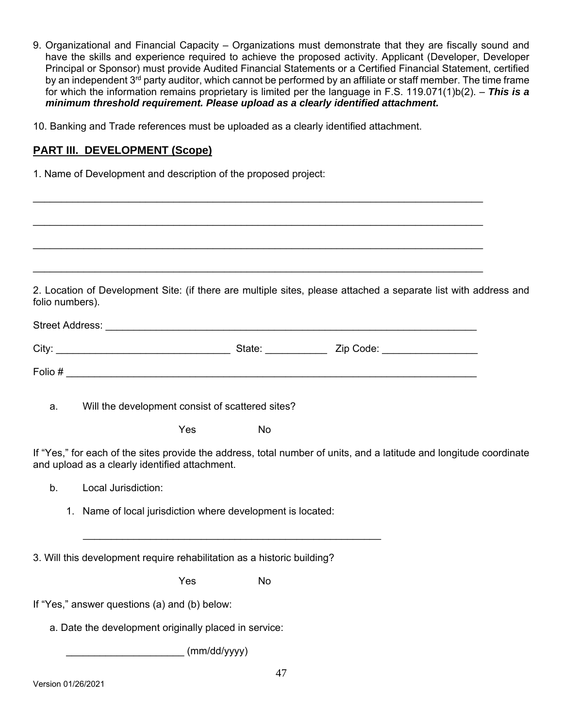- 9. Organizational and Financial Capacity Organizations must demonstrate that they are fiscally sound and have the skills and experience required to achieve the proposed activity. Applicant (Developer, Developer Principal or Sponsor) must provide Audited Financial Statements or a Certified Financial Statement, certified by an independent 3<sup>rd</sup> party auditor, which cannot be performed by an affiliate or staff member. The time frame for which the information remains proprietary is limited per the language in F.S. 119.071(1)b(2). – *This is a minimum threshold requirement. Please upload as a clearly identified attachment.*
- 10. Banking and Trade references must be uploaded as a clearly identified attachment.

# **PART III. DEVELOPMENT (Scope)**

1. Name of Development and description of the proposed project:

2. Location of Development Site: (if there are multiple sites, please attached a separate list with address and folio numbers).

\_\_\_\_\_\_\_\_\_\_\_\_\_\_\_\_\_\_\_\_\_\_\_\_\_\_\_\_\_\_\_\_\_\_\_\_\_\_\_\_\_\_\_\_\_\_\_\_\_\_\_\_\_\_\_\_\_\_\_\_\_\_\_\_\_\_\_\_\_\_\_\_\_\_\_\_\_\_\_\_

\_\_\_\_\_\_\_\_\_\_\_\_\_\_\_\_\_\_\_\_\_\_\_\_\_\_\_\_\_\_\_\_\_\_\_\_\_\_\_\_\_\_\_\_\_\_\_\_\_\_\_\_\_\_\_\_\_\_\_\_\_\_\_\_\_\_\_\_\_\_\_\_\_\_\_\_\_\_\_\_

\_\_\_\_\_\_\_\_\_\_\_\_\_\_\_\_\_\_\_\_\_\_\_\_\_\_\_\_\_\_\_\_\_\_\_\_\_\_\_\_\_\_\_\_\_\_\_\_\_\_\_\_\_\_\_\_\_\_\_\_\_\_\_\_\_\_\_\_\_\_\_\_\_\_\_\_\_\_\_\_

\_\_\_\_\_\_\_\_\_\_\_\_\_\_\_\_\_\_\_\_\_\_\_\_\_\_\_\_\_\_\_\_\_\_\_\_\_\_\_\_\_\_\_\_\_\_\_\_\_\_\_\_\_\_\_\_\_\_\_\_\_\_\_\_\_\_\_\_\_\_\_\_\_\_\_\_\_\_\_\_

|    | Folio # $\qquad \qquad$                                     |            |     |                                                                                                                     |  |
|----|-------------------------------------------------------------|------------|-----|---------------------------------------------------------------------------------------------------------------------|--|
| a. | Will the development consist of scattered sites?            |            |     |                                                                                                                     |  |
|    |                                                             | <b>Yes</b> | No. |                                                                                                                     |  |
|    | and upload as a clearly identified attachment.              |            |     | If "Yes," for each of the sites provide the address, total number of units, and a latitude and longitude coordinate |  |
| b. | Local Jurisdiction:                                         |            |     |                                                                                                                     |  |
|    | 1. Name of local jurisdiction where development is located: |            |     |                                                                                                                     |  |

3. Will this development require rehabilitation as a historic building?

Yes No

 $\mathcal{L} = \{ \mathcal{L}_1, \mathcal{L}_2, \ldots, \mathcal{L}_n \}$ 

If "Yes," answer questions (a) and (b) below:

a. Date the development originally placed in service:

 $\Box$  (mm/dd/yyyy)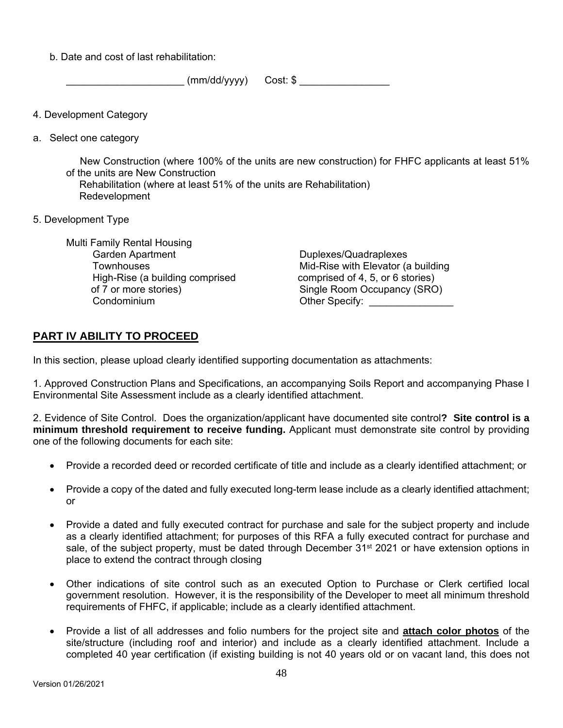| b. Date and cost of last rehabilitation: |  |  |  |  |  |  |
|------------------------------------------|--|--|--|--|--|--|
|------------------------------------------|--|--|--|--|--|--|

 $(mm/dd/yyy)$  Cost:  $\frac{6}{2}$ 

- 4. Development Category
- a. Select one category

 New Construction (where 100% of the units are new construction) for FHFC applicants at least 51% of the units are New Construction Rehabilitation (where at least 51% of the units are Rehabilitation) Redevelopment

5. Development Type

 Multi Family Rental Housing Garden Apartment **Townhouses**  High-Rise (a building comprised of 7 or more stories) Condominium

 Duplexes/Quadraplexes Mid-Rise with Elevator (a building comprised of 4, 5, or 6 stories) Single Room Occupancy (SRO) Other Specify: \_\_\_\_\_\_\_\_\_\_\_

# **PART IV ABILITY TO PROCEED**

In this section, please upload clearly identified supporting documentation as attachments:

1. Approved Construction Plans and Specifications, an accompanying Soils Report and accompanying Phase I Environmental Site Assessment include as a clearly identified attachment.

2. Evidence of Site Control. Does the organization/applicant have documented site control**? Site control is a minimum threshold requirement to receive funding.** Applicant must demonstrate site control by providing one of the following documents for each site:

- Provide a recorded deed or recorded certificate of title and include as a clearly identified attachment; or
- Provide a copy of the dated and fully executed long-term lease include as a clearly identified attachment; or
- Provide a dated and fully executed contract for purchase and sale for the subject property and include as a clearly identified attachment; for purposes of this RFA a fully executed contract for purchase and sale, of the subject property, must be dated through December  $31<sup>st</sup>$  2021 or have extension options in place to extend the contract through closing
- Other indications of site control such as an executed Option to Purchase or Clerk certified local government resolution. However, it is the responsibility of the Developer to meet all minimum threshold requirements of FHFC, if applicable; include as a clearly identified attachment.
- Provide a list of all addresses and folio numbers for the project site and **attach color photos** of the site/structure (including roof and interior) and include as a clearly identified attachment. Include a completed 40 year certification (if existing building is not 40 years old or on vacant land, this does not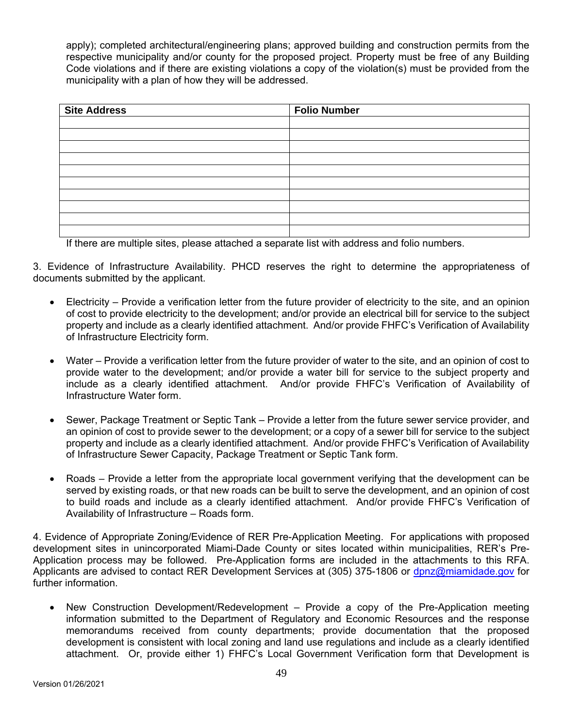apply); completed architectural/engineering plans; approved building and construction permits from the respective municipality and/or county for the proposed project. Property must be free of any Building Code violations and if there are existing violations a copy of the violation(s) must be provided from the municipality with a plan of how they will be addressed.

| <b>Site Address</b> | <b>Folio Number</b> |
|---------------------|---------------------|
|                     |                     |
|                     |                     |
|                     |                     |
|                     |                     |
|                     |                     |
|                     |                     |
|                     |                     |
|                     |                     |
|                     |                     |
|                     |                     |

If there are multiple sites, please attached a separate list with address and folio numbers.

3. Evidence of Infrastructure Availability. PHCD reserves the right to determine the appropriateness of documents submitted by the applicant.

- Electricity Provide a verification letter from the future provider of electricity to the site, and an opinion of cost to provide electricity to the development; and/or provide an electrical bill for service to the subject property and include as a clearly identified attachment. And/or provide FHFC's Verification of Availability of Infrastructure Electricity form.
- Water Provide a verification letter from the future provider of water to the site, and an opinion of cost to provide water to the development; and/or provide a water bill for service to the subject property and include as a clearly identified attachment. And/or provide FHFC's Verification of Availability of Infrastructure Water form.
- Sewer, Package Treatment or Septic Tank Provide a letter from the future sewer service provider, and an opinion of cost to provide sewer to the development; or a copy of a sewer bill for service to the subject property and include as a clearly identified attachment. And/or provide FHFC's Verification of Availability of Infrastructure Sewer Capacity, Package Treatment or Septic Tank form.
- Roads Provide a letter from the appropriate local government verifying that the development can be served by existing roads, or that new roads can be built to serve the development, and an opinion of cost to build roads and include as a clearly identified attachment. And/or provide FHFC's Verification of Availability of Infrastructure – Roads form.

4. Evidence of Appropriate Zoning/Evidence of RER Pre-Application Meeting. For applications with proposed development sites in unincorporated Miami-Dade County or sites located within municipalities, RER's Pre-Application process may be followed. Pre-Application forms are included in the attachments to this RFA. Applicants are advised to contact RER Development Services at (305) 375-1806 or dpnz@miamidade.gov for further information.

 New Construction Development/Redevelopment – Provide a copy of the Pre-Application meeting information submitted to the Department of Regulatory and Economic Resources and the response memorandums received from county departments; provide documentation that the proposed development is consistent with local zoning and land use regulations and include as a clearly identified attachment. Or, provide either 1) FHFC's Local Government Verification form that Development is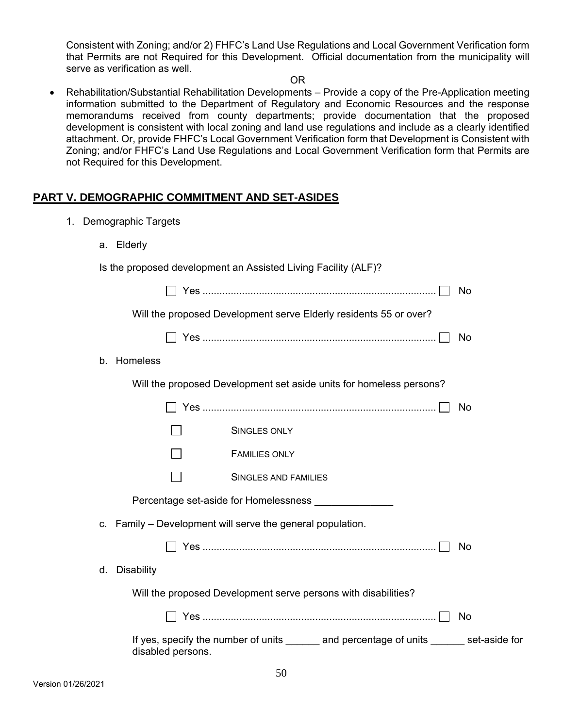Consistent with Zoning; and/or 2) FHFC's Land Use Regulations and Local Government Verification form that Permits are not Required for this Development. Official documentation from the municipality will serve as verification as well.

OR

 Rehabilitation/Substantial Rehabilitation Developments – Provide a copy of the Pre-Application meeting information submitted to the Department of Regulatory and Economic Resources and the response memorandums received from county departments; provide documentation that the proposed development is consistent with local zoning and land use regulations and include as a clearly identified attachment. Or, provide FHFC's Local Government Verification form that Development is Consistent with Zoning; and/or FHFC's Land Use Regulations and Local Government Verification form that Permits are not Required for this Development.

# **PART V. DEMOGRAPHIC COMMITMENT AND SET-ASIDES**

- 1. Demographic Targets
	- a. Elderly

| Is the proposed development an Assisted Living Facility (ALF)? |               |                   |                                                                                          |           |  |
|----------------------------------------------------------------|---------------|-------------------|------------------------------------------------------------------------------------------|-----------|--|
|                                                                |               |                   |                                                                                          | No        |  |
|                                                                |               |                   | Will the proposed Development serve Elderly residents 55 or over?                        |           |  |
|                                                                |               |                   |                                                                                          | No        |  |
|                                                                | b. Homeless   |                   |                                                                                          |           |  |
|                                                                |               |                   | Will the proposed Development set aside units for homeless persons?                      |           |  |
|                                                                |               |                   |                                                                                          | No.       |  |
|                                                                |               |                   | SINGLES ONLY                                                                             |           |  |
|                                                                |               |                   | <b>FAMILIES ONLY</b>                                                                     |           |  |
|                                                                |               |                   | SINGLES AND FAMILIES                                                                     |           |  |
|                                                                |               |                   | Percentage set-aside for Homelessness ________________                                   |           |  |
|                                                                |               |                   | c. Family – Development will serve the general population.                               |           |  |
|                                                                |               |                   |                                                                                          | No        |  |
|                                                                | d. Disability |                   |                                                                                          |           |  |
|                                                                |               |                   | Will the proposed Development serve persons with disabilities?                           |           |  |
|                                                                |               |                   |                                                                                          | <b>No</b> |  |
|                                                                |               | disabled persons. | If yes, specify the number of units _______ and percentage of units ______ set-aside for |           |  |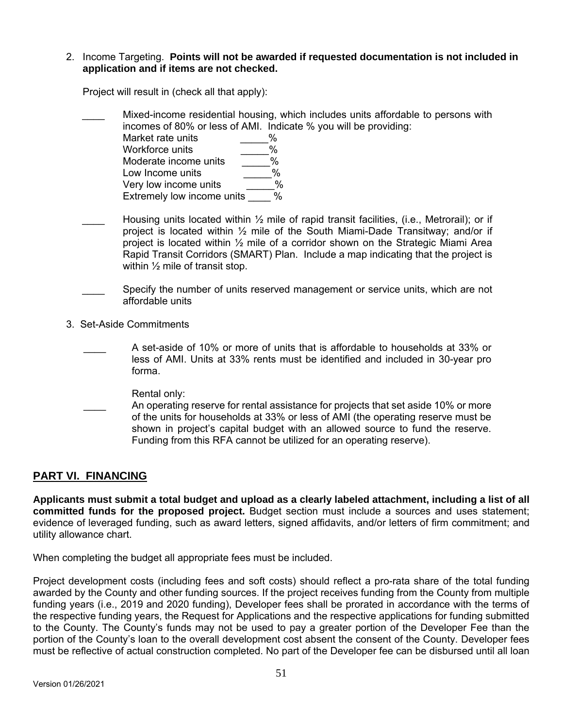#### 2. Income Targeting. **Points will not be awarded if requested documentation is not included in application and if items are not checked.**

Project will result in (check all that apply):

- Mixed-income residential housing, which includes units affordable to persons with incomes of 80% or less of AMI. Indicate % you will be providing:
	- Market rate units  $\%$ Workforce units  $\frac{9}{6}$ <br>Moderate income units  $\frac{9}{6}$ Moderate income units Low Income units  $\%$ Very low income units  $\%$ Extremely low income units %
- Housing units located within  $\frac{1}{2}$  mile of rapid transit facilities, (i.e., Metrorail); or if project is located within ½ mile of the South Miami-Dade Transitway; and/or if project is located within ½ mile of a corridor shown on the Strategic Miami Area Rapid Transit Corridors (SMART) Plan. Include a map indicating that the project is within ½ mile of transit stop.
- Specify the number of units reserved management or service units, which are not affordable units
- 3. Set-Aside Commitments
	- \_\_\_\_ A set-aside of 10% or more of units that is affordable to households at 33% or less of AMI. Units at 33% rents must be identified and included in 30-year pro forma.
		- Rental only:
	- An operating reserve for rental assistance for projects that set aside 10% or more of the units for households at 33% or less of AMI (the operating reserve must be shown in project's capital budget with an allowed source to fund the reserve. Funding from this RFA cannot be utilized for an operating reserve).

# **PART VI. FINANCING**

**Applicants must submit a total budget and upload as a clearly labeled attachment, including a list of all committed funds for the proposed project.** Budget section must include a sources and uses statement; evidence of leveraged funding, such as award letters, signed affidavits, and/or letters of firm commitment; and utility allowance chart.

When completing the budget all appropriate fees must be included.

Project development costs (including fees and soft costs) should reflect a pro-rata share of the total funding awarded by the County and other funding sources. If the project receives funding from the County from multiple funding years (i.e., 2019 and 2020 funding), Developer fees shall be prorated in accordance with the terms of the respective funding years, the Request for Applications and the respective applications for funding submitted to the County. The County's funds may not be used to pay a greater portion of the Developer Fee than the portion of the County's loan to the overall development cost absent the consent of the County. Developer fees must be reflective of actual construction completed. No part of the Developer fee can be disbursed until all loan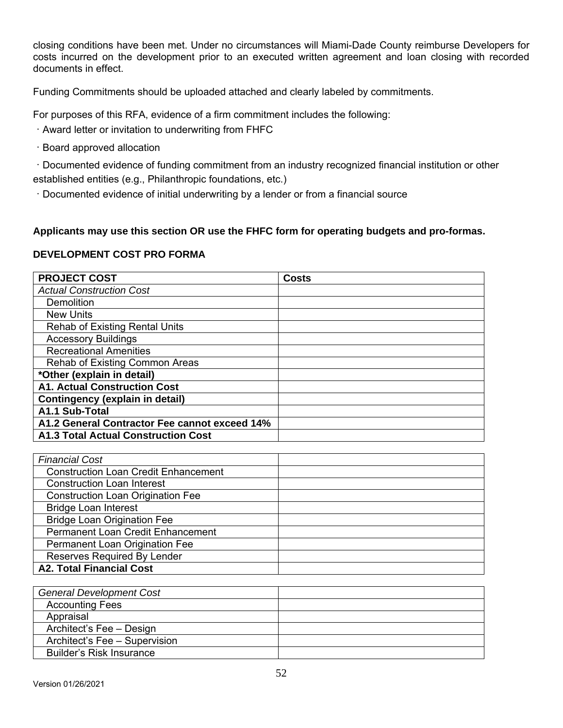closing conditions have been met. Under no circumstances will Miami-Dade County reimburse Developers for costs incurred on the development prior to an executed written agreement and loan closing with recorded documents in effect.

Funding Commitments should be uploaded attached and clearly labeled by commitments.

For purposes of this RFA, evidence of a firm commitment includes the following:

- Award letter or invitation to underwriting from FHFC
- Board approved allocation

Documented evidence of funding commitment from an industry recognized financial institution or other established entities (e.g., Philanthropic foundations, etc.)

Documented evidence of initial underwriting by a lender or from a financial source

### **Applicants may use this section OR use the FHFC form for operating budgets and pro-formas.**

#### **DEVELOPMENT COST PRO FORMA**

| <b>PROJECT COST</b>                           | <b>Costs</b> |  |  |  |
|-----------------------------------------------|--------------|--|--|--|
| <b>Actual Construction Cost</b>               |              |  |  |  |
| Demolition                                    |              |  |  |  |
| <b>New Units</b>                              |              |  |  |  |
| <b>Rehab of Existing Rental Units</b>         |              |  |  |  |
| <b>Accessory Buildings</b>                    |              |  |  |  |
| <b>Recreational Amenities</b>                 |              |  |  |  |
| Rehab of Existing Common Areas                |              |  |  |  |
| *Other (explain in detail)                    |              |  |  |  |
| <b>A1. Actual Construction Cost</b>           |              |  |  |  |
| <b>Contingency (explain in detail)</b>        |              |  |  |  |
| A1.1 Sub-Total                                |              |  |  |  |
| A1.2 General Contractor Fee cannot exceed 14% |              |  |  |  |
| <b>A1.3 Total Actual Construction Cost</b>    |              |  |  |  |

| <b>Financial Cost</b>                       |  |
|---------------------------------------------|--|
| <b>Construction Loan Credit Enhancement</b> |  |
| <b>Construction Loan Interest</b>           |  |
| <b>Construction Loan Origination Fee</b>    |  |
| <b>Bridge Loan Interest</b>                 |  |
| <b>Bridge Loan Origination Fee</b>          |  |
| Permanent Loan Credit Enhancement           |  |
| Permanent Loan Origination Fee              |  |
| Reserves Required By Lender                 |  |
| <b>A2. Total Financial Cost</b>             |  |

| <b>General Development Cost</b> |  |
|---------------------------------|--|
| <b>Accounting Fees</b>          |  |
| Appraisal                       |  |
| Architect's Fee - Design        |  |
| Architect's Fee - Supervision   |  |
| <b>Builder's Risk Insurance</b> |  |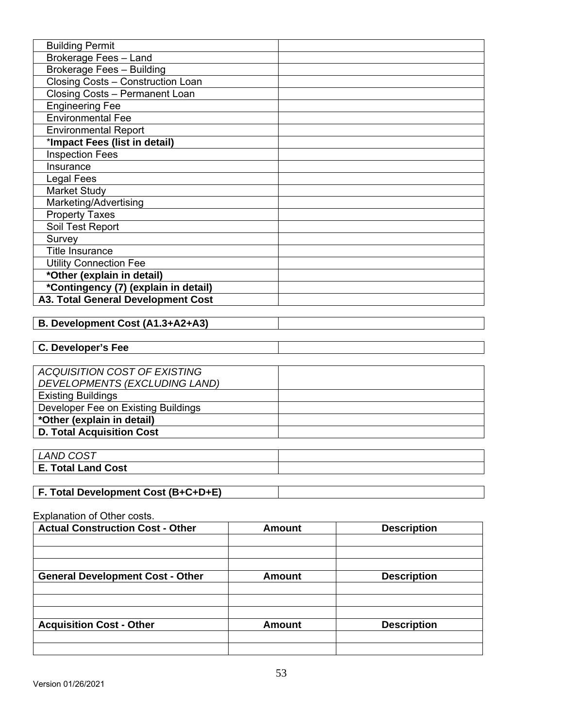| <b>Building Permit</b>                    |  |
|-------------------------------------------|--|
| Brokerage Fees - Land                     |  |
| Brokerage Fees - Building                 |  |
| Closing Costs - Construction Loan         |  |
| Closing Costs - Permanent Loan            |  |
| <b>Engineering Fee</b>                    |  |
| <b>Environmental Fee</b>                  |  |
| <b>Environmental Report</b>               |  |
| *Impact Fees (list in detail)             |  |
| <b>Inspection Fees</b>                    |  |
| Insurance                                 |  |
| <b>Legal Fees</b>                         |  |
| Market Study                              |  |
| Marketing/Advertising                     |  |
| <b>Property Taxes</b>                     |  |
| Soil Test Report                          |  |
| Survey                                    |  |
| <b>Title Insurance</b>                    |  |
| <b>Utility Connection Fee</b>             |  |
| *Other (explain in detail)                |  |
| *Contingency (7) (explain in detail)      |  |
| <b>A3. Total General Development Cost</b> |  |

| B. Development Cost (A1.3+A2+A3) |  |
|----------------------------------|--|

|  | Navalonar's Faa<br><b>U. DEVEIODEL S LEE</b> |  |
|--|----------------------------------------------|--|
|--|----------------------------------------------|--|

| ACQUISITION COST OF EXISTING        |  |
|-------------------------------------|--|
| DEVELOPMENTS (EXCLUDING LAND)       |  |
| <b>Existing Buildings</b>           |  |
| Developer Fee on Existing Buildings |  |
| *Other (explain in detail)          |  |
| <b>D. Total Acquisition Cost</b>    |  |
|                                     |  |

| _AND_                     |  |
|---------------------------|--|
| <b>E. Total Land Cost</b> |  |
|                           |  |

| F. Total Development Cost (B+C+D+E) |  |
|-------------------------------------|--|
|                                     |  |

# Explanation of Other costs.

| <b>Actual Construction Cost - Other</b> | <b>Amount</b> | <b>Description</b> |
|-----------------------------------------|---------------|--------------------|
|                                         |               |                    |
|                                         |               |                    |
|                                         |               |                    |
| <b>General Development Cost - Other</b> | <b>Amount</b> | <b>Description</b> |
|                                         |               |                    |
|                                         |               |                    |
|                                         |               |                    |
| <b>Acquisition Cost - Other</b>         | <b>Amount</b> | <b>Description</b> |
|                                         |               |                    |
|                                         |               |                    |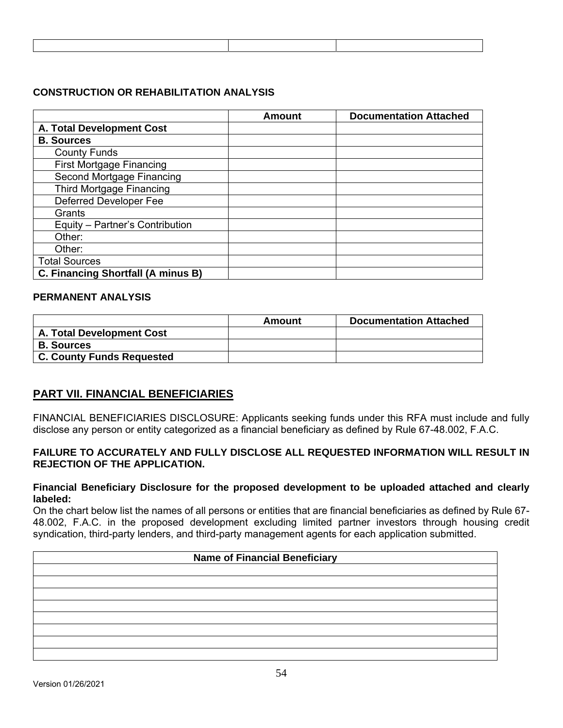#### **CONSTRUCTION OR REHABILITATION ANALYSIS**

|                                           | Amount | <b>Documentation Attached</b> |
|-------------------------------------------|--------|-------------------------------|
| <b>A. Total Development Cost</b>          |        |                               |
| <b>B. Sources</b>                         |        |                               |
| <b>County Funds</b>                       |        |                               |
| <b>First Mortgage Financing</b>           |        |                               |
| Second Mortgage Financing                 |        |                               |
| <b>Third Mortgage Financing</b>           |        |                               |
| Deferred Developer Fee                    |        |                               |
| Grants                                    |        |                               |
| Equity - Partner's Contribution           |        |                               |
| Other:                                    |        |                               |
| Other:                                    |        |                               |
| <b>Total Sources</b>                      |        |                               |
| <b>C. Financing Shortfall (A minus B)</b> |        |                               |

#### **PERMANENT ANALYSIS**

|                           | Amount | <b>Documentation Attached</b> |
|---------------------------|--------|-------------------------------|
| A. Total Development Cost |        |                               |
| <b>B. Sources</b>         |        |                               |
| C. County Funds Requested |        |                               |

# **PART VII. FINANCIAL BENEFICIARIES**

FINANCIAL BENEFICIARIES DISCLOSURE: Applicants seeking funds under this RFA must include and fully disclose any person or entity categorized as a financial beneficiary as defined by Rule 67-48.002, F.A.C.

#### **FAILURE TO ACCURATELY AND FULLY DISCLOSE ALL REQUESTED INFORMATION WILL RESULT IN REJECTION OF THE APPLICATION.**

#### **Financial Beneficiary Disclosure for the proposed development to be uploaded attached and clearly labeled:**

On the chart below list the names of all persons or entities that are financial beneficiaries as defined by Rule 67- 48.002, F.A.C. in the proposed development excluding limited partner investors through housing credit syndication, third-party lenders, and third-party management agents for each application submitted.

| <b>Name of Financial Beneficiary</b> |  |  |  |  |
|--------------------------------------|--|--|--|--|
|                                      |  |  |  |  |
|                                      |  |  |  |  |
|                                      |  |  |  |  |
|                                      |  |  |  |  |
|                                      |  |  |  |  |
|                                      |  |  |  |  |
|                                      |  |  |  |  |
|                                      |  |  |  |  |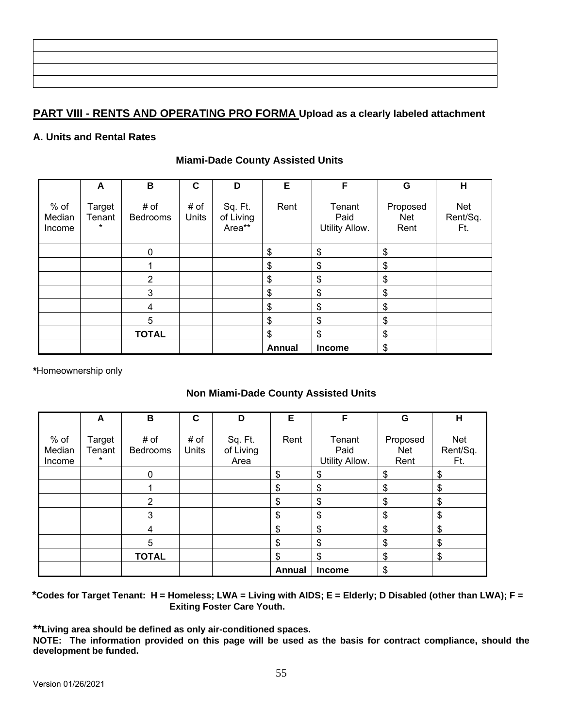# **PART VIII - RENTS AND OPERATING PRO FORMA Upload as a clearly labeled attachment**

# **A. Units and Rental Rates**

|                          | A                           | В                | $\mathbf c$   | D                              | E      | F                                | G                       | H                             |
|--------------------------|-----------------------------|------------------|---------------|--------------------------------|--------|----------------------------------|-------------------------|-------------------------------|
| % of<br>Median<br>Income | Target<br>Tenant<br>$\star$ | # of<br>Bedrooms | # of<br>Units | Sq. Ft.<br>of Living<br>Area** | Rent   | Tenant<br>Paid<br>Utility Allow. | Proposed<br>Net<br>Rent | <b>Net</b><br>Rent/Sq.<br>Ft. |
|                          |                             | 0                |               |                                | \$     | \$                               | \$                      |                               |
|                          |                             |                  |               |                                | \$     | \$                               | \$                      |                               |
|                          |                             | $\overline{2}$   |               |                                | \$     | \$                               | \$                      |                               |
|                          |                             | 3                |               |                                | \$     | \$                               | \$                      |                               |
|                          |                             | 4                |               |                                | \$     | \$                               | \$                      |                               |
|                          |                             | 5                |               |                                | \$     | \$                               | \$                      |                               |
|                          |                             | <b>TOTAL</b>     |               |                                | \$     | \$                               | \$                      |                               |
|                          |                             |                  |               |                                | Annual | <b>Income</b>                    | \$                      |                               |

# **Miami-Dade County Assisted Units**

**\***Homeownership only

# **Non Miami-Dade County Assisted Units**

|                          | A                     | В                       | $\mathbf c$   | D                            | E      | F                                | G                         | н                             |
|--------------------------|-----------------------|-------------------------|---------------|------------------------------|--------|----------------------------------|---------------------------|-------------------------------|
| % of<br>Median<br>Income | Target<br>Tenant<br>* | # of<br><b>Bedrooms</b> | # of<br>Units | Sq. Ft.<br>of Living<br>Area | Rent   | Tenant<br>Paid<br>Utility Allow. | Proposed<br>Net<br>Rent   | <b>Net</b><br>Rent/Sq.<br>Ft. |
|                          |                       | $\mathbf 0$             |               |                              | \$     | \$                               | \$                        | \$                            |
|                          |                       |                         |               |                              | \$     | \$                               | \$                        | \$                            |
|                          |                       | 2                       |               |                              | \$     | \$                               | \$                        | \$                            |
|                          |                       | 3                       |               |                              | \$     | \$                               | $\boldsymbol{\mathsf{S}}$ | \$                            |
|                          |                       | 4                       |               |                              | \$     | \$                               | \$                        | \$                            |
|                          |                       | 5                       |               |                              | \$     | \$                               | \$                        | \$                            |
|                          |                       | <b>TOTAL</b>            |               |                              | \$     | \$                               | \$                        | \$                            |
|                          |                       |                         |               |                              | Annual | <b>Income</b>                    | \$                        |                               |

 **\*Codes for Target Tenant: H = Homeless; LWA = Living with AIDS; E = Elderly; D Disabled (other than LWA); F = Exiting Foster Care Youth.** 

**\*\*Living area should be defined as only air-conditioned spaces.** 

**NOTE: The information provided on this page will be used as the basis for contract compliance, should the development be funded.**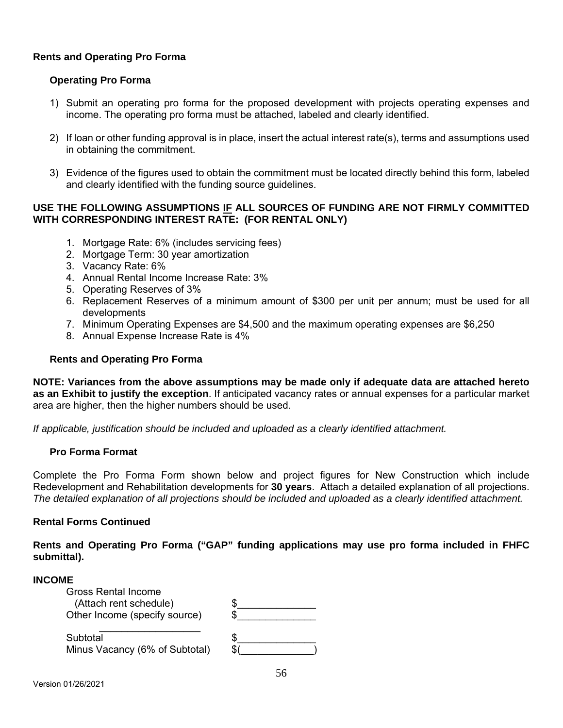### **Rents and Operating Pro Forma**

#### **Operating Pro Forma**

- 1) Submit an operating pro forma for the proposed development with projects operating expenses and income. The operating pro forma must be attached, labeled and clearly identified.
- 2) If loan or other funding approval is in place, insert the actual interest rate(s), terms and assumptions used in obtaining the commitment.
- 3) Evidence of the figures used to obtain the commitment must be located directly behind this form, labeled and clearly identified with the funding source guidelines.

#### **USE THE FOLLOWING ASSUMPTIONS IF ALL SOURCES OF FUNDING ARE NOT FIRMLY COMMITTED WITH CORRESPONDING INTEREST RATE: (FOR RENTAL ONLY)**

- 1. Mortgage Rate: 6% (includes servicing fees)
- 2. Mortgage Term: 30 year amortization
- 3. Vacancy Rate: 6%
- 4. Annual Rental Income Increase Rate: 3%
- 5. Operating Reserves of 3%
- 6. Replacement Reserves of a minimum amount of \$300 per unit per annum; must be used for all developments
- 7. Minimum Operating Expenses are \$4,500 and the maximum operating expenses are \$6,250
- 8. Annual Expense Increase Rate is 4%

#### **Rents and Operating Pro Forma**

**NOTE: Variances from the above assumptions may be made only if adequate data are attached hereto as an Exhibit to justify the exception**. If anticipated vacancy rates or annual expenses for a particular market area are higher, then the higher numbers should be used.

*If applicable, justification should be included and uploaded as a clearly identified attachment.* 

#### **Pro Forma Format**

Complete the Pro Forma Form shown below and project figures for New Construction which include Redevelopment and Rehabilitation developments for **30 years**. Attach a detailed explanation of all projections. *The detailed explanation of all projections should be included and uploaded as a clearly identified attachment.*

#### **Rental Forms Continued**

**Rents and Operating Pro Forma ("GAP" funding applications may use pro forma included in FHFC submittal).** 

#### **INCOME**

| <b>Gross Rental Income</b><br>(Attach rent schedule) |  |
|------------------------------------------------------|--|
| Other Income (specify source)                        |  |
| Subtotal                                             |  |
| Minus Vacancy (6% of Subtotal)                       |  |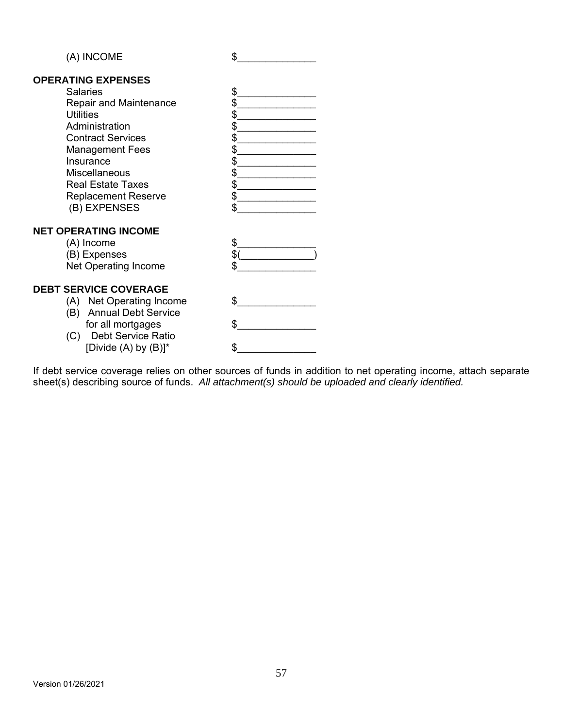|  |  | (A) INCOME |  |
|--|--|------------|--|
|--|--|------------|--|

| (A) INCOME                        | \$  |
|-----------------------------------|-----|
| <b>OPERATING EXPENSES</b>         |     |
| <b>Salaries</b>                   | \$  |
| Repair and Maintenance            | \$  |
| <b>Utilities</b>                  | \$  |
| Administration                    | \$  |
| <b>Contract Services</b>          | \$  |
| <b>Management Fees</b>            | \$  |
| Insurance                         | \$  |
| <b>Miscellaneous</b>              | \$  |
| <b>Real Estate Taxes</b>          | \$  |
| <b>Replacement Reserve</b>        | \$  |
| (B) EXPENSES                      | \$  |
| <b>NET OPERATING INCOME</b>       |     |
| (A) Income                        | \$  |
| (B) Expenses                      | \$( |
| <b>Net Operating Income</b>       | \$  |
| <b>DEBT SERVICE COVERAGE</b>      |     |
| (A) Net Operating Income          |     |
| <b>Annual Debt Service</b><br>(B) |     |
| for all mortgages                 | \$  |
| <b>Debt Service Ratio</b><br>(C)  |     |
| [Divide $(A)$ by $(B)$ ]*         |     |
|                                   |     |

If debt service coverage relies on other sources of funds in addition to net operating income, attach separate sheet(s) describing source of funds. *All attachment(s) should be uploaded and clearly identified.*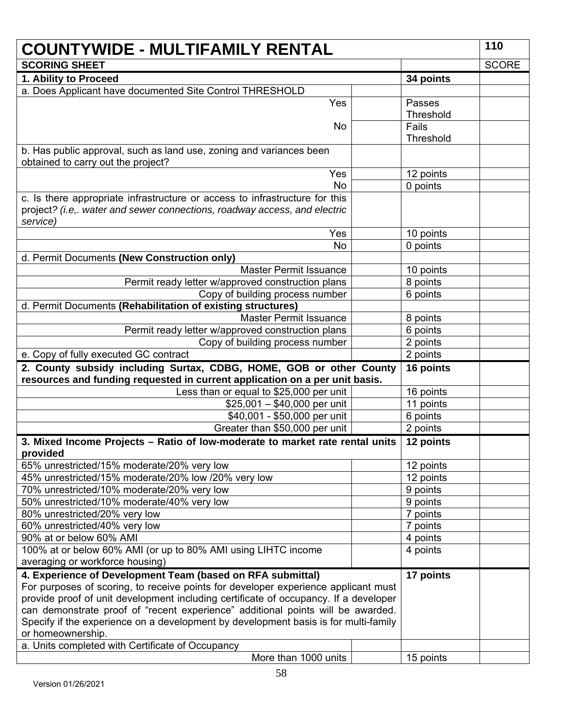| <b>COUNTYWIDE - MULTIFAMILY RENTAL</b>                                                                                                                               |  |                  |              |
|----------------------------------------------------------------------------------------------------------------------------------------------------------------------|--|------------------|--------------|
| <b>SCORING SHEET</b>                                                                                                                                                 |  |                  | <b>SCORE</b> |
| 1. Ability to Proceed                                                                                                                                                |  | 34 points        |              |
| a. Does Applicant have documented Site Control THRESHOLD                                                                                                             |  |                  |              |
| Yes                                                                                                                                                                  |  | Passes           |              |
|                                                                                                                                                                      |  | <b>Threshold</b> |              |
| <b>No</b>                                                                                                                                                            |  | Fails            |              |
|                                                                                                                                                                      |  | <b>Threshold</b> |              |
| b. Has public approval, such as land use, zoning and variances been<br>obtained to carry out the project?                                                            |  |                  |              |
| Yes                                                                                                                                                                  |  | 12 points        |              |
| <b>No</b>                                                                                                                                                            |  | 0 points         |              |
| c. Is there appropriate infrastructure or access to infrastructure for this<br>project? (i.e,. water and sewer connections, roadway access, and electric<br>service) |  |                  |              |
| Yes                                                                                                                                                                  |  | 10 points        |              |
| <b>No</b>                                                                                                                                                            |  | 0 points         |              |
| d. Permit Documents (New Construction only)                                                                                                                          |  |                  |              |
| <b>Master Permit Issuance</b>                                                                                                                                        |  | 10 points        |              |
| Permit ready letter w/approved construction plans                                                                                                                    |  | 8 points         |              |
| Copy of building process number                                                                                                                                      |  | 6 points         |              |
| d. Permit Documents (Rehabilitation of existing structures)                                                                                                          |  |                  |              |
| <b>Master Permit Issuance</b>                                                                                                                                        |  | 8 points         |              |
| Permit ready letter w/approved construction plans                                                                                                                    |  | 6 points         |              |
| Copy of building process number                                                                                                                                      |  | 2 points         |              |
| e. Copy of fully executed GC contract                                                                                                                                |  | 2 points         |              |
| 2. County subsidy including Surtax, CDBG, HOME, GOB or other County<br>resources and funding requested in current application on a per unit basis.                   |  | 16 points        |              |
| Less than or equal to \$25,000 per unit                                                                                                                              |  | 16 points        |              |
| $$25,001 - $40,000$ per unit                                                                                                                                         |  | 11 points        |              |
| \$40,001 - \$50,000 per unit                                                                                                                                         |  | 6 points         |              |
| Greater than \$50,000 per unit                                                                                                                                       |  | 2 points         |              |
| 3. Mixed Income Projects - Ratio of low-moderate to market rate rental units<br>provided                                                                             |  | 12 points        |              |
| 65% unrestricted/15% moderate/20% very low                                                                                                                           |  | 12 points        |              |
| 45% unrestricted/15% moderate/20% low /20% very low                                                                                                                  |  | 12 points        |              |
| 70% unrestricted/10% moderate/20% very low                                                                                                                           |  | 9 points         |              |
| 50% unrestricted/10% moderate/40% very low                                                                                                                           |  | 9 points         |              |
| 80% unrestricted/20% very low                                                                                                                                        |  | 7 points         |              |
| 60% unrestricted/40% very low                                                                                                                                        |  | 7 points         |              |
| 90% at or below 60% AMI                                                                                                                                              |  | 4 points         |              |
| 100% at or below 60% AMI (or up to 80% AMI using LIHTC income                                                                                                        |  | 4 points         |              |
| averaging or workforce housing)                                                                                                                                      |  |                  |              |
| 4. Experience of Development Team (based on RFA submittal)<br>For purposes of scoring, to receive points for developer experience applicant must                     |  | 17 points        |              |
| provide proof of unit development including certificate of occupancy. If a developer                                                                                 |  |                  |              |
| can demonstrate proof of "recent experience" additional points will be awarded.                                                                                      |  |                  |              |
| Specify if the experience on a development by development basis is for multi-family                                                                                  |  |                  |              |
| or homeownership.                                                                                                                                                    |  |                  |              |
| a. Units completed with Certificate of Occupancy                                                                                                                     |  |                  |              |
| More than 1000 units                                                                                                                                                 |  | 15 points        |              |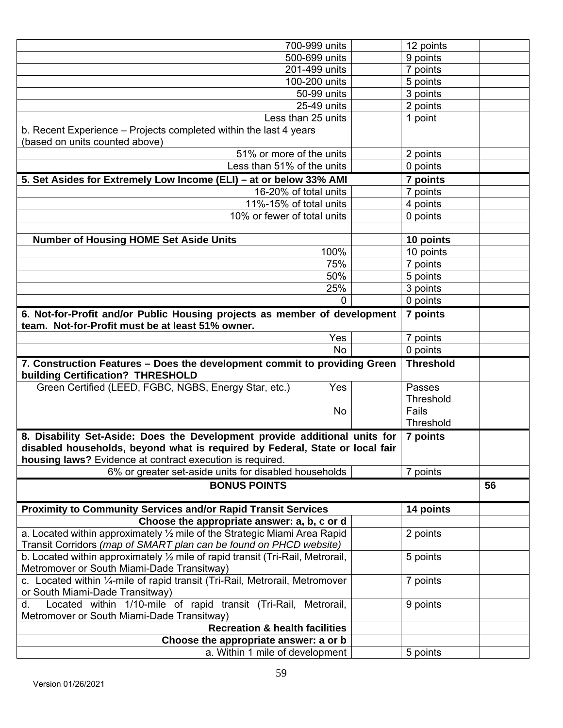| 700-999 units                                                                                                                                    | 12 points            |    |
|--------------------------------------------------------------------------------------------------------------------------------------------------|----------------------|----|
| 500-699 units                                                                                                                                    | 9 points             |    |
| 201-499 units                                                                                                                                    | 7 points             |    |
| 100-200 units                                                                                                                                    | 5 points             |    |
| 50-99 units                                                                                                                                      | 3 points             |    |
| 25-49 units                                                                                                                                      | 2 points             |    |
| Less than 25 units                                                                                                                               | 1 point              |    |
| b. Recent Experience - Projects completed within the last 4 years                                                                                |                      |    |
| (based on units counted above)                                                                                                                   |                      |    |
| 51% or more of the units                                                                                                                         | 2 points             |    |
| Less than 51% of the units                                                                                                                       | 0 points             |    |
| 5. Set Asides for Extremely Low Income (ELI) - at or below 33% AMI                                                                               | 7 points             |    |
| 16-20% of total units                                                                                                                            | 7 points             |    |
| 11%-15% of total units                                                                                                                           | 4 points             |    |
| 10% or fewer of total units                                                                                                                      | 0 points             |    |
|                                                                                                                                                  |                      |    |
| <b>Number of Housing HOME Set Aside Units</b>                                                                                                    | 10 points            |    |
| 100%<br>75%                                                                                                                                      | 10 points            |    |
| 50%                                                                                                                                              | 7 points<br>5 points |    |
| 25%                                                                                                                                              | 3 points             |    |
| 0                                                                                                                                                | 0 points             |    |
|                                                                                                                                                  |                      |    |
| 6. Not-for-Profit and/or Public Housing projects as member of development<br>team. Not-for-Profit must be at least 51% owner.                    | 7 points             |    |
| Yes                                                                                                                                              | 7 points             |    |
| No                                                                                                                                               |                      |    |
|                                                                                                                                                  | 0 points             |    |
| 7. Construction Features - Does the development commit to providing Green                                                                        | <b>Threshold</b>     |    |
| building Certification? THRESHOLD                                                                                                                |                      |    |
| Green Certified (LEED, FGBC, NGBS, Energy Star, etc.)<br>Yes                                                                                     | Passes<br>Threshold  |    |
| No                                                                                                                                               | Fails                |    |
|                                                                                                                                                  | Threshold            |    |
| 8. Disability Set-Aside: Does the Development provide additional units for                                                                       | 7 points             |    |
| disabled households, beyond what is required by Federal, State or local fair                                                                     |                      |    |
| housing laws? Evidence at contract execution is required.                                                                                        |                      |    |
| 6% or greater set-aside units for disabled households                                                                                            | 7 points             |    |
| <b>BONUS POINTS</b>                                                                                                                              |                      | 56 |
|                                                                                                                                                  |                      |    |
| <b>Proximity to Community Services and/or Rapid Transit Services</b>                                                                             | 14 points            |    |
| Choose the appropriate answer: a, b, c or d                                                                                                      |                      |    |
| a. Located within approximately 1/2 mile of the Strategic Miami Area Rapid<br>Transit Corridors (map of SMART plan can be found on PHCD website) | 2 points             |    |
| b. Located within approximately $\frac{1}{2}$ mile of rapid transit (Tri-Rail, Metrorail,                                                        | 5 points             |    |
| Metromover or South Miami-Dade Transitway)<br>c. Located within 1/ <sub>4</sub> -mile of rapid transit (Tri-Rail, Metrorail, Metromover          | 7 points             |    |
| or South Miami-Dade Transitway)<br>Located within 1/10-mile of rapid transit (Tri-Rail, Metrorail,<br>d.                                         | 9 points             |    |
| Metromover or South Miami-Dade Transitway)                                                                                                       |                      |    |
| <b>Recreation &amp; health facilities</b>                                                                                                        |                      |    |
| Choose the appropriate answer: a or b<br>a. Within 1 mile of development                                                                         | 5 points             |    |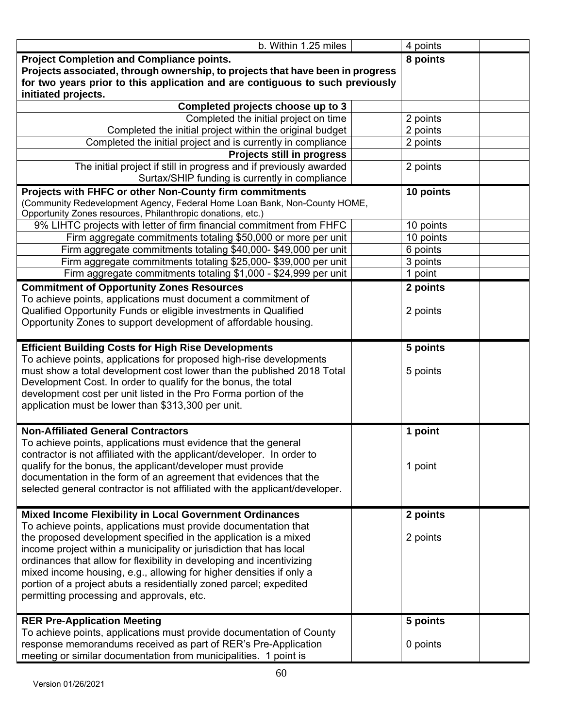| b. Within 1.25 miles                                                           | 4 points  |  |
|--------------------------------------------------------------------------------|-----------|--|
| <b>Project Completion and Compliance points.</b>                               | 8 points  |  |
| Projects associated, through ownership, to projects that have been in progress |           |  |
| for two years prior to this application and are contiguous to such previously  |           |  |
| initiated projects.                                                            |           |  |
| Completed projects choose up to 3                                              |           |  |
| Completed the initial project on time                                          | 2 points  |  |
| Completed the initial project within the original budget                       | 2 points  |  |
| Completed the initial project and is currently in compliance                   | 2 points  |  |
| Projects still in progress                                                     |           |  |
| The initial project if still in progress and if previously awarded             | 2 points  |  |
| Surtax/SHIP funding is currently in compliance                                 |           |  |
| Projects with FHFC or other Non-County firm commitments                        | 10 points |  |
| (Community Redevelopment Agency, Federal Home Loan Bank, Non-County HOME,      |           |  |
| Opportunity Zones resources, Philanthropic donations, etc.)                    |           |  |
| 9% LIHTC projects with letter of firm financial commitment from FHFC           | 10 points |  |
| Firm aggregate commitments totaling \$50,000 or more per unit                  | 10 points |  |
| Firm aggregate commitments totaling \$40,000-\$49,000 per unit                 | 6 points  |  |
| Firm aggregate commitments totaling \$25,000- \$39,000 per unit                | 3 points  |  |
| Firm aggregate commitments totaling \$1,000 - \$24,999 per unit                | 1 point   |  |
| <b>Commitment of Opportunity Zones Resources</b>                               | 2 points  |  |
| To achieve points, applications must document a commitment of                  |           |  |
| Qualified Opportunity Funds or eligible investments in Qualified               | 2 points  |  |
| Opportunity Zones to support development of affordable housing.                |           |  |
|                                                                                |           |  |
| <b>Efficient Building Costs for High Rise Developments</b>                     | 5 points  |  |
| To achieve points, applications for proposed high-rise developments            |           |  |
| must show a total development cost lower than the published 2018 Total         | 5 points  |  |
| Development Cost. In order to qualify for the bonus, the total                 |           |  |
| development cost per unit listed in the Pro Forma portion of the               |           |  |
| application must be lower than \$313,300 per unit.                             |           |  |
|                                                                                |           |  |
| <b>Non-Affiliated General Contractors</b>                                      | 1 point   |  |
| To achieve points, applications must evidence that the general                 |           |  |
| contractor is not affiliated with the applicant/developer. In order to         |           |  |
| qualify for the bonus, the applicant/developer must provide                    | 1 point   |  |
| documentation in the form of an agreement that evidences that the              |           |  |
| selected general contractor is not affiliated with the applicant/developer.    |           |  |
|                                                                                |           |  |
| <b>Mixed Income Flexibility in Local Government Ordinances</b>                 | 2 points  |  |
| To achieve points, applications must provide documentation that                |           |  |
| the proposed development specified in the application is a mixed               | 2 points  |  |
| income project within a municipality or jurisdiction that has local            |           |  |
| ordinances that allow for flexibility in developing and incentivizing          |           |  |
| mixed income housing, e.g., allowing for higher densities if only a            |           |  |
| portion of a project abuts a residentially zoned parcel; expedited             |           |  |
| permitting processing and approvals, etc.                                      |           |  |
|                                                                                |           |  |
| <b>RER Pre-Application Meeting</b>                                             | 5 points  |  |
| To achieve points, applications must provide documentation of County           |           |  |
| response memorandums received as part of RER's Pre-Application                 | 0 points  |  |
| meeting or similar documentation from municipalities. 1 point is               |           |  |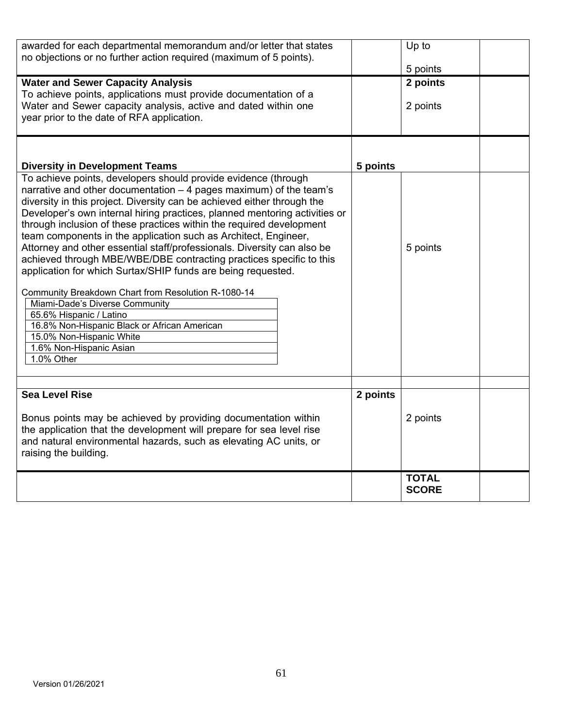| awarded for each departmental memorandum and/or letter that states<br>no objections or no further action required (maximum of 5 points).                                                                                                                                                                                                                                                                                                                                                                                                                                                                                                                                                                                                                                                                                                                                                            |          | Up to<br>5 points            |  |
|-----------------------------------------------------------------------------------------------------------------------------------------------------------------------------------------------------------------------------------------------------------------------------------------------------------------------------------------------------------------------------------------------------------------------------------------------------------------------------------------------------------------------------------------------------------------------------------------------------------------------------------------------------------------------------------------------------------------------------------------------------------------------------------------------------------------------------------------------------------------------------------------------------|----------|------------------------------|--|
| <b>Water and Sewer Capacity Analysis</b><br>To achieve points, applications must provide documentation of a<br>Water and Sewer capacity analysis, active and dated within one<br>year prior to the date of RFA application.                                                                                                                                                                                                                                                                                                                                                                                                                                                                                                                                                                                                                                                                         |          | 2 points<br>2 points         |  |
| <b>Diversity in Development Teams</b>                                                                                                                                                                                                                                                                                                                                                                                                                                                                                                                                                                                                                                                                                                                                                                                                                                                               | 5 points |                              |  |
| To achieve points, developers should provide evidence (through<br>narrative and other documentation - 4 pages maximum) of the team's<br>diversity in this project. Diversity can be achieved either through the<br>Developer's own internal hiring practices, planned mentoring activities or<br>through inclusion of these practices within the required development<br>team components in the application such as Architect, Engineer,<br>Attorney and other essential staff/professionals. Diversity can also be<br>achieved through MBE/WBE/DBE contracting practices specific to this<br>application for which Surtax/SHIP funds are being requested.<br>Community Breakdown Chart from Resolution R-1080-14<br>Miami-Dade's Diverse Community<br>65.6% Hispanic / Latino<br>16.8% Non-Hispanic Black or African American<br>15.0% Non-Hispanic White<br>1.6% Non-Hispanic Asian<br>1.0% Other |          | 5 points                     |  |
| <b>Sea Level Rise</b>                                                                                                                                                                                                                                                                                                                                                                                                                                                                                                                                                                                                                                                                                                                                                                                                                                                                               | 2 points |                              |  |
| Bonus points may be achieved by providing documentation within<br>the application that the development will prepare for sea level rise<br>and natural environmental hazards, such as elevating AC units, or<br>raising the building.                                                                                                                                                                                                                                                                                                                                                                                                                                                                                                                                                                                                                                                                |          | 2 points                     |  |
|                                                                                                                                                                                                                                                                                                                                                                                                                                                                                                                                                                                                                                                                                                                                                                                                                                                                                                     |          | <b>TOTAL</b><br><b>SCORE</b> |  |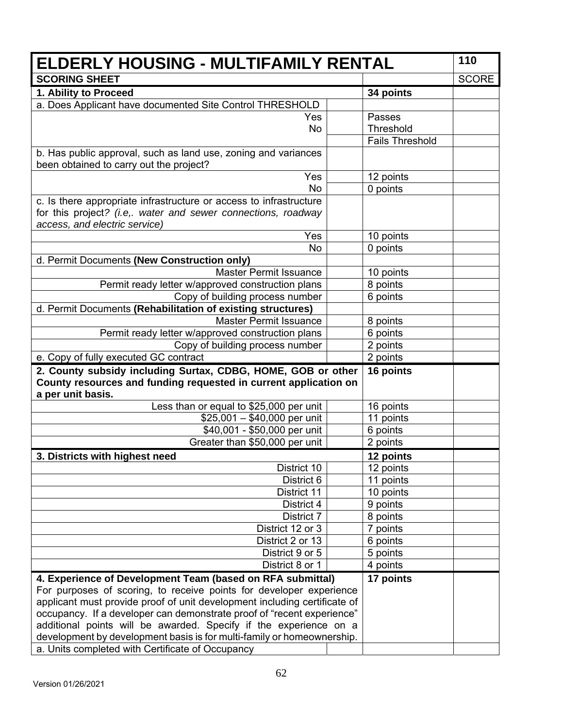| <b>ELDERLY HOUSING - MULTIFAMILY RENTAL</b>                                                                                         |                        | 110          |
|-------------------------------------------------------------------------------------------------------------------------------------|------------------------|--------------|
| <b>SCORING SHEET</b>                                                                                                                |                        | <b>SCORE</b> |
| 1. Ability to Proceed                                                                                                               | 34 points              |              |
| a. Does Applicant have documented Site Control THRESHOLD                                                                            |                        |              |
| Yes                                                                                                                                 | Passes                 |              |
| <b>No</b>                                                                                                                           | Threshold              |              |
|                                                                                                                                     | <b>Fails Threshold</b> |              |
| b. Has public approval, such as land use, zoning and variances<br>been obtained to carry out the project?                           |                        |              |
| Yes                                                                                                                                 | 12 points              |              |
| No                                                                                                                                  | 0 points               |              |
| c. Is there appropriate infrastructure or access to infrastructure<br>for this project? (i.e,. water and sewer connections, roadway |                        |              |
| access, and electric service)                                                                                                       |                        |              |
| Yes                                                                                                                                 | 10 points              |              |
| <b>No</b>                                                                                                                           | 0 points               |              |
| d. Permit Documents (New Construction only)                                                                                         |                        |              |
| <b>Master Permit Issuance</b>                                                                                                       | 10 points              |              |
| Permit ready letter w/approved construction plans                                                                                   | 8 points               |              |
| Copy of building process number                                                                                                     | 6 points               |              |
| d. Permit Documents (Rehabilitation of existing structures)                                                                         |                        |              |
| <b>Master Permit Issuance</b>                                                                                                       | 8 points               |              |
| Permit ready letter w/approved construction plans                                                                                   | 6 points               |              |
| Copy of building process number                                                                                                     | 2 points               |              |
| e. Copy of fully executed GC contract                                                                                               | 2 points               |              |
| 2. County subsidy including Surtax, CDBG, HOME, GOB or other<br>County resources and funding requested in current application on    | 16 points              |              |
| a per unit basis.                                                                                                                   |                        |              |
| Less than or equal to \$25,000 per unit<br>$$25,001 - $40,000$ per unit                                                             | 16 points<br>11 points |              |
| \$40,001 - \$50,000 per unit                                                                                                        | 6 points               |              |
| Greater than \$50,000 per unit                                                                                                      | 2 points               |              |
|                                                                                                                                     |                        |              |
| 3. Districts with highest need<br>District 10                                                                                       | 12 points<br>12 points |              |
| District 6                                                                                                                          | 11 points              |              |
| District 11                                                                                                                         | 10 points              |              |
| District 4                                                                                                                          | 9 points               |              |
| District 7                                                                                                                          | 8 points               |              |
| District 12 or 3                                                                                                                    | 7 points               |              |
| District 2 or 13                                                                                                                    | 6 points               |              |
| District 9 or 5                                                                                                                     | 5 points               |              |
| District 8 or 1                                                                                                                     | 4 points               |              |
| 4. Experience of Development Team (based on RFA submittal)                                                                          | 17 points              |              |
| For purposes of scoring, to receive points for developer experience                                                                 |                        |              |
| applicant must provide proof of unit development including certificate of                                                           |                        |              |
| occupancy. If a developer can demonstrate proof of "recent experience"                                                              |                        |              |
| additional points will be awarded. Specify if the experience on a                                                                   |                        |              |
| development by development basis is for multi-family or homeownership.                                                              |                        |              |
| a. Units completed with Certificate of Occupancy                                                                                    |                        |              |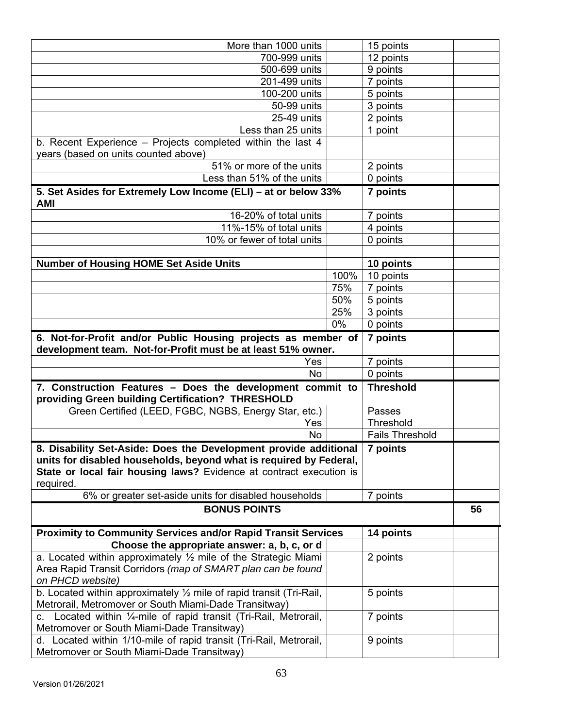| More than 1000 units                                                                                                                                   |          | 15 points              |    |  |
|--------------------------------------------------------------------------------------------------------------------------------------------------------|----------|------------------------|----|--|
| 700-999 units                                                                                                                                          |          | 12 points              |    |  |
| 500-699 units                                                                                                                                          |          | 9 points               |    |  |
| 201-499 units                                                                                                                                          |          | 7 points               |    |  |
| 100-200 units                                                                                                                                          |          | 5 points               |    |  |
| 50-99 units                                                                                                                                            |          | 3 points               |    |  |
| 25-49 units                                                                                                                                            |          | 2 points               |    |  |
| Less than 25 units                                                                                                                                     |          | 1 point                |    |  |
| b. Recent Experience - Projects completed within the last 4<br>years (based on units counted above)                                                    |          |                        |    |  |
| 51% or more of the units                                                                                                                               |          | 2 points               |    |  |
| Less than 51% of the units                                                                                                                             | 0 points |                        |    |  |
| 5. Set Asides for Extremely Low Income (ELI) - at or below 33%<br>7 points<br><b>AMI</b>                                                               |          |                        |    |  |
| 16-20% of total units                                                                                                                                  |          | 7 points               |    |  |
| 11%-15% of total units                                                                                                                                 |          | 4 points               |    |  |
| 10% or fewer of total units                                                                                                                            |          | 0 points               |    |  |
|                                                                                                                                                        |          |                        |    |  |
| <b>Number of Housing HOME Set Aside Units</b>                                                                                                          |          | 10 points              |    |  |
|                                                                                                                                                        | 100%     | 10 points              |    |  |
|                                                                                                                                                        | 75%      | 7 points               |    |  |
|                                                                                                                                                        | 50%      | 5 points               |    |  |
|                                                                                                                                                        | 25%      | 3 points               |    |  |
|                                                                                                                                                        | 0%       | 0 points               |    |  |
| 6. Not-for-Profit and/or Public Housing projects as member of<br>7 points<br>development team. Not-for-Profit must be at least 51% owner.              |          |                        |    |  |
| Yes                                                                                                                                                    |          | 7 points               |    |  |
| <b>No</b>                                                                                                                                              |          | 0 points               |    |  |
| 7. Construction Features - Does the development commit to<br>providing Green building Certification? THRESHOLD                                         |          | <b>Threshold</b>       |    |  |
| Green Certified (LEED, FGBC, NGBS, Energy Star, etc.)                                                                                                  |          | Passes                 |    |  |
| Yes                                                                                                                                                    |          | <b>Threshold</b>       |    |  |
| <b>No</b>                                                                                                                                              |          | <b>Fails Threshold</b> |    |  |
| 8. Disability Set-Aside: Does the Development provide additional                                                                                       |          | 7 points               |    |  |
| units for disabled households, beyond what is required by Federal,<br>State or local fair housing laws? Evidence at contract execution is<br>required. |          |                        |    |  |
| 6% or greater set-aside units for disabled households                                                                                                  |          | 7 points               |    |  |
| <b>BONUS POINTS</b>                                                                                                                                    |          |                        | 56 |  |
| <b>Proximity to Community Services and/or Rapid Transit Services</b>                                                                                   |          | 14 points              |    |  |
| Choose the appropriate answer: a, b, c, or d                                                                                                           |          |                        |    |  |
| a. Located within approximately $\frac{1}{2}$ mile of the Strategic Miami                                                                              |          | 2 points               |    |  |
| Area Rapid Transit Corridors (map of SMART plan can be found<br>on PHCD website)                                                                       |          |                        |    |  |
| b. Located within approximately $\frac{1}{2}$ mile of rapid transit (Tri-Rail,<br>Metrorail, Metromover or South Miami-Dade Transitway)                |          | 5 points               |    |  |
| Located within 1/4-mile of rapid transit (Tri-Rail, Metrorail,<br>C.<br>Metromover or South Miami-Dade Transitway)                                     |          | 7 points               |    |  |
| d. Located within 1/10-mile of rapid transit (Tri-Rail, Metrorail,<br>Metromover or South Miami-Dade Transitway)                                       |          | 9 points               |    |  |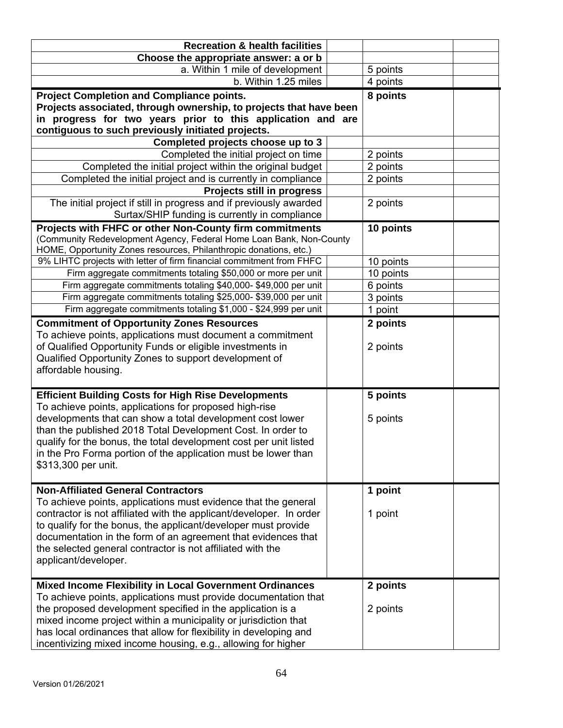| <b>Recreation &amp; health facilities</b>                                                                                                |           |
|------------------------------------------------------------------------------------------------------------------------------------------|-----------|
| Choose the appropriate answer: a or b                                                                                                    |           |
| a. Within 1 mile of development                                                                                                          | 5 points  |
| b. Within 1.25 miles                                                                                                                     | 4 points  |
| <b>Project Completion and Compliance points.</b>                                                                                         | 8 points  |
| Projects associated, through ownership, to projects that have been                                                                       |           |
| in progress for two years prior to this application and are                                                                              |           |
| contiguous to such previously initiated projects.                                                                                        |           |
| Completed projects choose up to 3                                                                                                        |           |
| Completed the initial project on time                                                                                                    | 2 points  |
| Completed the initial project within the original budget                                                                                 | 2 points  |
| Completed the initial project and is currently in compliance                                                                             | 2 points  |
| Projects still in progress                                                                                                               |           |
| The initial project if still in progress and if previously awarded                                                                       | 2 points  |
| Surtax/SHIP funding is currently in compliance                                                                                           |           |
| Projects with FHFC or other Non-County firm commitments                                                                                  | 10 points |
| (Community Redevelopment Agency, Federal Home Loan Bank, Non-County<br>HOME, Opportunity Zones resources, Philanthropic donations, etc.) |           |
| 9% LIHTC projects with letter of firm financial commitment from FHFC                                                                     | 10 points |
| Firm aggregate commitments totaling \$50,000 or more per unit                                                                            | 10 points |
| Firm aggregate commitments totaling \$40,000-\$49,000 per unit                                                                           | 6 points  |
| Firm aggregate commitments totaling \$25,000-\$39,000 per unit                                                                           | 3 points  |
| Firm aggregate commitments totaling \$1,000 - \$24,999 per unit                                                                          | 1 point   |
| <b>Commitment of Opportunity Zones Resources</b>                                                                                         | 2 points  |
| To achieve points, applications must document a commitment                                                                               |           |
| of Qualified Opportunity Funds or eligible investments in                                                                                | 2 points  |
| Qualified Opportunity Zones to support development of                                                                                    |           |
| affordable housing.                                                                                                                      |           |
|                                                                                                                                          |           |
| <b>Efficient Building Costs for High Rise Developments</b>                                                                               | 5 points  |
| To achieve points, applications for proposed high-rise                                                                                   |           |
| developments that can show a total development cost lower                                                                                | 5 points  |
| than the published 2018 Total Development Cost. In order to                                                                              |           |
| qualify for the bonus, the total development cost per unit listed                                                                        |           |
| in the Pro Forma portion of the application must be lower than                                                                           |           |
| \$313,300 per unit.                                                                                                                      |           |
|                                                                                                                                          |           |
| <b>Non-Affiliated General Contractors</b>                                                                                                | 1 point   |
| To achieve points, applications must evidence that the general                                                                           |           |
| contractor is not affiliated with the applicant/developer. In order                                                                      | 1 point   |
| to qualify for the bonus, the applicant/developer must provide<br>documentation in the form of an agreement that evidences that          |           |
| the selected general contractor is not affiliated with the                                                                               |           |
| applicant/developer.                                                                                                                     |           |
|                                                                                                                                          |           |
| <b>Mixed Income Flexibility in Local Government Ordinances</b>                                                                           | 2 points  |
| To achieve points, applications must provide documentation that                                                                          |           |
| the proposed development specified in the application is a                                                                               | 2 points  |
| mixed income project within a municipality or jurisdiction that                                                                          |           |
| has local ordinances that allow for flexibility in developing and                                                                        |           |
| incentivizing mixed income housing, e.g., allowing for higher                                                                            |           |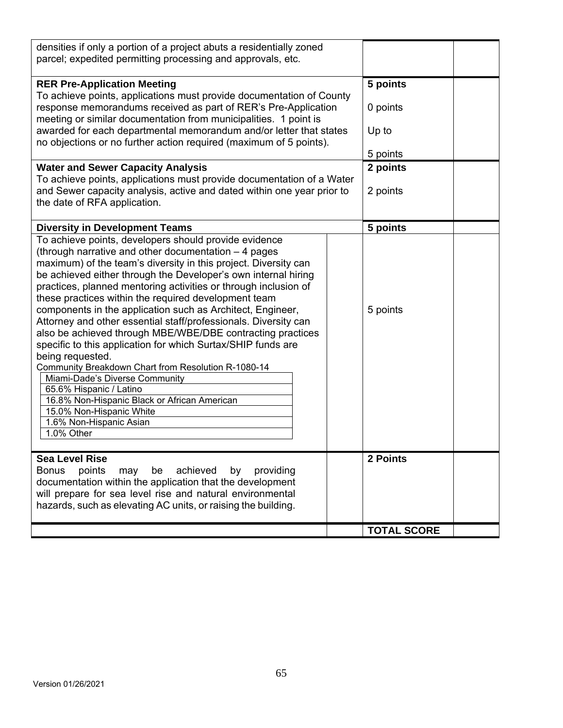| densities if only a portion of a project abuts a residentially zoned<br>parcel; expedited permitting processing and approvals, etc.                                                                                                                                                                                                                                                                                                                                                                                                                                                                                                                                                                                                                                                                                                                                                                       |  |                                           |  |
|-----------------------------------------------------------------------------------------------------------------------------------------------------------------------------------------------------------------------------------------------------------------------------------------------------------------------------------------------------------------------------------------------------------------------------------------------------------------------------------------------------------------------------------------------------------------------------------------------------------------------------------------------------------------------------------------------------------------------------------------------------------------------------------------------------------------------------------------------------------------------------------------------------------|--|-------------------------------------------|--|
| <b>RER Pre-Application Meeting</b><br>To achieve points, applications must provide documentation of County<br>response memorandums received as part of RER's Pre-Application<br>meeting or similar documentation from municipalities. 1 point is<br>awarded for each departmental memorandum and/or letter that states<br>no objections or no further action required (maximum of 5 points).                                                                                                                                                                                                                                                                                                                                                                                                                                                                                                              |  | 5 points<br>0 points<br>Up to<br>5 points |  |
| <b>Water and Sewer Capacity Analysis</b><br>To achieve points, applications must provide documentation of a Water<br>and Sewer capacity analysis, active and dated within one year prior to<br>the date of RFA application.                                                                                                                                                                                                                                                                                                                                                                                                                                                                                                                                                                                                                                                                               |  | 2 points<br>2 points                      |  |
| <b>Diversity in Development Teams</b>                                                                                                                                                                                                                                                                                                                                                                                                                                                                                                                                                                                                                                                                                                                                                                                                                                                                     |  | 5 points                                  |  |
| To achieve points, developers should provide evidence<br>(through narrative and other documentation - 4 pages<br>maximum) of the team's diversity in this project. Diversity can<br>be achieved either through the Developer's own internal hiring<br>practices, planned mentoring activities or through inclusion of<br>these practices within the required development team<br>components in the application such as Architect, Engineer,<br>Attorney and other essential staff/professionals. Diversity can<br>also be achieved through MBE/WBE/DBE contracting practices<br>specific to this application for which Surtax/SHIP funds are<br>being requested.<br>Community Breakdown Chart from Resolution R-1080-14<br>Miami-Dade's Diverse Community<br>65.6% Hispanic / Latino<br>16.8% Non-Hispanic Black or African American<br>15.0% Non-Hispanic White<br>1.6% Non-Hispanic Asian<br>1.0% Other |  | 5 points                                  |  |
| <b>Sea Level Rise</b><br>points<br>achieved<br><b>Bonus</b><br>providing<br>may<br>be<br>by<br>documentation within the application that the development<br>will prepare for sea level rise and natural environmental<br>hazards, such as elevating AC units, or raising the building.                                                                                                                                                                                                                                                                                                                                                                                                                                                                                                                                                                                                                    |  | 2 Points                                  |  |
|                                                                                                                                                                                                                                                                                                                                                                                                                                                                                                                                                                                                                                                                                                                                                                                                                                                                                                           |  | <b>TOTAL SCORE</b>                        |  |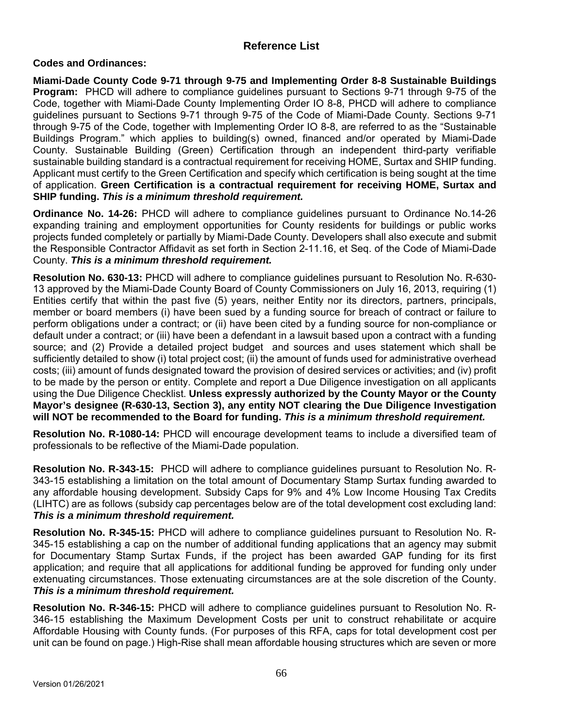# **Reference List**

#### **Codes and Ordinances:**

**Miami-Dade County Code 9-71 through 9-75 and Implementing Order 8-8 Sustainable Buildings Program:** PHCD will adhere to compliance guidelines pursuant to Sections 9-71 through 9-75 of the Code, together with Miami-Dade County Implementing Order IO 8-8, PHCD will adhere to compliance guidelines pursuant to Sections 9-71 through 9-75 of the Code of Miami-Dade County. Sections 9-71 through 9-75 of the Code, together with Implementing Order IO 8-8, are referred to as the "Sustainable Buildings Program." which applies to building(s) owned, financed and/or operated by Miami-Dade County. Sustainable Building (Green) Certification through an independent third-party verifiable sustainable building standard is a contractual requirement for receiving HOME, Surtax and SHIP funding. Applicant must certify to the Green Certification and specify which certification is being sought at the time of application. **Green Certification is a contractual requirement for receiving HOME, Surtax and SHIP funding.** *This is a minimum threshold requirement.*

**Ordinance No. 14-26:** PHCD will adhere to compliance guidelines pursuant to Ordinance No.14-26 expanding training and employment opportunities for County residents for buildings or public works projects funded completely or partially by Miami-Dade County. Developers shall also execute and submit the Responsible Contractor Affidavit as set forth in Section 2-11.16, et Seq. of the Code of Miami-Dade County. *This is a minimum threshold requirement.*

**Resolution No. 630-13:** PHCD will adhere to compliance guidelines pursuant to Resolution No. R-630- 13 approved by the Miami-Dade County Board of County Commissioners on July 16, 2013, requiring (1) Entities certify that within the past five (5) years, neither Entity nor its directors, partners, principals, member or board members (i) have been sued by a funding source for breach of contract or failure to perform obligations under a contract; or (ii) have been cited by a funding source for non-compliance or default under a contract; or (iii) have been a defendant in a lawsuit based upon a contract with a funding source; and (2) Provide a detailed project budget and sources and uses statement which shall be sufficiently detailed to show (i) total project cost; (ii) the amount of funds used for administrative overhead costs; (iii) amount of funds designated toward the provision of desired services or activities; and (iv) profit to be made by the person or entity. Complete and report a Due Diligence investigation on all applicants using the Due Diligence Checklist. **Unless expressly authorized by the County Mayor or the County Mayor's designee (R-630-13, Section 3), any entity NOT clearing the Due Diligence Investigation will NOT be recommended to the Board for funding.** *This is a minimum threshold requirement.* 

**Resolution No. R-1080-14:** PHCD will encourage development teams to include a diversified team of professionals to be reflective of the Miami-Dade population.

**Resolution No. R-343-15:** PHCD will adhere to compliance guidelines pursuant to Resolution No. R-343-15 establishing a limitation on the total amount of Documentary Stamp Surtax funding awarded to any affordable housing development. Subsidy Caps for 9% and 4% Low Income Housing Tax Credits (LIHTC) are as follows (subsidy cap percentages below are of the total development cost excluding land: *This is a minimum threshold requirement.*

**Resolution No. R-345-15:** PHCD will adhere to compliance guidelines pursuant to Resolution No. R-345-15 establishing a cap on the number of additional funding applications that an agency may submit for Documentary Stamp Surtax Funds, if the project has been awarded GAP funding for its first application; and require that all applications for additional funding be approved for funding only under extenuating circumstances. Those extenuating circumstances are at the sole discretion of the County. *This is a minimum threshold requirement.*

**Resolution No. R-346-15:** PHCD will adhere to compliance guidelines pursuant to Resolution No. R-346-15 establishing the Maximum Development Costs per unit to construct rehabilitate or acquire Affordable Housing with County funds. (For purposes of this RFA, caps for total development cost per unit can be found on page.) High-Rise shall mean affordable housing structures which are seven or more